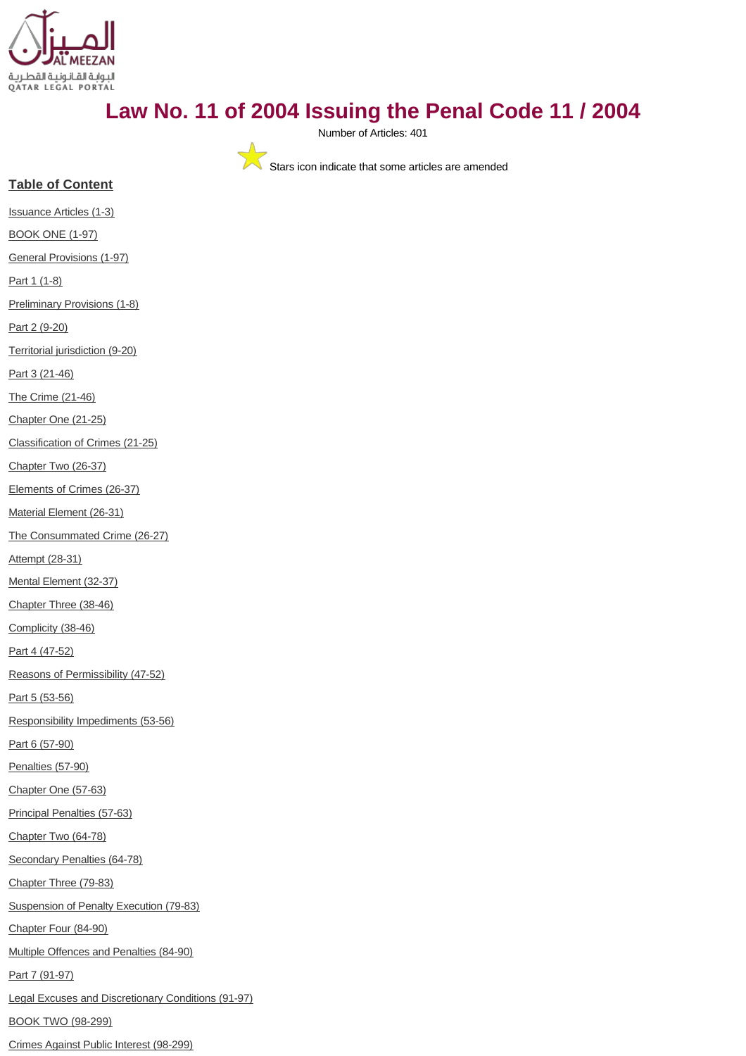

# **Law No. 11 of 2004 Issuing the Penal Code 11 / 2004**

Number of Articles: 401

Stars icon indicate that some articles are amended

## **Table of Content**

[Issuance Articles \(1-3\)](#page-3-0)

[BOOK ONE \(1-97\)](#page-4-0)

[General Provisions \(1-97\)](#page-4-1)

[Part 1 \(1-8\)](#page-4-2)

[Preliminary Provisions \(1-8\)](#page-4-3)

[Part 2 \(9-20\)](#page-5-0)

[Territorial jurisdiction \(9-20\)](#page-5-1)

[Part 3 \(21-46\)](#page-7-0)

[The Crime \(21-46\)](#page-7-1)

[Chapter One \(21-25\)](#page-8-0)

[Classification of Crimes \(21-25\)](#page-8-1)

[Chapter Two \(26-37\)](#page-8-2)

[Elements of Crimes \(26-37\)](#page-8-3)

[Material Element \(26-31\)](#page-8-4)

[The Consummated Crime \(26-27\)](#page-8-5)

[Attempt \(28-31\)](#page-9-0)

[Mental Element \(32-37\)](#page-9-1)

[Chapter Three \(38-46\)](#page-10-0)

[Complicity \(38-46\)](#page-10-1)

[Part 4 \(47-52\)](#page-12-0)

[Reasons of Permissibility \(47-52\)](#page-12-1)

[Part 5 \(53-56\)](#page-13-0)

[Responsibility Impediments \(53-56\)](#page-13-1)

[Part 6 \(57-90\)](#page-14-0)

[Penalties \(57-90\)](#page-14-1)

[Chapter One \(57-63\)](#page-14-2)

[Principal Penalties \(57-63\)](#page-14-3)

[Chapter Two \(64-78\)](#page-16-0)

[Secondary Penalties \(64-78\)](#page-16-1)

[Chapter Three \(79-83\)](#page-19-0)

[Suspension of Penalty Execution \(79-83\)](#page-19-1)

[Chapter Four \(84-90\)](#page-20-0)

[Multiple Offences and Penalties \(84-90\)](#page-20-1)

[Part 7 \(91-97\)](#page-21-0)

[Legal Excuses and Discretionary Conditions \(91-97\)](#page-21-1)

[BOOK TWO \(98-299\)](#page-22-0)

[Crimes Against Public Interest \(98-299\)](#page-22-1)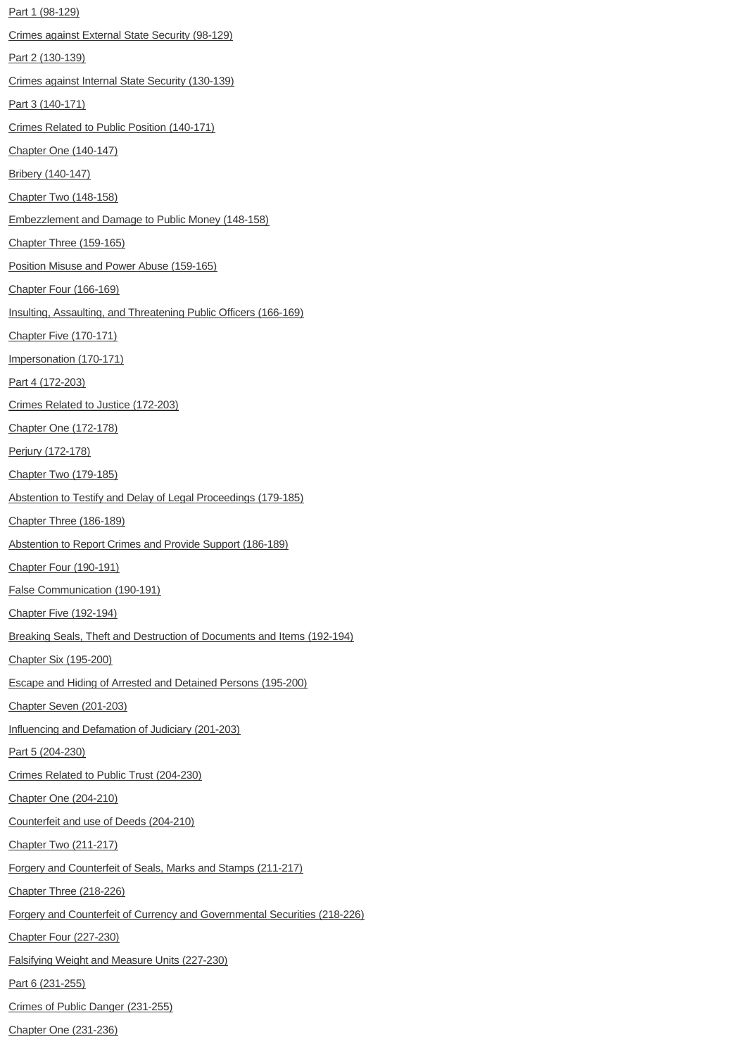[Part 1 \(98-129\)](#page-22-2) [Crimes against External State Security \(98-129\)](#page-22-3) [Part 2 \(130-139\)](#page-28-0) [Crimes against Internal State Security \(130-139\)](#page-28-1) [Part 3 \(140-171\)](#page-30-0) [Crimes Related to Public Position \(140-171\)](#page-30-1) [Chapter One \(140-147\)](#page-30-2) [Bribery \(140-147\)](#page-30-3) [Chapter Two \(148-158\)](#page-31-0) [Embezzlement and Damage to Public Money \(148-158\)](#page-31-1) [Chapter Three \(159-165\)](#page-33-0) [Position Misuse and Power Abuse \(159-165\)](#page-33-1) [Chapter Four \(166-169\)](#page-34-0) [Insulting, Assaulting, and Threatening Public Officers \(166-169\)](#page-34-1) [Chapter Five \(170-171\)](#page-35-0) [Impersonation \(170-171\)](#page-35-1) [Part 4 \(172-203\)](#page-36-0) [Crimes Related to Justice \(172-203\)](#page-36-1) [Chapter One \(172-178\)](#page-36-2) [Perjury \(172-178\)](#page-36-3) [Chapter Two \(179-185\)](#page-37-0) [Abstention to Testify and Delay of Legal Proceedings \(179-185\)](#page-37-1) [Chapter Three \(186-189\)](#page-38-0) [Abstention to Report Crimes and Provide Support \(186-189\)](#page-38-1) [Chapter Four \(190-191\)](#page-39-0) [False Communication \(190-191\)](#page-39-1) [Chapter Five \(192-194\)](#page-39-2) [Breaking Seals, Theft and Destruction of Documents and Items \(192-194\)](#page-39-3) [Chapter Six \(195-200\)](#page-40-0) [Escape and Hiding of Arrested and Detained Persons \(195-200\)](#page-40-1) [Chapter Seven \(201-203\)](#page-41-0) [Influencing and Defamation of Judiciary \(201-203\)](#page-41-1) [Part 5 \(204-230\)](#page-42-0) [Crimes Related to Public Trust \(204-230\)](#page-42-1) [Chapter One \(204-210\)](#page-42-2) [Counterfeit and use of Deeds \(204-210\)](#page-42-3) [Chapter Two \(211-217\)](#page-43-0) [Forgery and Counterfeit of Seals, Marks and Stamps \(211-217\)](#page-43-1) [Chapter Three \(218-226\)](#page-44-0) [Forgery and Counterfeit of Currency and Governmental Securities \(218-226\)](#page-44-1) [Chapter Four \(227-230\)](#page-45-0) [Falsifying Weight and Measure Units \(227-230\)](#page-45-1) [Part 6 \(231-255\)](#page-46-0) [Crimes of Public Danger \(231-255\)](#page-46-1)

[Chapter One \(231-236\)](#page-46-2)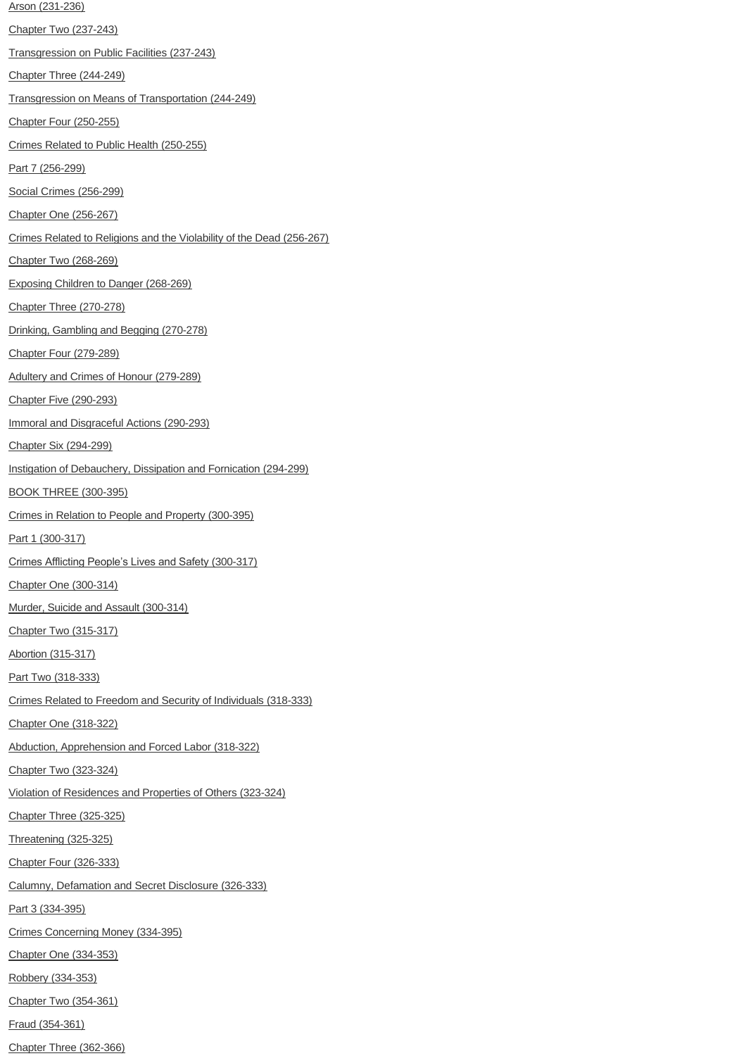[Arson \(231-236\)](#page-46-3) [Chapter Two \(237-243\)](#page-47-0) [Transgression on Public Facilities \(237-243\)](#page-47-1) [Chapter Three \(244-249\)](#page-48-0) [Transgression on Means of Transportation \(244-249\)](#page-48-1) [Chapter Four \(250-255\)](#page-49-0) [Crimes Related to Public Health \(250-255\)](#page-49-1) [Part 7 \(256-299\)](#page-50-0) [Social Crimes \(256-299\)](#page-50-1) [Chapter One \(256-267\)](#page-50-2) [Crimes Related to Religions and the Violability of the Dead \(256-267\)](#page-50-3) [Chapter Two \(268-269\)](#page-53-0) [Exposing Children to Danger \(268-269\)](#page-53-1) [Chapter Three \(270-278\)](#page-53-2) [Drinking, Gambling and Begging \(270-278\)](#page-53-3) [Chapter Four \(279-289\)](#page-54-0) [Adultery and Crimes of Honour \(279-289\)](#page-55-0) [Chapter Five \(290-293\)](#page-57-0) [Immoral and Disgraceful Actions \(290-293\)](#page-57-1) [Chapter Six \(294-299\)](#page-57-2) [Instigation of Debauchery, Dissipation and Fornication \(294-299\)](#page-57-3) [BOOK THREE \(300-395\)](#page-58-0) [Crimes in Relation to People and Property \(300-395\)](#page-58-1) [Part 1 \(300-317\)](#page-58-2) [Crimes Afflicting People's Lives and Safety](#page-58-3) (300-317) [Chapter One \(300-314\)](#page-59-0) [Murder, Suicide and Assault \(300-314\)](#page-59-1) [Chapter Two \(315-317\)](#page-61-0) [Abortion \(315-317\)](#page-61-1) [Part Two \(318-333\)](#page-62-0) [Crimes Related to Freedom and Security of Individuals \(318-333\)](#page-62-1) [Chapter One \(318-322\)](#page-62-2) [Abduction, Apprehension and Forced Labor \(318-322\)](#page-62-3) [Chapter Two \(323-324\)](#page-63-0) [Violation of Residences and Properties of Others \(323-324\)](#page-63-1) [Chapter Three \(325-325\)](#page-63-2) [Threatening \(325-325\)](#page-63-3) [Chapter Four \(326-333\)](#page-64-0) [Calumny, Defamation and Secret Disclosure \(326-333\)](#page-64-1) [Part 3 \(334-395\)](#page-65-0) [Crimes Concerning Money \(334-395\)](#page-65-1) [Chapter One \(334-353\)](#page-65-2) [Robbery \(334-353\)](#page-65-3) [Chapter Two \(354-361\)](#page-68-0) [Fraud \(354-361\)](#page-68-1)

[Chapter Three \(362-366\)](#page-70-0)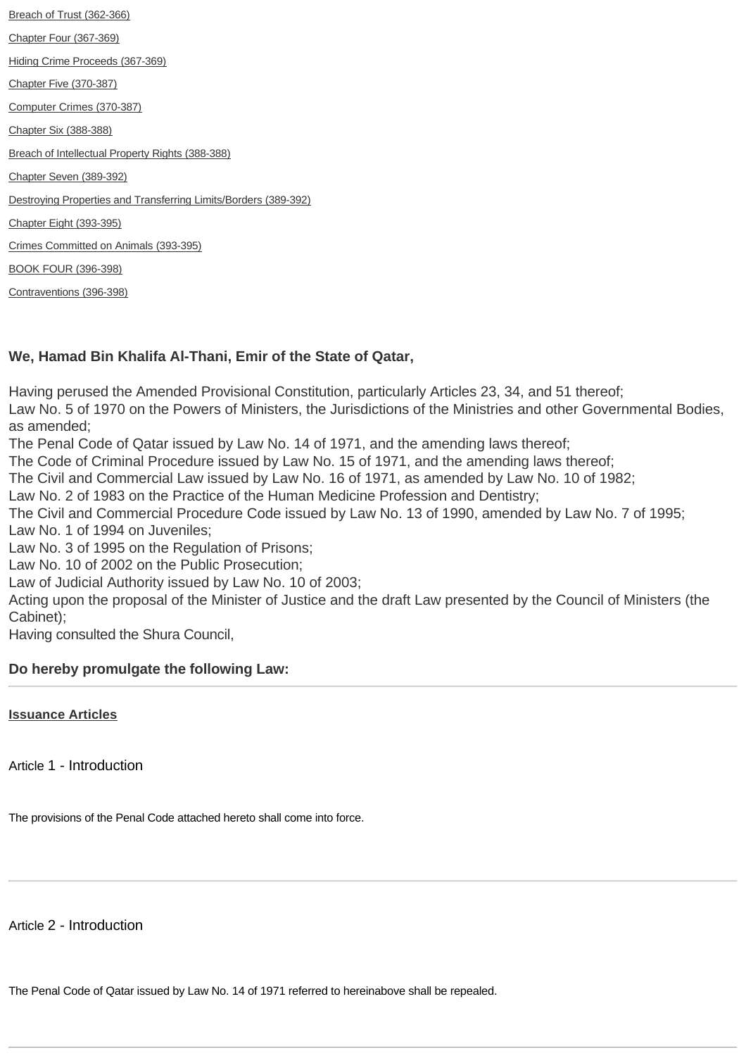[Breach of Trust \(362-366\)](#page-70-1) [Chapter Four \(367-369\)](#page-71-0) [Hiding Crime Proceeds \(367-369\)](#page-71-1) [Chapter Five \(370-387\)](#page-71-2) [Computer Crimes \(370-387\)](#page-71-3) [Chapter Six \(388-388\)](#page-74-0) [Breach of Intellectual Property Rights \(388-388\)](#page-74-1) [Chapter Seven \(389-392\)](#page-74-2) [Destroying Properties and Transferring Limits/Borders \(389-392\)](#page-74-3) [Chapter Eight \(393-395\)](#page-75-0) [Crimes Committed on Animals \(393-395\)](#page-75-1) [BOOK FOUR \(396-398\)](#page-76-0) [Contraventions \(396-398\)](#page-76-1)

## **We, Hamad Bin Khalifa Al-Thani, Emir of the State of Qatar,**

Having perused the Amended Provisional Constitution, particularly Articles 23, 34, and 51 thereof; Law No. 5 of 1970 on the Powers of Ministers, the Jurisdictions of the Ministries and other Governmental Bodies, as amended;

The Penal Code of Qatar issued by Law No. 14 of 1971, and the amending laws thereof;

The Code of Criminal Procedure issued by Law No. 15 of 1971, and the amending laws thereof;

The Civil and Commercial Law issued by Law No. 16 of 1971, as amended by Law No. 10 of 1982;

Law No. 2 of 1983 on the Practice of the Human Medicine Profession and Dentistry;

The Civil and Commercial Procedure Code issued by Law No. 13 of 1990, amended by Law No. 7 of 1995; Law No. 1 of 1994 on Juveniles;

Law No. 3 of 1995 on the Regulation of Prisons;

Law No. 10 of 2002 on the Public Prosecution;

Law of Judicial Authority issued by Law No. 10 of 2003;

Acting upon the proposal of the Minister of Justice and the draft Law presented by the Council of Ministers (the Cabinet);

Having consulted the Shura Council,

## **Do hereby promulgate the following Law:**

<span id="page-3-0"></span>**[Issuance Articles](http://www.almeezan.qa/DownloadPage.aspx?Target=All&type=2&lawID=26&language=en#)**

Article 1 - Introduction

The provisions of the Penal Code attached hereto shall come into force.

Article 2 - Introduction

The Penal Code of Qatar issued by Law No. 14 of 1971 referred to hereinabove shall be repealed.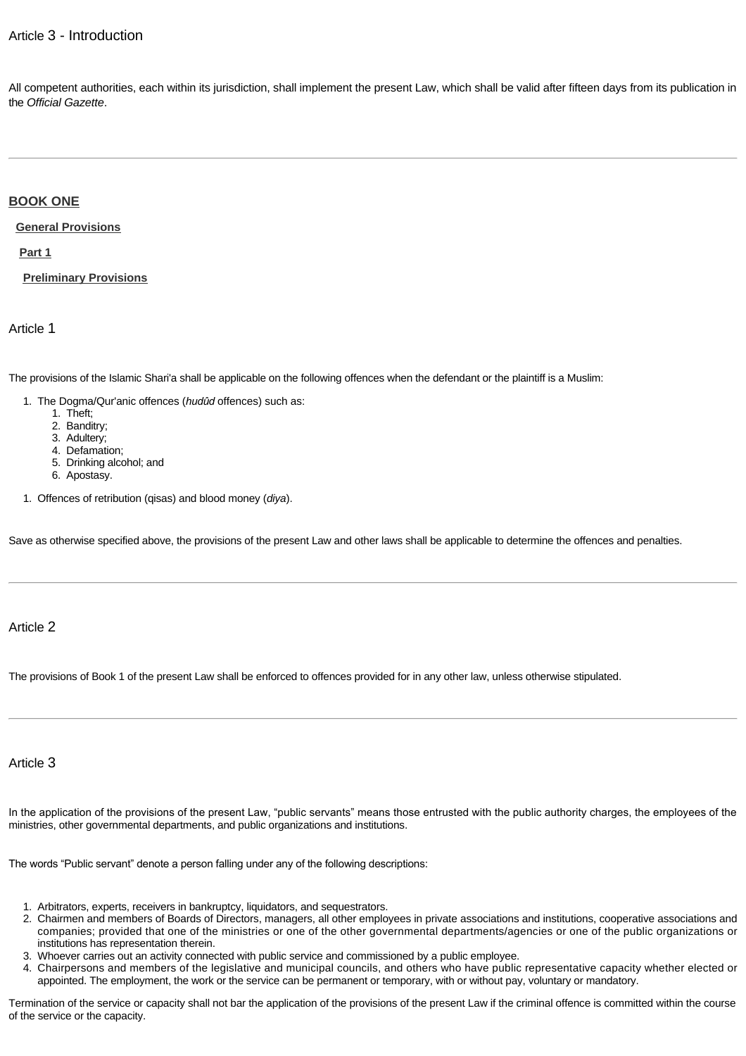## Article 3 - Introduction

All competent authorities, each within its jurisdiction, shall implement the present Law, which shall be valid after fifteen days from its publication in the *Official Gazette*.

## <span id="page-4-0"></span>**[BOOK ONE](http://www.almeezan.qa/DownloadPage.aspx?Target=All&type=2&lawID=26&language=en#)**

#### <span id="page-4-1"></span>**[General Provisions](http://www.almeezan.qa/DownloadPage.aspx?Target=All&type=2&lawID=26&language=en#)**

<span id="page-4-2"></span>**[Part 1](http://www.almeezan.qa/DownloadPage.aspx?Target=All&type=2&lawID=26&language=en#)**

<span id="page-4-3"></span>**[Preliminary Provisions](http://www.almeezan.qa/DownloadPage.aspx?Target=All&type=2&lawID=26&language=en#)**

Article 1

The provisions of the Islamic Shari'a shall be applicable on the following offences when the defendant or the plaintiff is a Muslim:

- 1. The Dogma/Qur'anic offences (*hudûd* offences) such as:
	- 1. Theft;
	- 2. Banditry;
	- 3. Adultery;
	- 4. Defamation;
	- 5. Drinking alcohol; and
	- 6. Apostasy.
- 1. Offences of retribution (qisas) and blood money (*diya*).

Save as otherwise specified above, the provisions of the present Law and other laws shall be applicable to determine the offences and penalties.

## Article 2

The provisions of Book 1 of the present Law shall be enforced to offences provided for in any other law, unless otherwise stipulated.

#### Article 3

In the application of the provisions of the present Law, "public servants" means those entrusted with the public authority charges, the employees of the ministries, other governmental departments, and public organizations and institutions.

The words "Public servant" denote a person falling under any of the following descriptions:

- 1. Arbitrators, experts, receivers in bankruptcy, liquidators, and sequestrators.
- 2. Chairmen and members of Boards of Directors, managers, all other employees in private associations and institutions, cooperative associations and companies; provided that one of the ministries or one of the other governmental departments/agencies or one of the public organizations or institutions has representation therein.
- 3. Whoever carries out an activity connected with public service and commissioned by a public employee.
- 4. Chairpersons and members of the legislative and municipal councils, and others who have public representative capacity whether elected or appointed. The employment, the work or the service can be permanent or temporary, with or without pay, voluntary or mandatory.

Termination of the service or capacity shall not bar the application of the provisions of the present Law if the criminal offence is committed within the course of the service or the capacity.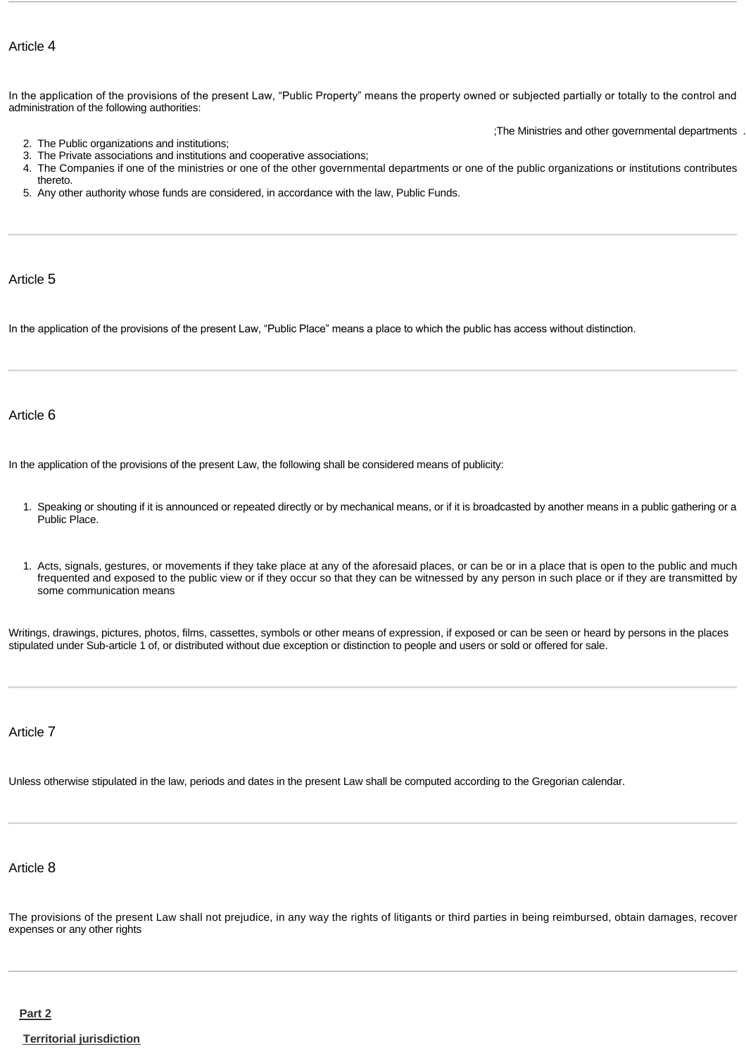In the application of the provisions of the present Law, "Public Property" means the property owned or subjected partially or totally to the control and administration of the following authorities:

;The Ministries and other governmental departments .

- 2. The Public organizations and institutions;
- 3. The Private associations and institutions and cooperative associations;
- 4. The Companies if one of the ministries or one of the other governmental departments or one of the public organizations or institutions contributes thereto.
- 5. Any other authority whose funds are considered, in accordance with the law, Public Funds.

Article 5

In the application of the provisions of the present Law, "Public Place" means a place to which the public has access without distinction.

#### Article 6

In the application of the provisions of the present Law, the following shall be considered means of publicity:

- 1. Speaking or shouting if it is announced or repeated directly or by mechanical means, or if it is broadcasted by another means in a public gathering or a Public Place.
- 1. Acts, signals, gestures, or movements if they take place at any of the aforesaid places, or can be or in a place that is open to the public and much frequented and exposed to the public view or if they occur so that they can be witnessed by any person in such place or if they are transmitted by some communication means

Writings, drawings, pictures, photos, films, cassettes, symbols or other means of expression, if exposed or can be seen or heard by persons in the places stipulated under Sub-article 1 of, or distributed without due exception or distinction to people and users or sold or offered for sale.

Article 7

Unless otherwise stipulated in the law, periods and dates in the present Law shall be computed according to the Gregorian calendar.

## Article 8

The provisions of the present Law shall not prejudice, in any way the rights of litigants or third parties in being reimbursed, obtain damages, recover expenses or any other rights

#### <span id="page-5-0"></span>**[Part 2](http://www.almeezan.qa/DownloadPage.aspx?Target=All&type=2&lawID=26&language=en#)**

#### <span id="page-5-1"></span>**[Territorial jurisdiction](http://www.almeezan.qa/DownloadPage.aspx?Target=All&type=2&lawID=26&language=en#)**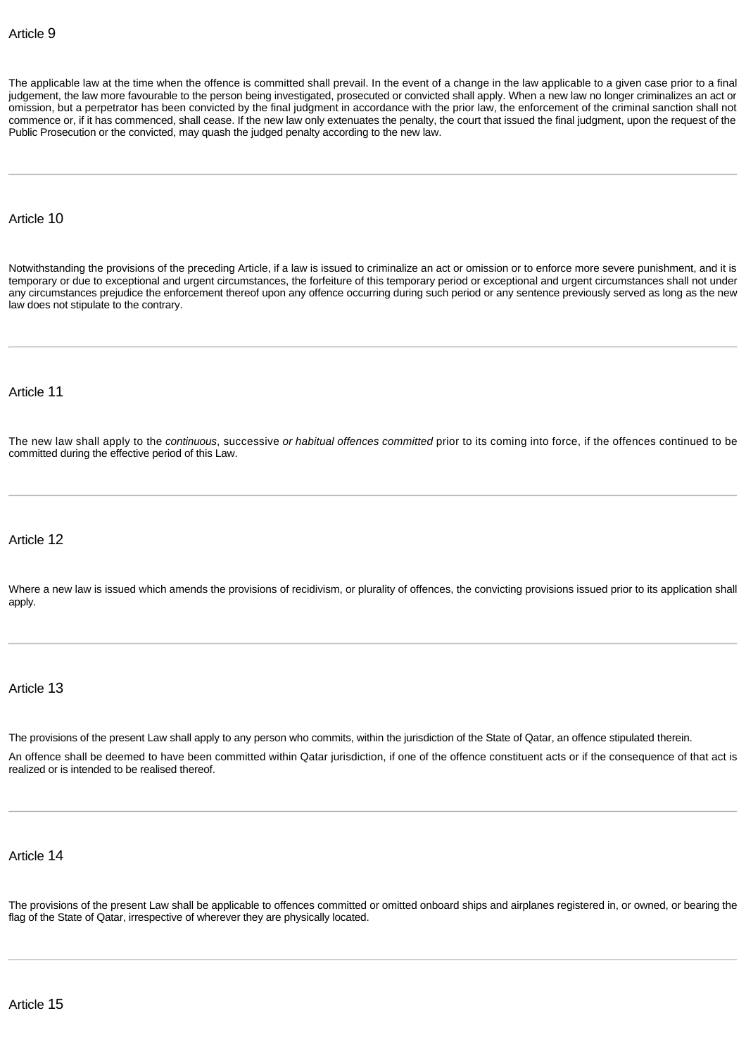The applicable law at the time when the offence is committed shall prevail. In the event of a change in the law applicable to a given case prior to a final judgement, the law more favourable to the person being investigated, prosecuted or convicted shall apply. When a new law no longer criminalizes an act or omission, but a perpetrator has been convicted by the final judgment in accordance with the prior law, the enforcement of the criminal sanction shall not commence or, if it has commenced, shall cease. If the new law only extenuates the penalty, the court that issued the final judgment, upon the request of the Public Prosecution or the convicted, may quash the judged penalty according to the new law.

## Article 10

Notwithstanding the provisions of the preceding Article, if a law is issued to criminalize an act or omission or to enforce more severe punishment, and it is temporary or due to exceptional and urgent circumstances, the forfeiture of this temporary period or exceptional and urgent circumstances shall not under any circumstances prejudice the enforcement thereof upon any offence occurring during such period or any sentence previously served as long as the new law does not stipulate to the contrary.

## Article 11

The new law shall apply to the *continuous*, successive *or habitual offences committed* prior to its coming into force, if the offences continued to be committed during the effective period of this Law.

#### Article 12

Where a new law is issued which amends the provisions of recidivism, or plurality of offences, the convicting provisions issued prior to its application shall apply.

## Article 13

The provisions of the present Law shall apply to any person who commits, within the jurisdiction of the State of Qatar, an offence stipulated therein.

An offence shall be deemed to have been committed within Qatar jurisdiction, if one of the offence constituent acts or if the consequence of that act is realized or is intended to be realised thereof.

#### Article 14

The provisions of the present Law shall be applicable to offences committed or omitted onboard ships and airplanes registered in, or owned, or bearing the flag of the State of Qatar, irrespective of wherever they are physically located.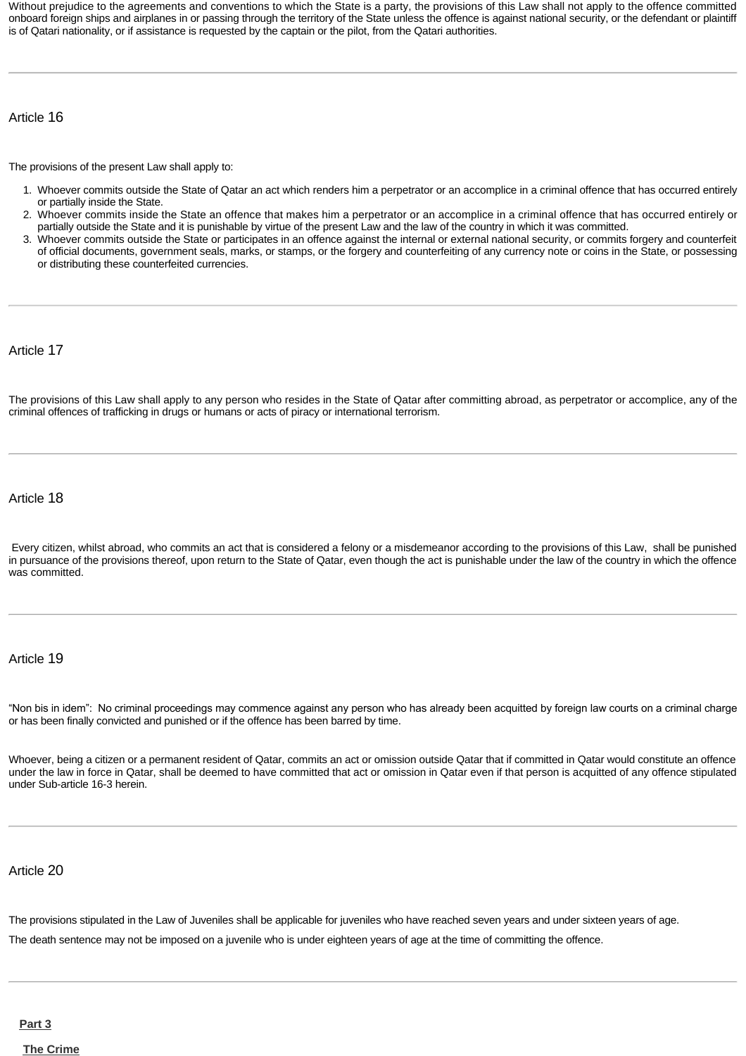Without prejudice to the agreements and conventions to which the State is a party, the provisions of this Law shall not apply to the offence committed onboard foreign ships and airplanes in or passing through the territory of the State unless the offence is against national security, or the defendant or plaintiff is of Qatari nationality, or if assistance is requested by the captain or the pilot, from the Qatari authorities.

## Article 16

The provisions of the present Law shall apply to:

- 1. Whoever commits outside the State of Qatar an act which renders him a perpetrator or an accomplice in a criminal offence that has occurred entirely or partially inside the State.
- 2. Whoever commits inside the State an offence that makes him a perpetrator or an accomplice in a criminal offence that has occurred entirely or partially outside the State and it is punishable by virtue of the present Law and the law of the country in which it was committed.
- 3. Whoever commits outside the State or participates in an offence against the internal or external national security, or commits forgery and counterfeit of official documents, government seals, marks, or stamps, or the forgery and counterfeiting of any currency note or coins in the State, or possessing or distributing these counterfeited currencies.

Article 17

The provisions of this Law shall apply to any person who resides in the State of Qatar after committing abroad, as perpetrator or accomplice, any of the criminal offences of trafficking in drugs or humans or acts of piracy or international terrorism.

Article 18

 Every citizen, whilst abroad, who commits an act that is considered a felony or a misdemeanor according to the provisions of this Law, shall be punished in pursuance of the provisions thereof, upon return to the State of Qatar, even though the act is punishable under the law of the country in which the offence was committed.

### Article 19

"Non bis in idem": No criminal proceedings may commence against any person who has already been acquitted by foreign law courts on a criminal charge or has been finally convicted and punished or if the offence has been barred by time.

Whoever, being a citizen or a permanent resident of Qatar, commits an act or omission outside Qatar that if committed in Qatar would constitute an offence under the law in force in Qatar, shall be deemed to have committed that act or omission in Qatar even if that person is acquitted of any offence stipulated under Sub-article 16-3 herein.

## Article 20

The provisions stipulated in the Law of Juveniles shall be applicable for juveniles who have reached seven years and under sixteen years of age.

The death sentence may not be imposed on a juvenile who is under eighteen years of age at the time of committing the offence.

<span id="page-7-0"></span>**[Part 3](http://www.almeezan.qa/DownloadPage.aspx?Target=All&type=2&lawID=26&language=en#)**

<span id="page-7-1"></span>**[The Crime](http://www.almeezan.qa/DownloadPage.aspx?Target=All&type=2&lawID=26&language=en#)**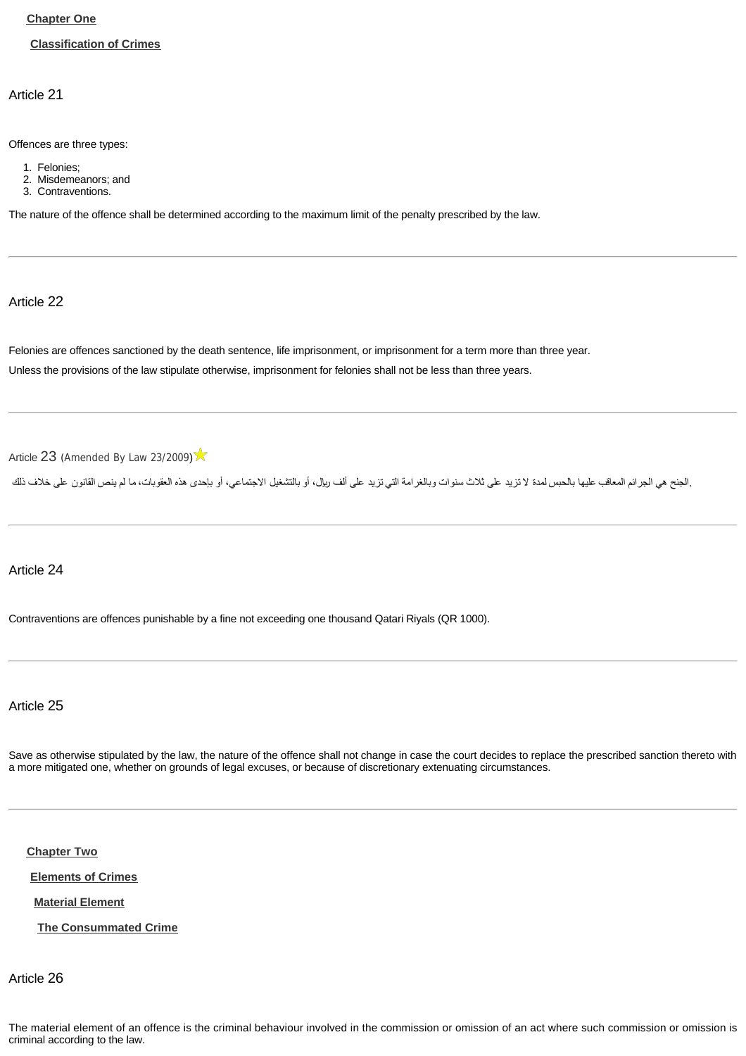## <span id="page-8-0"></span>**[Chapter One](http://www.almeezan.qa/DownloadPage.aspx?Target=All&type=2&lawID=26&language=en#)**

#### <span id="page-8-1"></span>**[Classification of Crimes](http://www.almeezan.qa/DownloadPage.aspx?Target=All&type=2&lawID=26&language=en#)**

Article 21

Offences are three types:

- 1. Felonies;
- 2. Misdemeanors; and
- 3. Contraventions.

The nature of the offence shall be determined according to the maximum limit of the penalty prescribed by the law.

Article 22

Felonies are offences sanctioned by the death sentence, life imprisonment, or imprisonment for a term more than three year. Unless the provisions of the law stipulate otherwise, imprisonment for felonies shall not be less than three years.

[Article](http://www.almeezan.qa/LawArticles.aspx?LawArticleID=60636&lawId=26&language=en) [23](http://www.almeezan.qa/LawArticles.aspx?LawArticleID=60636&lawId=26&language=en) ([Amended By Law 23/2009](http://www.almeezan.qa/LawPage.aspx?id=2561&language=en))

.الجنح هي الجرائم المعاقب عليها بالحبس لمدة لا تزيد على ثلاث سنائل التي تزيد على ألف ريال، أو بالتشغيل الاجتماعي، أو بإحدى هذه العقوبات، ما لم ينص القانون على خلاف ذلك

Article 24

Contraventions are offences punishable by a fine not exceeding one thousand Qatari Riyals (QR 1000).

Article 25

Save as otherwise stipulated by the law, the nature of the offence shall not change in case the court decides to replace the prescribed sanction thereto with a more mitigated one, whether on grounds of legal excuses, or because of discretionary extenuating circumstances.

<span id="page-8-2"></span>**[Chapter Two](http://www.almeezan.qa/DownloadPage.aspx?Target=All&type=2&lawID=26&language=en#)**

<span id="page-8-3"></span>**[Elements of Crimes](http://www.almeezan.qa/DownloadPage.aspx?Target=All&type=2&lawID=26&language=en#)**

<span id="page-8-4"></span>**[Material Element](http://www.almeezan.qa/DownloadPage.aspx?Target=All&type=2&lawID=26&language=en#)**

<span id="page-8-5"></span>**[The Consummated Crime](http://www.almeezan.qa/DownloadPage.aspx?Target=All&type=2&lawID=26&language=en#)**

Article 26

The material element of an offence is the criminal behaviour involved in the commission or omission of an act where such commission or omission is criminal according to the law.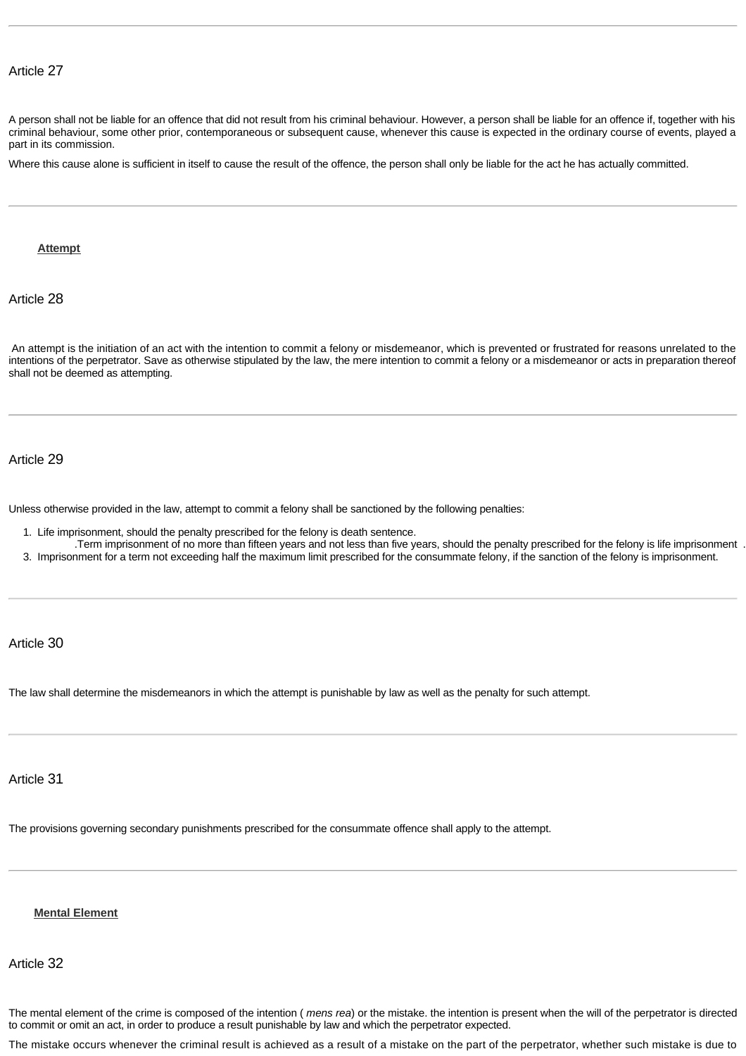A person shall not be liable for an offence that did not result from his criminal behaviour. However, a person shall be liable for an offence if, together with his criminal behaviour, some other prior, contemporaneous or subsequent cause, whenever this cause is expected in the ordinary course of events, played a part in its commission.

Where this cause alone is sufficient in itself to cause the result of the offence, the person shall only be liable for the act he has actually committed.

#### <span id="page-9-0"></span>**[Attempt](http://www.almeezan.qa/DownloadPage.aspx?Target=All&type=2&lawID=26&language=en#)**

Article 28

 An attempt is the initiation of an act with the intention to commit a felony or misdemeanor, which is prevented or frustrated for reasons unrelated to the intentions of the perpetrator. Save as otherwise stipulated by the law, the mere intention to commit a felony or a misdemeanor or acts in preparation thereof shall not be deemed as attempting.

## Article 29

Unless otherwise provided in the law, attempt to commit a felony shall be sanctioned by the following penalties:

- 1. Life imprisonment, should the penalty prescribed for the felony is death sentence.
- .Term imprisonment of no more than fifteen years and not less than five years, should the penalty prescribed for the felony is life imprisonment .
- 3. Imprisonment for a term not exceeding half the maximum limit prescribed for the consummate felony, if the sanction of the felony is imprisonment.

Article 30

The law shall determine the misdemeanors in which the attempt is punishable by law as well as the penalty for such attempt.

## Article 31

The provisions governing secondary punishments prescribed for the consummate offence shall apply to the attempt.

## <span id="page-9-1"></span>**[Mental Element](http://www.almeezan.qa/DownloadPage.aspx?Target=All&type=2&lawID=26&language=en#)**

Article 32

The mental element of the crime is composed of the intention ( *mens rea*) or the mistake. the intention is present when the will of the perpetrator is directed to commit or omit an act, in order to produce a result punishable by law and which the perpetrator expected.

The mistake occurs whenever the criminal result is achieved as a result of a mistake on the part of the perpetrator, whether such mistake is due to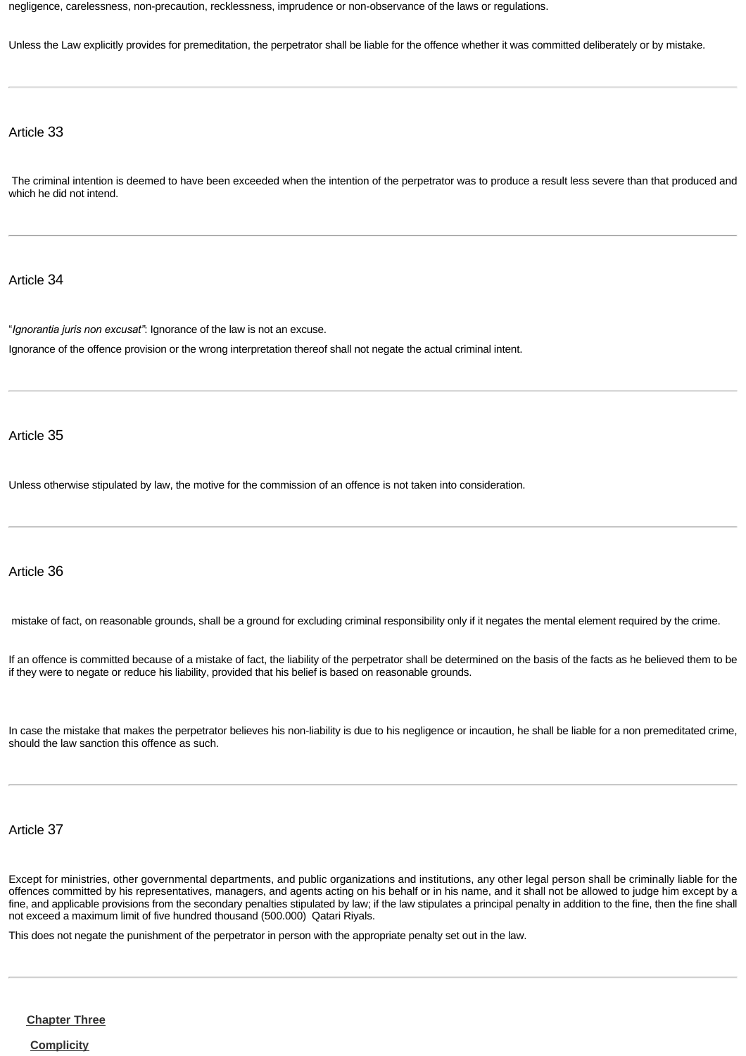negligence, carelessness, non-precaution, recklessness, imprudence or non-observance of the laws or regulations.

Unless the Law explicitly provides for premeditation, the perpetrator shall be liable for the offence whether it was committed deliberately or by mistake.

Article 33

 The criminal intention is deemed to have been exceeded when the intention of the perpetrator was to produce a result less severe than that produced and which he did not intend.

Article 34

"*Ignorantia juris non excusat"*: Ignorance of the law is not an excuse. Ignorance of the offence provision or the wrong interpretation thereof shall not negate the actual criminal intent.

Article 35

Unless otherwise stipulated by law, the motive for the commission of an offence is not taken into consideration.

## Article 36

mistake of fact, on reasonable grounds, shall be a ground for excluding criminal responsibility only if it negates the mental element required by the crime.

If an offence is committed because of a mistake of fact, the liability of the perpetrator shall be determined on the basis of the facts as he believed them to be if they were to negate or reduce his liability, provided that his belief is based on reasonable grounds.

In case the mistake that makes the perpetrator believes his non-liability is due to his negligence or incaution, he shall be liable for a non premeditated crime, should the law sanction this offence as such.

Article 37

Except for ministries, other governmental departments, and public organizations and institutions, any other legal person shall be criminally liable for the offences committed by his representatives, managers, and agents acting on his behalf or in his name, and it shall not be allowed to judge him except by a fine, and applicable provisions from the secondary penalties stipulated by law; if the law stipulates a principal penalty in addition to the fine, then the fine shall not exceed a maximum limit of five hundred thousand (500.000) Qatari Riyals.

This does not negate the punishment of the perpetrator in person with the appropriate penalty set out in the law.

<span id="page-10-0"></span>**[Chapter Three](http://www.almeezan.qa/DownloadPage.aspx?Target=All&type=2&lawID=26&language=en#)**

<span id="page-10-1"></span>**[Complicity](http://www.almeezan.qa/DownloadPage.aspx?Target=All&type=2&lawID=26&language=en#)**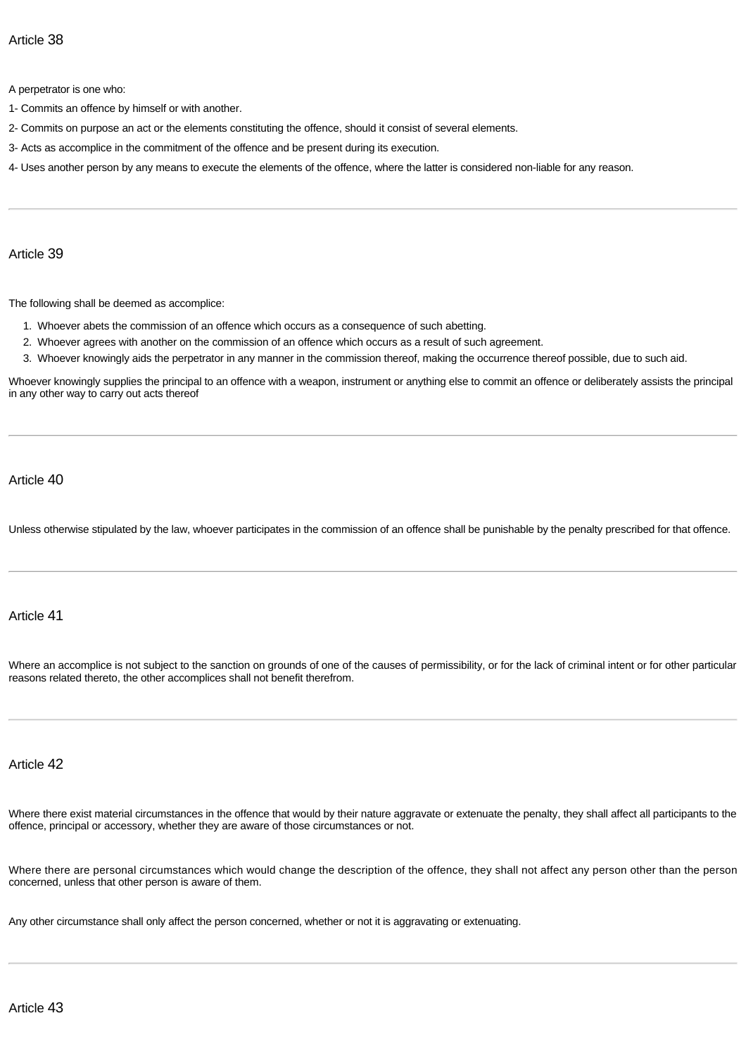A perpetrator is one who:

- 1- Commits an offence by himself or with another.
- 2- Commits on purpose an act or the elements constituting the offence, should it consist of several elements.
- 3- Acts as accomplice in the commitment of the offence and be present during its execution.
- 4- Uses another person by any means to execute the elements of the offence, where the latter is considered non-liable for any reason.

Article 39

The following shall be deemed as accomplice:

- 1. Whoever abets the commission of an offence which occurs as a consequence of such abetting.
- 2. Whoever agrees with another on the commission of an offence which occurs as a result of such agreement.
- 3. Whoever knowingly aids the perpetrator in any manner in the commission thereof, making the occurrence thereof possible, due to such aid.

Whoever knowingly supplies the principal to an offence with a weapon, instrument or anything else to commit an offence or deliberately assists the principal in any other way to carry out acts thereof

Article 40

Unless otherwise stipulated by the law, whoever participates in the commission of an offence shall be punishable by the penalty prescribed for that offence.

## Article 41

Where an accomplice is not subject to the sanction on grounds of one of the causes of permissibility, or for the lack of criminal intent or for other particular reasons related thereto, the other accomplices shall not benefit therefrom.

#### Article 42

Where there exist material circumstances in the offence that would by their nature aggravate or extenuate the penalty, they shall affect all participants to the offence, principal or accessory, whether they are aware of those circumstances or not.

Where there are personal circumstances which would change the description of the offence, they shall not affect any person other than the person concerned, unless that other person is aware of them.

Any other circumstance shall only affect the person concerned, whether or not it is aggravating or extenuating.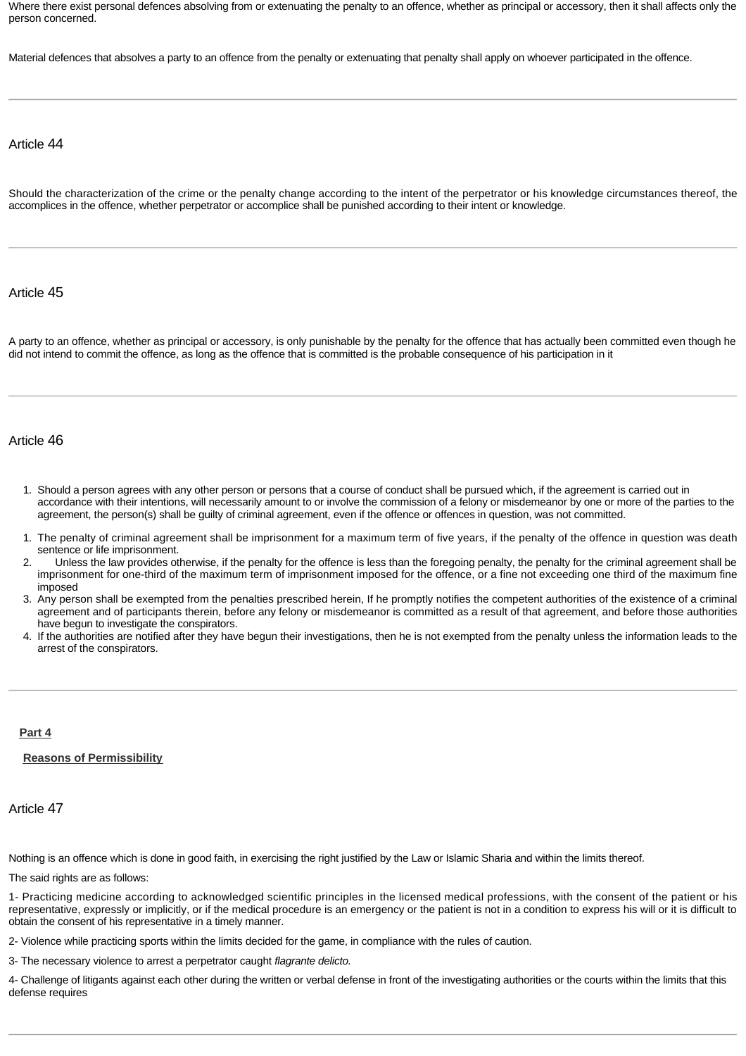Where there exist personal defences absolving from or extenuating the penalty to an offence, whether as principal or accessory, then it shall affects only the person concerned.

Material defences that absolves a party to an offence from the penalty or extenuating that penalty shall apply on whoever participated in the offence.

#### Article 44

Should the characterization of the crime or the penalty change according to the intent of the perpetrator or his knowledge circumstances thereof, the accomplices in the offence, whether perpetrator or accomplice shall be punished according to their intent or knowledge.

#### Article 45

A party to an offence, whether as principal or accessory, is only punishable by the penalty for the offence that has actually been committed even though he did not intend to commit the offence, as long as the offence that is committed is the probable consequence of his participation in it

#### Article 46

- 1. Should a person agrees with any other person or persons that a course of conduct shall be pursued which, if the agreement is carried out in accordance with their intentions, will necessarily amount to or involve the commission of a felony or misdemeanor by one or more of the parties to the agreement, the person(s) shall be guilty of criminal agreement, even if the offence or offences in question, was not committed.
- 1. The penalty of criminal agreement shall be imprisonment for a maximum term of five years, if the penalty of the offence in question was death sentence or life imprisonment.
- 2. Unless the law provides otherwise, if the penalty for the offence is less than the foregoing penalty, the penalty for the criminal agreement shall be imprisonment for one-third of the maximum term of imprisonment imposed for the offence, or a fine not exceeding one third of the maximum fine imposed
- 3. Any person shall be exempted from the penalties prescribed herein, If he promptly notifies the competent authorities of the existence of a criminal agreement and of participants therein, before any felony or misdemeanor is committed as a result of that agreement, and before those authorities have begun to investigate the conspirators.
- 4. If the authorities are notified after they have begun their investigations, then he is not exempted from the penalty unless the information leads to the arrest of the conspirators.

#### <span id="page-12-0"></span>**[Part 4](http://www.almeezan.qa/DownloadPage.aspx?Target=All&type=2&lawID=26&language=en#)**

#### <span id="page-12-1"></span>**[Reasons of Permissibility](http://www.almeezan.qa/DownloadPage.aspx?Target=All&type=2&lawID=26&language=en#)**

#### Article 47

Nothing is an offence which is done in good faith, in exercising the right justified by the Law or Islamic Sharia and within the limits thereof.

The said rights are as follows:

1- Practicing medicine according to acknowledged scientific principles in the licensed medical professions, with the consent of the patient or his representative, expressly or implicitly, or if the medical procedure is an emergency or the patient is not in a condition to express his will or it is difficult to obtain the consent of his representative in a timely manner.

2- Violence while practicing sports within the limits decided for the game, in compliance with the rules of caution.

3- The necessary violence to arrest a perpetrator caught *flagrante delicto.*

4- Challenge of litigants against each other during the written or verbal defense in front of the investigating authorities or the courts within the limits that this defense requires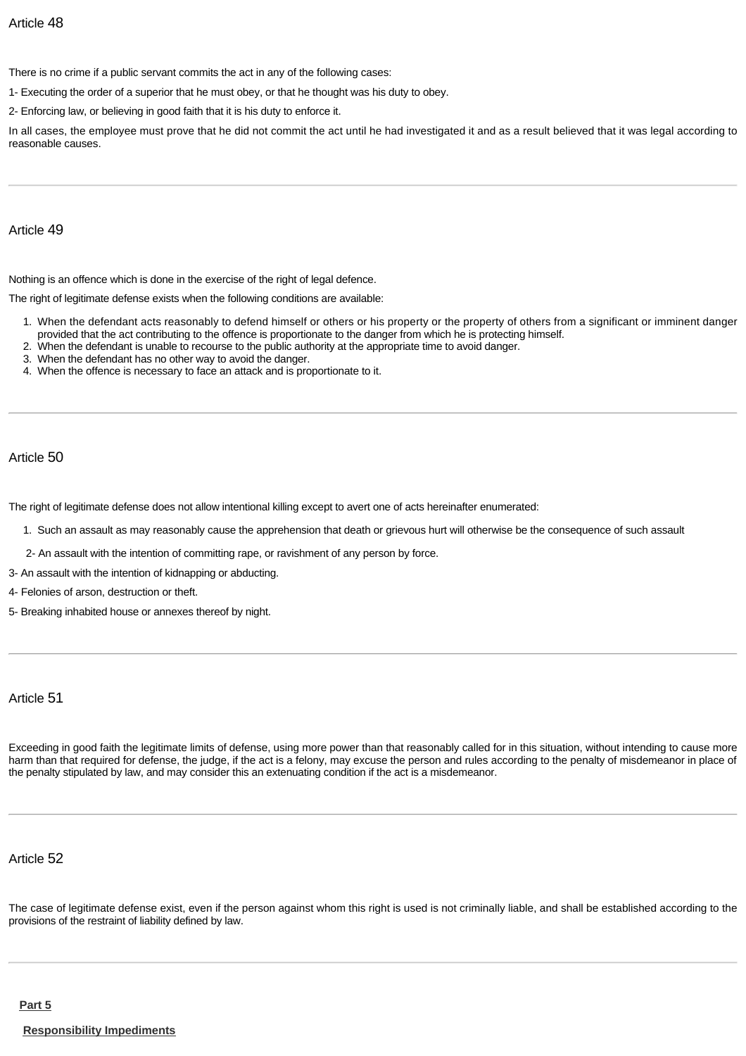There is no crime if a public servant commits the act in any of the following cases:

1- Executing the order of a superior that he must obey, or that he thought was his duty to obey.

2- Enforcing law, or believing in good faith that it is his duty to enforce it.

In all cases, the employee must prove that he did not commit the act until he had investigated it and as a result believed that it was legal according to reasonable causes.

#### Article 49

Nothing is an offence which is done in the exercise of the right of legal defence.

The right of legitimate defense exists when the following conditions are available:

- 1. When the defendant acts reasonably to defend himself or others or his property or the property of others from a significant or imminent danger provided that the act contributing to the offence is proportionate to the danger from which he is protecting himself.
- 2. When the defendant is unable to recourse to the public authority at the appropriate time to avoid danger.
- 3. When the defendant has no other way to avoid the danger.
- 4. When the offence is necessary to face an attack and is proportionate to it.

## Article 50

The right of legitimate defense does not allow intentional killing except to avert one of acts hereinafter enumerated:

- 1. Such an assault as may reasonably cause the apprehension that death or grievous hurt will otherwise be the consequence of such assault
- 2- An assault with the intention of committing rape, or ravishment of any person by force.
- 3- An assault with the intention of kidnapping or abducting.
- 4- Felonies of arson, destruction or theft.
- 5- Breaking inhabited house or annexes thereof by night.

## Article 51

Exceeding in good faith the legitimate limits of defense, using more power than that reasonably called for in this situation, without intending to cause more harm than that required for defense, the judge, if the act is a felony, may excuse the person and rules according to the penalty of misdemeanor in place of the penalty stipulated by law, and may consider this an extenuating condition if the act is a misdemeanor.

## Article 52

<span id="page-13-1"></span><span id="page-13-0"></span>The case of legitimate defense exist, even if the person against whom this right is used is not criminally liable, and shall be established according to the provisions of the restraint of liability defined by law.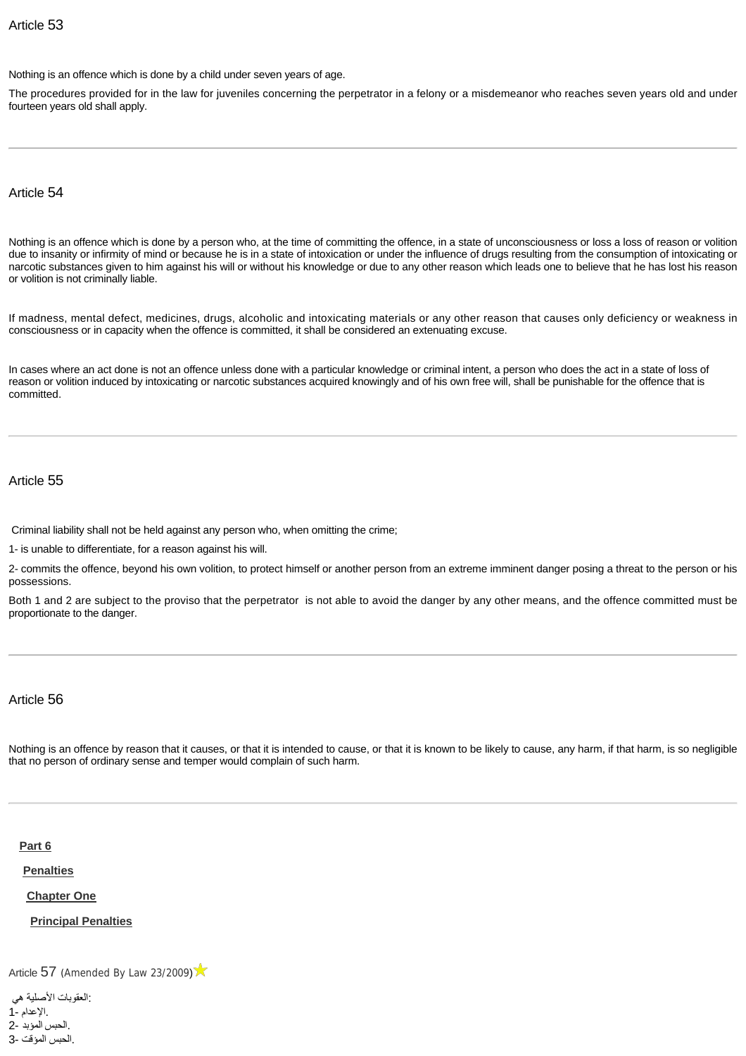Nothing is an offence which is done by a child under seven years of age.

The procedures provided for in the law for juveniles concerning the perpetrator in a felony or a misdemeanor who reaches seven years old and under fourteen years old shall apply.

Article 54

Nothing is an offence which is done by a person who, at the time of committing the offence, in a state of unconsciousness or loss a loss of reason or volition due to insanity or infirmity of mind or because he is in a state of intoxication or under the influence of drugs resulting from the consumption of intoxicating or narcotic substances given to him against his will or without his knowledge or due to any other reason which leads one to believe that he has lost his reason or volition is not criminally liable.

If madness, mental defect, medicines, drugs, alcoholic and intoxicating materials or any other reason that causes only deficiency or weakness in consciousness or in capacity when the offence is committed, it shall be considered an extenuating excuse.

In cases where an act done is not an offence unless done with a particular knowledge or criminal intent, a person who does the act in a state of loss of reason or volition induced by intoxicating or narcotic substances acquired knowingly and of his own free will, shall be punishable for the offence that is committed.

Article 55

Criminal liability shall not be held against any person who, when omitting the crime;

1- is unable to differentiate, for a reason against his will.

2- commits the offence, beyond his own volition, to protect himself or another person from an extreme imminent danger posing a threat to the person or his possessions.

Both 1 and 2 are subject to the proviso that the perpetrator is not able to avoid the danger by any other means, and the offence committed must be proportionate to the danger.

Article 56

Nothing is an offence by reason that it causes, or that it is intended to cause, or that it is known to be likely to cause, any harm, if that harm, is so negligible that no person of ordinary sense and temper would complain of such harm.

<span id="page-14-0"></span>**[Part 6](http://www.almeezan.qa/DownloadPage.aspx?Target=All&type=2&lawID=26&language=en#)**

<span id="page-14-1"></span>**[Penalties](http://www.almeezan.qa/DownloadPage.aspx?Target=All&type=2&lawID=26&language=en#)**

<span id="page-14-2"></span>**[Chapter One](http://www.almeezan.qa/DownloadPage.aspx?Target=All&type=2&lawID=26&language=en#)**

<span id="page-14-3"></span>**[Principal Penalties](http://www.almeezan.qa/DownloadPage.aspx?Target=All&type=2&lawID=26&language=en#)**

[Article](http://www.almeezan.qa/LawArticles.aspx?LawArticleID=60637&lawId=26&language=en) [57](http://www.almeezan.qa/LawArticles.aspx?LawArticleID=60637&lawId=26&language=en) ([Amended By Law 23/2009](http://www.almeezan.qa/LawPage.aspx?id=2561&language=en))

 :العقوبات الأصلية هي .الإعدام 1- .الحبس المؤبد 2- .الحبس المؤقت 3-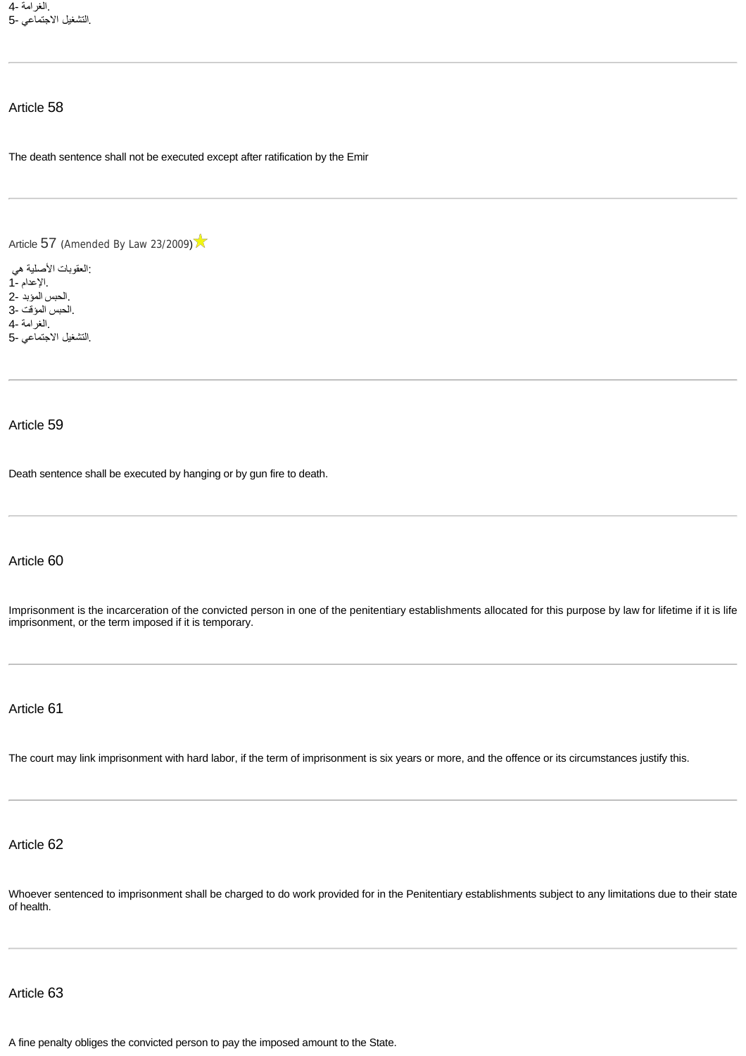.الغرامة 4- .التشغيل الاجتماعي 5-

The death sentence shall not be executed except after ratification by the Emir

[Article](http://www.almeezan.qa/LawArticles.aspx?LawArticleID=60637&lawId=26&language=en) [57](http://www.almeezan.qa/LawArticles.aspx?LawArticleID=60637&lawId=26&language=en) ([Amended By Law 23/2009](http://www.almeezan.qa/LawPage.aspx?id=2561&language=en))

 :العقوبات الأصلية هي .الإعدام 1- .الحبس المؤبد 2- .الحبس المؤقت 3- .الغرامة 4- .التشغيل الاجتماعي 5-

#### Article 59

Death sentence shall be executed by hanging or by gun fire to death.

## Article 60

Imprisonment is the incarceration of the convicted person in one of the penitentiary establishments allocated for this purpose by law for lifetime if it is life imprisonment, or the term imposed if it is temporary.

Article 61

The court may link imprisonment with hard labor, if the term of imprisonment is six years or more, and the offence or its circumstances justify this.

Article 62

Whoever sentenced to imprisonment shall be charged to do work provided for in the Penitentiary establishments subject to any limitations due to their state of health.

## Article 63

A fine penalty obliges the convicted person to pay the imposed amount to the State.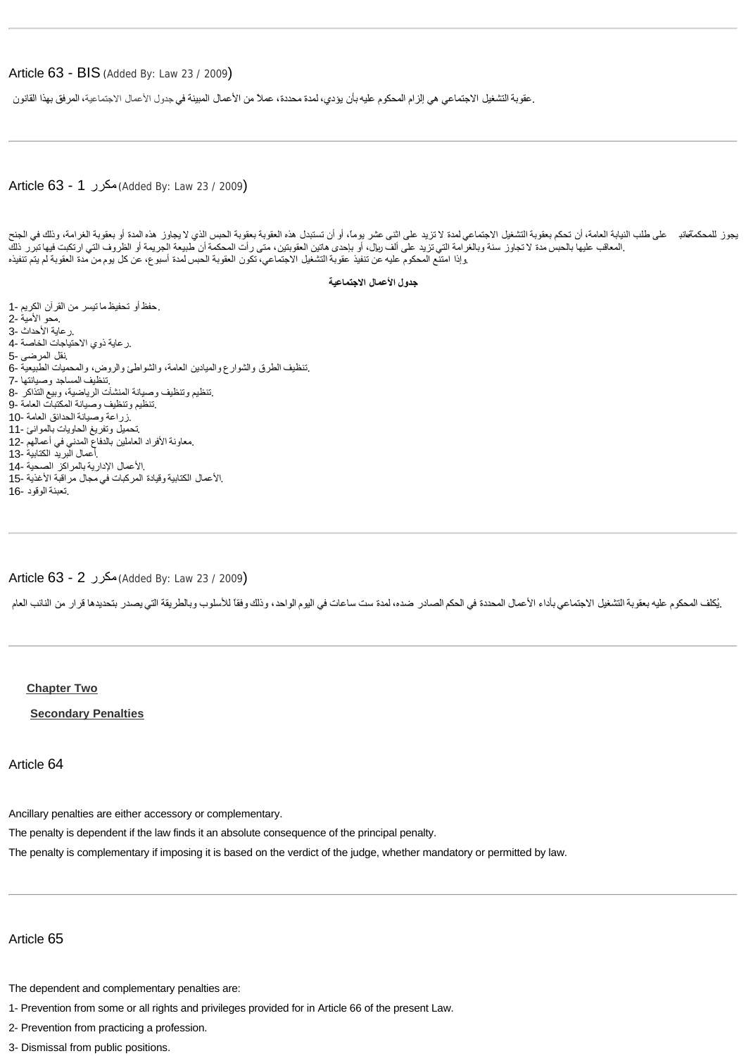#### Article 63 - BIS ([Added By: Law 23 / 2009](http://www.almeezan.qa/LawPage.aspx?id=2561))

.عقوبةالتشغيل الاجتماعي هي إلزام المحكوم عليهبأن يؤدي ٬لمدة محددة ٬عملاً من الأعمال المبينة في جدول الأعمال [الاجتماعية](http://www.almeezan.qa/LawArticles.aspx?LawArticleID=61311&LawID=4628&language=ar) ٬المرفق بهذا القانون

#### Article 63 - 1 مكرر) [Added By: Law 23 / 2009](http://www.almeezan.qa/LawPage.aspx?id=2561))

يجوز للمحكمةهانب حلى طلب النيابة العامة، أن تحكم بعقوبة التشغيل الاجتماعية التزيد على اثنى اثنى اثنى اثنى اثنى اثنى عشر به المدة أو بعقوبة الغرامة، وذلك في الجنح .المعاقب عليها بالحبس مدة لا تجاوز سنة وبالغرامة التي تزيد على ألف ريال، أو بإحدى هاتين العقوبتين، متى رأت المحكمة أن طبيعة الجريمة أو الظروف التي ارتكبت فيها تبرر ذلك .وإذا امتنع المحكوم عليه عن تنفيذ عقوبة التشغيل الاجتماعي ٬تكون العقوبة الحبس لمدة أسبوع ٬عن كل يوم من مدة العقوبة لم يتم تنفيذه

#### **جدول الأعمال الاجتماعية**

 .حفظ أو تحفيظ ما تيسر من القرآن الكريم 1- .محو الأمية 2- .رعاية الأحداث 3- .رعاية ذوي الاحتياجات الخاصة 4- .نقل المرضى 5- .تنظيف الطرق والشوارع والميادين العامة ٬والشواطئ والروض ٬والمحميات الطبيعية 6- .تنظيف المساجد وصيانتها 7- .تنظيم وتنظيف وصيانة المنشآت الرياضية ٬وبيع التذاكر 8- .تنظيم وتنظيف وصيانة المكتبات العامة 9- .زراعة وصيانة الحدائق العامة 10- .تحميل وتفريغ الحاويات بالموانئ 11- .معاونة الأفراد العاملين بالدفاع المدني في أعمالهم 12- .أعمال البريد الكتابية 13- .الأعمال الإدارية بالمراكز الصحية 14- .الأعمال الكتابية وقيادة المركبات في مجال مراقبة الأغذية 15- .تعبئة الوقود 16-

#### Article 63 - 2 مكرر) [Added By: Law 23 / 2009](http://www.almeezan.qa/LawPage.aspx?id=2561))

.يُكلف المحكوم عليه بعقوبة التشغيل الاجتماعي بأداء الأعمال المحددة في الحكم المحتم ست ساعات في اليوم الواحد، وذلك وفقاً للأسلوب وبالطريقة التي يصدر بتحديدها قرار من النائب العام

#### <span id="page-16-0"></span>**[Chapter Two](http://www.almeezan.qa/DownloadPage.aspx?Target=All&type=2&lawID=26&language=en#)**

<span id="page-16-1"></span>**[Secondary Penalties](http://www.almeezan.qa/DownloadPage.aspx?Target=All&type=2&lawID=26&language=en#)**

Article 64

Ancillary penalties are either accessory or complementary.

The penalty is dependent if the law finds it an absolute consequence of the principal penalty.

The penalty is complementary if imposing it is based on the verdict of the judge, whether mandatory or permitted by law.

#### Article 65

The dependent and complementary penalties are:

1- Prevention from some or all rights and privileges provided for in Article 66 of the present Law.

2- Prevention from practicing a profession.

3- Dismissal from public positions.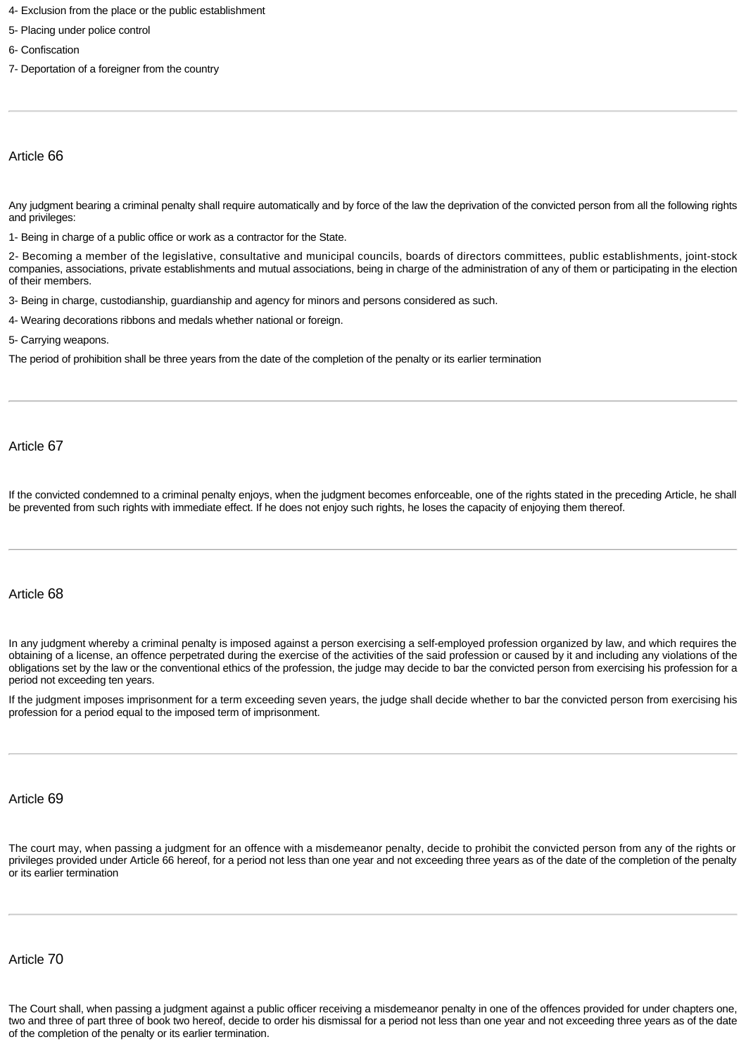- 4- Exclusion from the place or the public establishment
- 5- Placing under police control
- 6- Confiscation
- 7- Deportation of a foreigner from the country

Any judgment bearing a criminal penalty shall require automatically and by force of the law the deprivation of the convicted person from all the following rights and privileges:

1- Being in charge of a public office or work as a contractor for the State.

2- Becoming a member of the legislative, consultative and municipal councils, boards of directors committees, public establishments, joint-stock companies, associations, private establishments and mutual associations, being in charge of the administration of any of them or participating in the election of their members.

3- Being in charge, custodianship, guardianship and agency for minors and persons considered as such.

4- Wearing decorations ribbons and medals whether national or foreign.

5- Carrying weapons.

The period of prohibition shall be three years from the date of the completion of the penalty or its earlier termination

Article 67

If the convicted condemned to a criminal penalty enjoys, when the judgment becomes enforceable, one of the rights stated in the preceding Article, he shall be prevented from such rights with immediate effect. If he does not enjoy such rights, he loses the capacity of enjoying them thereof.

#### Article 68

In any judgment whereby a criminal penalty is imposed against a person exercising a self-employed profession organized by law, and which requires the obtaining of a license, an offence perpetrated during the exercise of the activities of the said profession or caused by it and including any violations of the obligations set by the law or the conventional ethics of the profession, the judge may decide to bar the convicted person from exercising his profession for a period not exceeding ten years.

If the judgment imposes imprisonment for a term exceeding seven years, the judge shall decide whether to bar the convicted person from exercising his profession for a period equal to the imposed term of imprisonment.

#### Article 69

The court may, when passing a judgment for an offence with a misdemeanor penalty, decide to prohibit the convicted person from any of the rights or privileges provided under Article 66 hereof, for a period not less than one year and not exceeding three years as of the date of the completion of the penalty or its earlier termination

## Article 70

The Court shall, when passing a judgment against a public officer receiving a misdemeanor penalty in one of the offences provided for under chapters one, two and three of part three of book two hereof, decide to order his dismissal for a period not less than one year and not exceeding three years as of the date of the completion of the penalty or its earlier termination.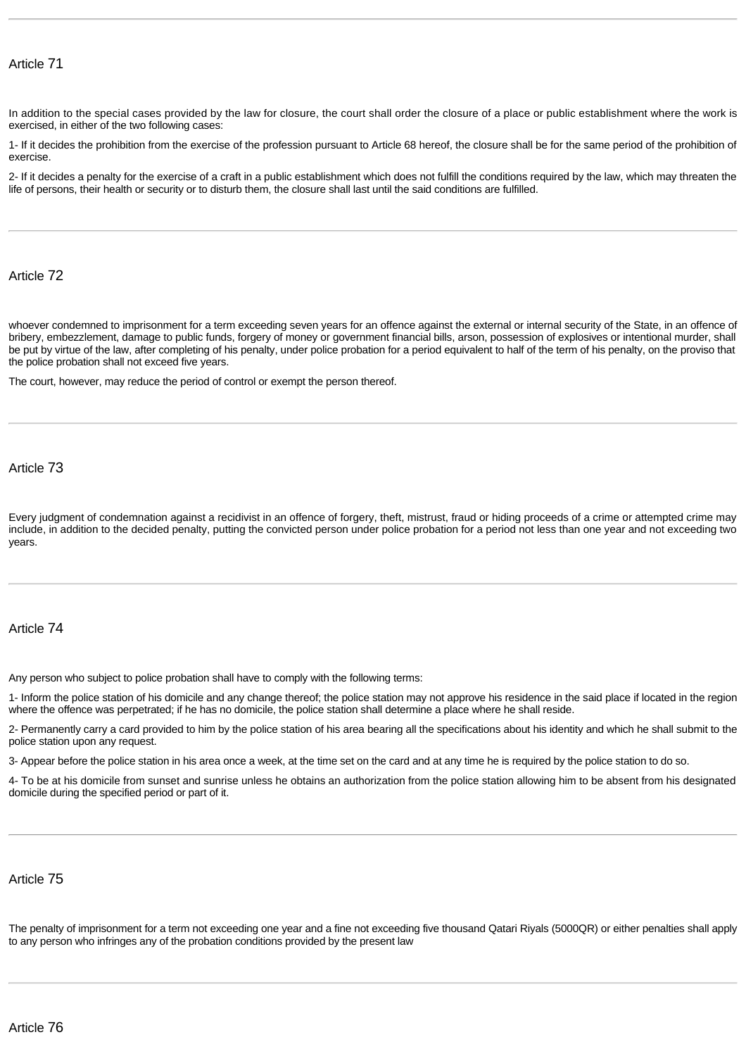In addition to the special cases provided by the law for closure, the court shall order the closure of a place or public establishment where the work is exercised, in either of the two following cases:

1- If it decides the prohibition from the exercise of the profession pursuant to Article 68 hereof, the closure shall be for the same period of the prohibition of exercise.

2- If it decides a penalty for the exercise of a craft in a public establishment which does not fulfill the conditions required by the law, which may threaten the life of persons, their health or security or to disturb them, the closure shall last until the said conditions are fulfilled.

Article 72

whoever condemned to imprisonment for a term exceeding seven years for an offence against the external or internal security of the State, in an offence of bribery, embezzlement, damage to public funds, forgery of money or government financial bills, arson, possession of explosives or intentional murder, shall be put by virtue of the law, after completing of his penalty, under police probation for a period equivalent to half of the term of his penalty, on the proviso that the police probation shall not exceed five years.

The court, however, may reduce the period of control or exempt the person thereof.

#### Article 73

Every judgment of condemnation against a recidivist in an offence of forgery, theft, mistrust, fraud or hiding proceeds of a crime or attempted crime may include, in addition to the decided penalty, putting the convicted person under police probation for a period not less than one year and not exceeding two years.

#### Article 74

Any person who subject to police probation shall have to comply with the following terms:

1- Inform the police station of his domicile and any change thereof; the police station may not approve his residence in the said place if located in the region where the offence was perpetrated; if he has no domicile, the police station shall determine a place where he shall reside.

2- Permanently carry a card provided to him by the police station of his area bearing all the specifications about his identity and which he shall submit to the police station upon any request.

3- Appear before the police station in his area once a week, at the time set on the card and at any time he is required by the police station to do so.

4- To be at his domicile from sunset and sunrise unless he obtains an authorization from the police station allowing him to be absent from his designated domicile during the specified period or part of it.

#### Article 75

The penalty of imprisonment for a term not exceeding one year and a fine not exceeding five thousand Qatari Riyals (5000QR) or either penalties shall apply to any person who infringes any of the probation conditions provided by the present law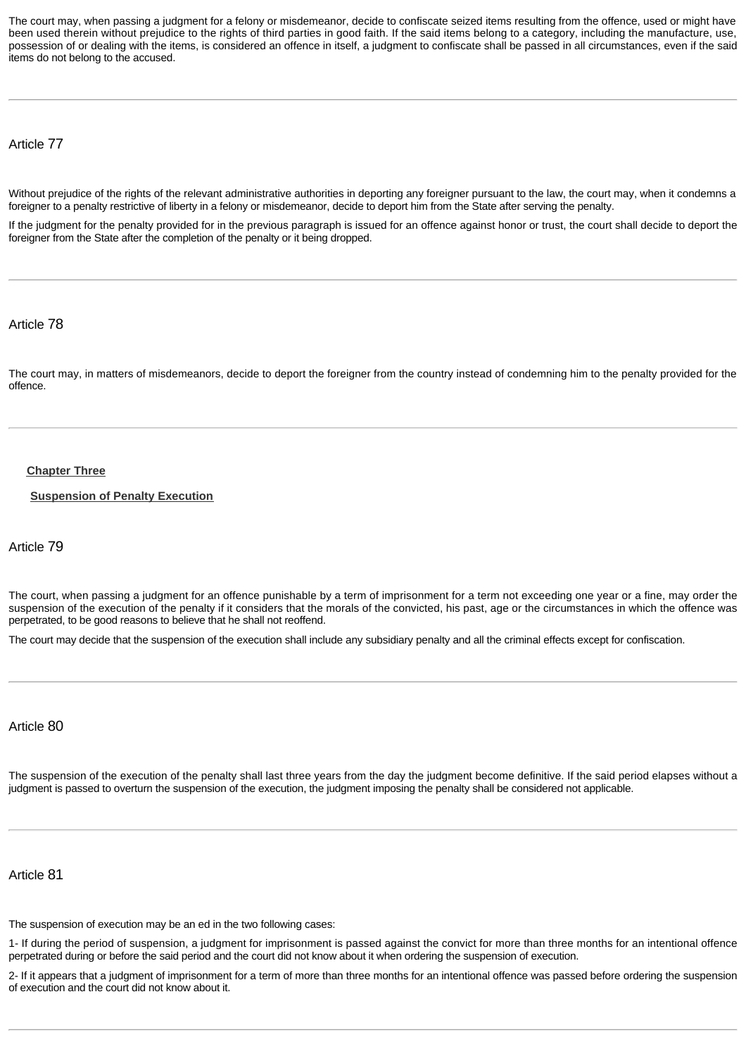The court may, when passing a judgment for a felony or misdemeanor, decide to confiscate seized items resulting from the offence, used or might have been used therein without prejudice to the rights of third parties in good faith. If the said items belong to a category, including the manufacture, use, possession of or dealing with the items, is considered an offence in itself, a judgment to confiscate shall be passed in all circumstances, even if the said items do not belong to the accused.

Article 77

Without prejudice of the rights of the relevant administrative authorities in deporting any foreigner pursuant to the law, the court may, when it condemns a foreigner to a penalty restrictive of liberty in a felony or misdemeanor, decide to deport him from the State after serving the penalty.

If the judgment for the penalty provided for in the previous paragraph is issued for an offence against honor or trust, the court shall decide to deport the foreigner from the State after the completion of the penalty or it being dropped.

Article 78

The court may, in matters of misdemeanors, decide to deport the foreigner from the country instead of condemning him to the penalty provided for the offence.

#### <span id="page-19-0"></span>**[Chapter Three](http://www.almeezan.qa/DownloadPage.aspx?Target=All&type=2&lawID=26&language=en#)**

<span id="page-19-1"></span>**[Suspension of Penalty Execution](http://www.almeezan.qa/DownloadPage.aspx?Target=All&type=2&lawID=26&language=en#)**

Article 79

The court, when passing a judgment for an offence punishable by a term of imprisonment for a term not exceeding one year or a fine, may order the suspension of the execution of the penalty if it considers that the morals of the convicted, his past, age or the circumstances in which the offence was perpetrated, to be good reasons to believe that he shall not reoffend.

The court may decide that the suspension of the execution shall include any subsidiary penalty and all the criminal effects except for confiscation.

Article 80

The suspension of the execution of the penalty shall last three years from the day the judgment become definitive. If the said period elapses without a judgment is passed to overturn the suspension of the execution, the judgment imposing the penalty shall be considered not applicable.

Article 81

The suspension of execution may be an ed in the two following cases:

1- If during the period of suspension, a judgment for imprisonment is passed against the convict for more than three months for an intentional offence perpetrated during or before the said period and the court did not know about it when ordering the suspension of execution.

2- If it appears that a judgment of imprisonment for a term of more than three months for an intentional offence was passed before ordering the suspension of execution and the court did not know about it.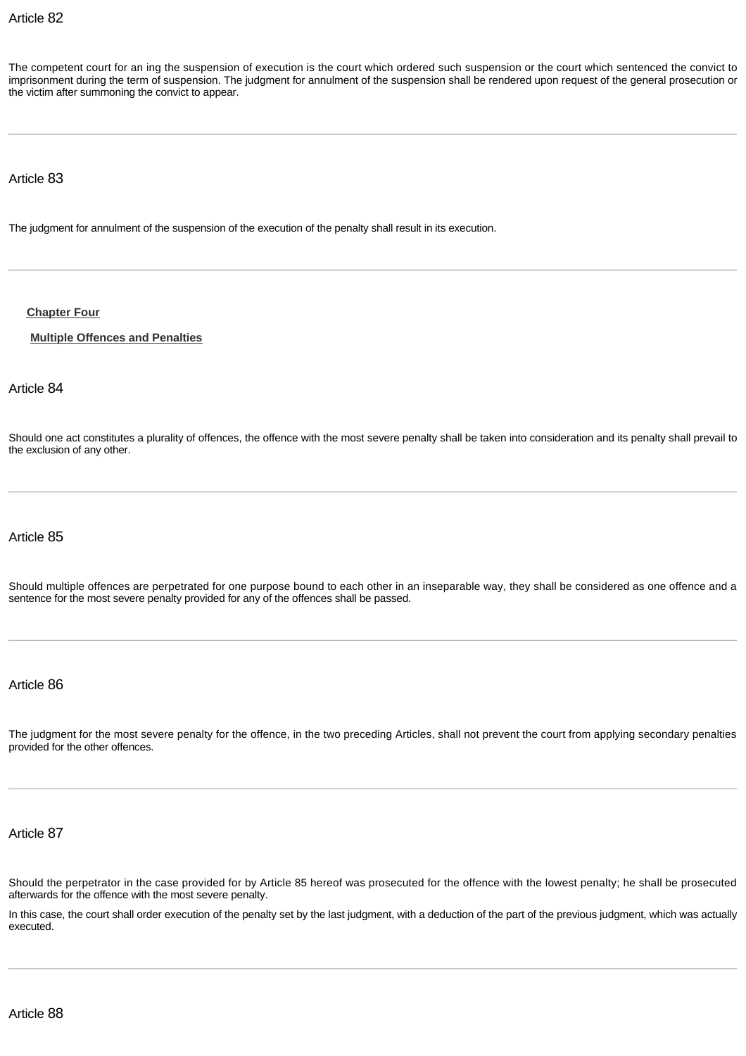The competent court for an ing the suspension of execution is the court which ordered such suspension or the court which sentenced the convict to imprisonment during the term of suspension. The judgment for annulment of the suspension shall be rendered upon request of the general prosecution or the victim after summoning the convict to appear.

#### Article 83

The judgment for annulment of the suspension of the execution of the penalty shall result in its execution.

#### <span id="page-20-0"></span>**[Chapter Four](http://www.almeezan.qa/DownloadPage.aspx?Target=All&type=2&lawID=26&language=en#)**

#### <span id="page-20-1"></span>**[Multiple Offences and Penalties](http://www.almeezan.qa/DownloadPage.aspx?Target=All&type=2&lawID=26&language=en#)**

## Article 84

Should one act constitutes a plurality of offences, the offence with the most severe penalty shall be taken into consideration and its penalty shall prevail to the exclusion of any other.

Article 85

Should multiple offences are perpetrated for one purpose bound to each other in an inseparable way, they shall be considered as one offence and a sentence for the most severe penalty provided for any of the offences shall be passed.

#### Article 86

The judgment for the most severe penalty for the offence, in the two preceding Articles, shall not prevent the court from applying secondary penalties provided for the other offences.

Article 87

Should the perpetrator in the case provided for by Article 85 hereof was prosecuted for the offence with the lowest penalty; he shall be prosecuted afterwards for the offence with the most severe penalty.

In this case, the court shall order execution of the penalty set by the last judgment, with a deduction of the part of the previous judgment, which was actually executed.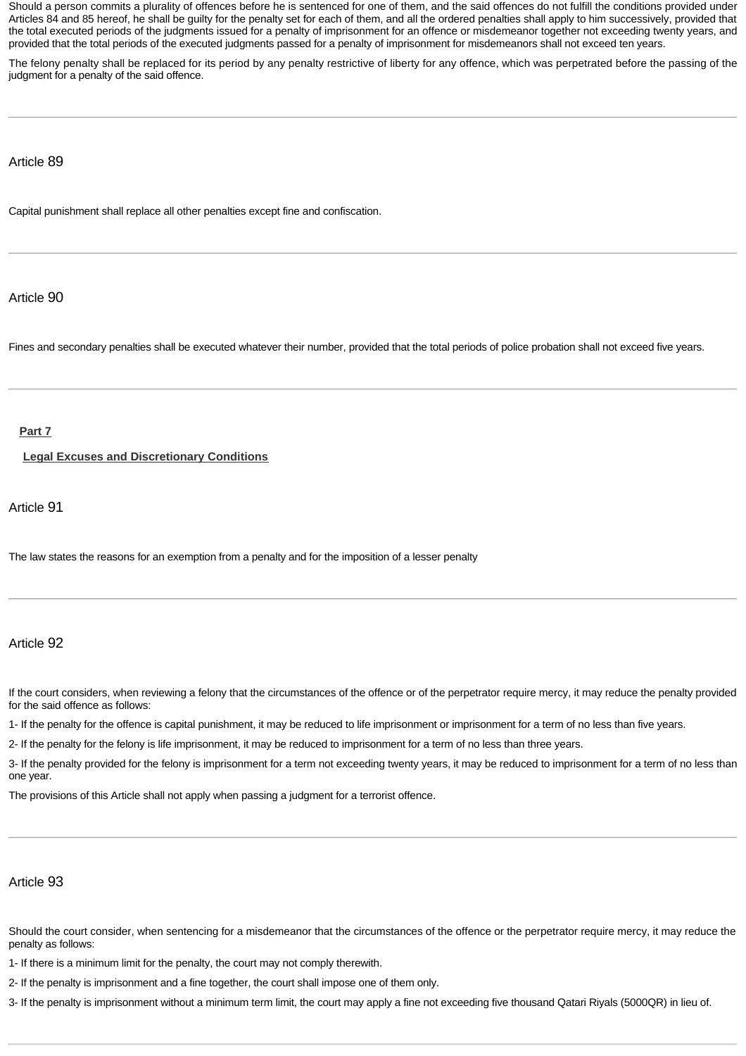Should a person commits a plurality of offences before he is sentenced for one of them, and the said offences do not fulfill the conditions provided under Articles 84 and 85 hereof, he shall be guilty for the penalty set for each of them, and all the ordered penalties shall apply to him successively, provided that the total executed periods of the judgments issued for a penalty of imprisonment for an offence or misdemeanor together not exceeding twenty years, and provided that the total periods of the executed judgments passed for a penalty of imprisonment for misdemeanors shall not exceed ten years.

The felony penalty shall be replaced for its period by any penalty restrictive of liberty for any offence, which was perpetrated before the passing of the judgment for a penalty of the said offence.

#### Article 89

Capital punishment shall replace all other penalties except fine and confiscation.

## Article 90

Fines and secondary penalties shall be executed whatever their number, provided that the total periods of police probation shall not exceed five years.

## <span id="page-21-0"></span>**[Part 7](http://www.almeezan.qa/DownloadPage.aspx?Target=All&type=2&lawID=26&language=en#)**

<span id="page-21-1"></span>**[Legal Excuses and Discretionary Conditions](http://www.almeezan.qa/DownloadPage.aspx?Target=All&type=2&lawID=26&language=en#)**

## Article 91

The law states the reasons for an exemption from a penalty and for the imposition of a lesser penalty

#### Article 92

If the court considers, when reviewing a felony that the circumstances of the offence or of the perpetrator require mercy, it may reduce the penalty provided for the said offence as follows:

1- If the penalty for the offence is capital punishment, it may be reduced to life imprisonment or imprisonment for a term of no less than five years.

2- If the penalty for the felony is life imprisonment, it may be reduced to imprisonment for a term of no less than three years.

3- If the penalty provided for the felony is imprisonment for a term not exceeding twenty years, it may be reduced to imprisonment for a term of no less than one year.

The provisions of this Article shall not apply when passing a judgment for a terrorist offence.

## Article 93

Should the court consider, when sentencing for a misdemeanor that the circumstances of the offence or the perpetrator require mercy, it may reduce the penalty as follows:

1- If there is a minimum limit for the penalty, the court may not comply therewith.

2- If the penalty is imprisonment and a fine together, the court shall impose one of them only.

3- If the penalty is imprisonment without a minimum term limit, the court may apply a fine not exceeding five thousand Qatari Riyals (5000QR) in lieu of.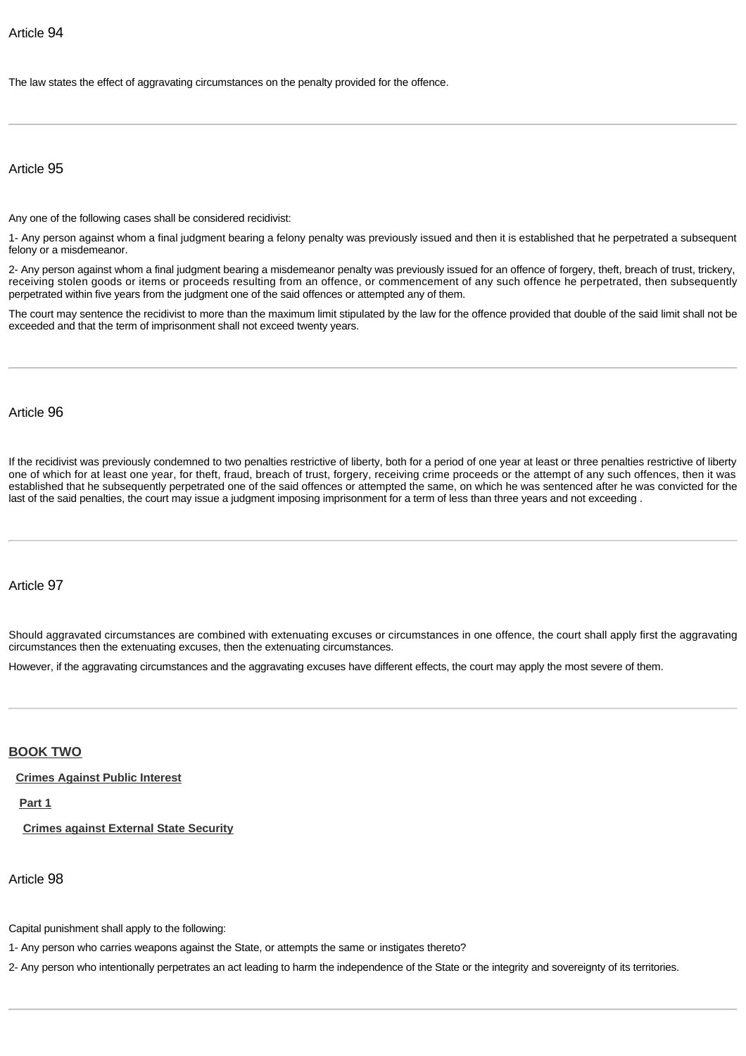The law states the effect of aggravating circumstances on the penalty provided for the offence.

#### Article 95

Any one of the following cases shall be considered recidivist:

1- Any person against whom a final judgment bearing a felony penalty was previously issued and then it is established that he perpetrated a subsequent felony or a misdemeanor.

2- Any person against whom a final judgment bearing a misdemeanor penalty was previously issued for an offence of forgery, theft, breach of trust, trickery, receiving stolen goods or items or proceeds resulting from an offence, or commencement of any such offence he perpetrated, then subsequently perpetrated within five years from the judgment one of the said offences or attempted any of them.

The court may sentence the recidivist to more than the maximum limit stipulated by the law for the offence provided that double of the said limit shall not be exceeded and that the term of imprisonment shall not exceed twenty years.

#### Article 96

If the recidivist was previously condemned to two penalties restrictive of liberty, both for a period of one year at least or three penalties restrictive of liberty one of which for at least one year, for theft, fraud, breach of trust, forgery, receiving crime proceeds or the attempt of any such offences, then it was established that he subsequently perpetrated one of the said offences or attempted the same, on which he was sentenced after he was convicted for the last of the said penalties, the court may issue a judgment imposing imprisonment for a term of less than three years and not exceeding .

#### Article 97

Should aggravated circumstances are combined with extenuating excuses or circumstances in one offence, the court shall apply first the aggravating circumstances then the extenuating excuses, then the extenuating circumstances.

However, if the aggravating circumstances and the aggravating excuses have different effects, the court may apply the most severe of them.

#### <span id="page-22-0"></span>**[BOOK TWO](http://www.almeezan.qa/DownloadPage.aspx?Target=All&type=2&lawID=26&language=en#)**

<span id="page-22-1"></span>**[Crimes Against Public Interest](http://www.almeezan.qa/DownloadPage.aspx?Target=All&type=2&lawID=26&language=en#)**

<span id="page-22-2"></span>**[Part 1](http://www.almeezan.qa/DownloadPage.aspx?Target=All&type=2&lawID=26&language=en#)**

<span id="page-22-3"></span>**[Crimes against External State Security](http://www.almeezan.qa/DownloadPage.aspx?Target=All&type=2&lawID=26&language=en#)**

Article 98

Capital punishment shall apply to the following:

1- Any person who carries weapons against the State, or attempts the same or instigates thereto?

2- Any person who intentionally perpetrates an act leading to harm the independence of the State or the integrity and sovereignty of its territories.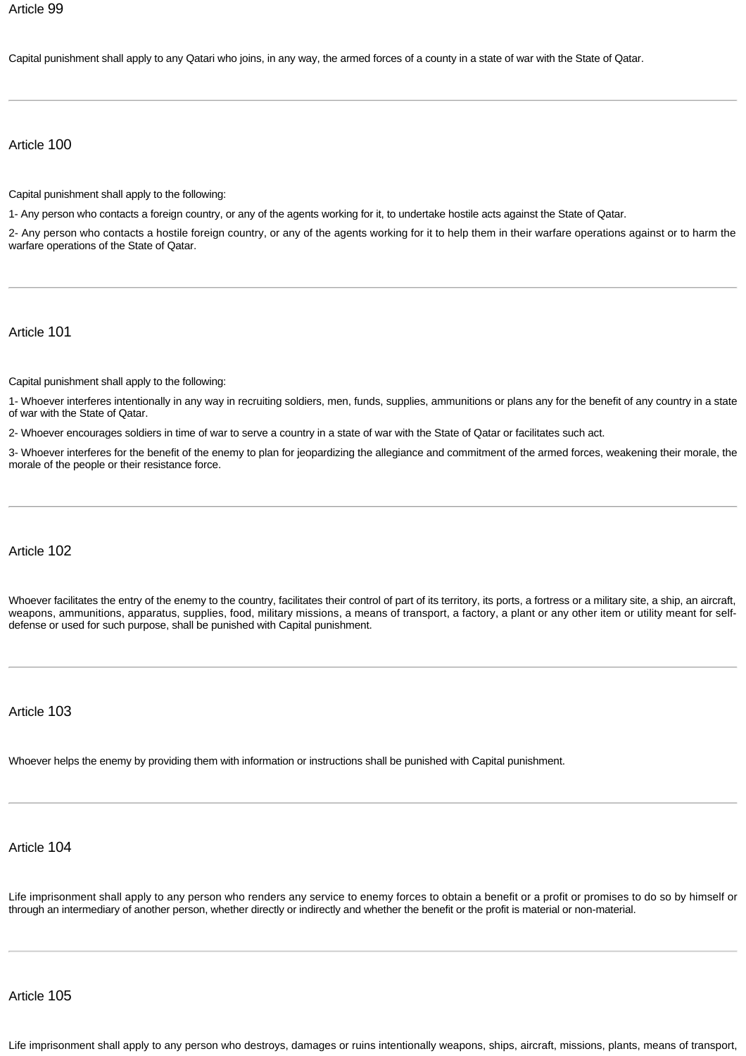Capital punishment shall apply to any Qatari who joins, in any way, the armed forces of a county in a state of war with the State of Qatar.

## Article 100

Capital punishment shall apply to the following:

1- Any person who contacts a foreign country, or any of the agents working for it, to undertake hostile acts against the State of Qatar.

2- Any person who contacts a hostile foreign country, or any of the agents working for it to help them in their warfare operations against or to harm the warfare operations of the State of Qatar.

Article 101

Capital punishment shall apply to the following:

1- Whoever interferes intentionally in any way in recruiting soldiers, men, funds, supplies, ammunitions or plans any for the benefit of any country in a state of war with the State of Qatar.

2- Whoever encourages soldiers in time of war to serve a country in a state of war with the State of Qatar or facilitates such act.

3- Whoever interferes for the benefit of the enemy to plan for jeopardizing the allegiance and commitment of the armed forces, weakening their morale, the morale of the people or their resistance force.

#### Article 102

Whoever facilitates the entry of the enemy to the country, facilitates their control of part of its territory, its ports, a fortress or a military site, a ship, an aircraft, weapons, ammunitions, apparatus, supplies, food, military missions, a means of transport, a factory, a plant or any other item or utility meant for selfdefense or used for such purpose, shall be punished with Capital punishment.

Article 103

Whoever helps the enemy by providing them with information or instructions shall be punished with Capital punishment.

## Article 104

Life imprisonment shall apply to any person who renders any service to enemy forces to obtain a benefit or a profit or promises to do so by himself or through an intermediary of another person, whether directly or indirectly and whether the benefit or the profit is material or non-material.

Article 105

Life imprisonment shall apply to any person who destroys, damages or ruins intentionally weapons, ships, aircraft, missions, plants, means of transport,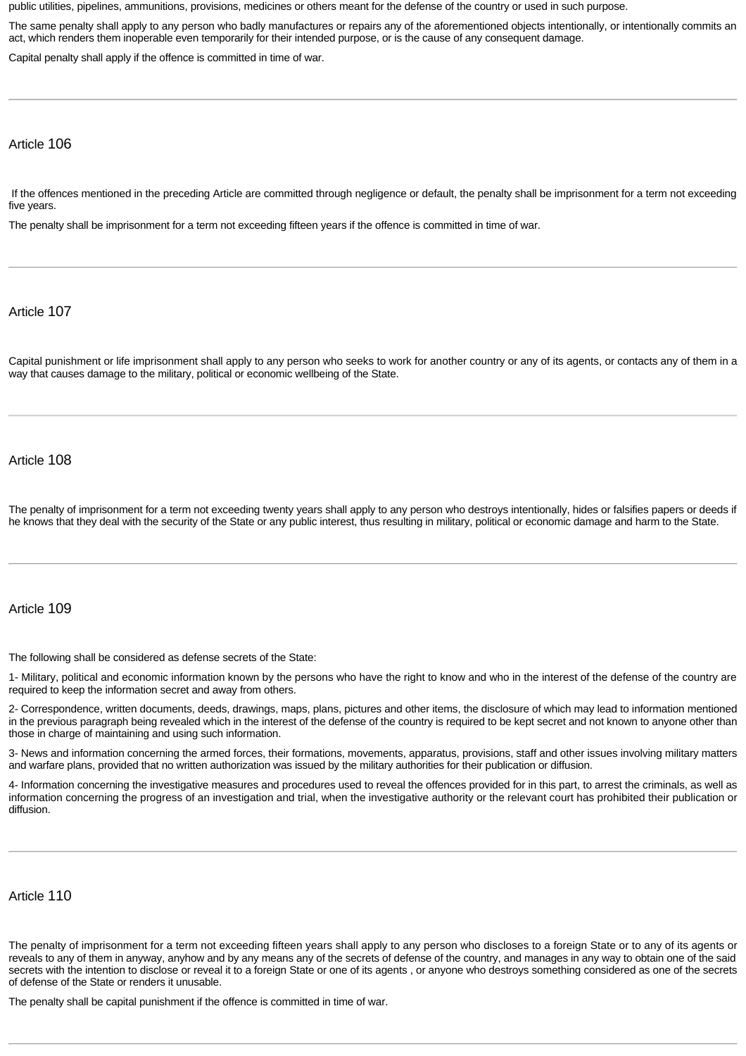public utilities, pipelines, ammunitions, provisions, medicines or others meant for the defense of the country or used in such purpose.

The same penalty shall apply to any person who badly manufactures or repairs any of the aforementioned objects intentionally, or intentionally commits an act, which renders them inoperable even temporarily for their intended purpose, or is the cause of any consequent damage.

Capital penalty shall apply if the offence is committed in time of war.

#### Article 106

If the offences mentioned in the preceding Article are committed through negligence or default, the penalty shall be imprisonment for a term not exceeding five years.

The penalty shall be imprisonment for a term not exceeding fifteen years if the offence is committed in time of war.

#### Article 107

Capital punishment or life imprisonment shall apply to any person who seeks to work for another country or any of its agents, or contacts any of them in a way that causes damage to the military, political or economic wellbeing of the State.

#### Article 108

The penalty of imprisonment for a term not exceeding twenty years shall apply to any person who destroys intentionally, hides or falsifies papers or deeds if he knows that they deal with the security of the State or any public interest, thus resulting in military, political or economic damage and harm to the State.

#### Article 109

The following shall be considered as defense secrets of the State:

1- Military, political and economic information known by the persons who have the right to know and who in the interest of the defense of the country are required to keep the information secret and away from others.

2- Correspondence, written documents, deeds, drawings, maps, plans, pictures and other items, the disclosure of which may lead to information mentioned in the previous paragraph being revealed which in the interest of the defense of the country is required to be kept secret and not known to anyone other than those in charge of maintaining and using such information.

3- News and information concerning the armed forces, their formations, movements, apparatus, provisions, staff and other issues involving military matters and warfare plans, provided that no written authorization was issued by the military authorities for their publication or diffusion.

4- Information concerning the investigative measures and procedures used to reveal the offences provided for in this part, to arrest the criminals, as well as information concerning the progress of an investigation and trial, when the investigative authority or the relevant court has prohibited their publication or diffusion.

#### Article 110

The penalty of imprisonment for a term not exceeding fifteen years shall apply to any person who discloses to a foreign State or to any of its agents or reveals to any of them in anyway, anyhow and by any means any of the secrets of defense of the country, and manages in any way to obtain one of the said secrets with the intention to disclose or reveal it to a foreign State or one of its agents , or anyone who destroys something considered as one of the secrets of defense of the State or renders it unusable.

The penalty shall be capital punishment if the offence is committed in time of war.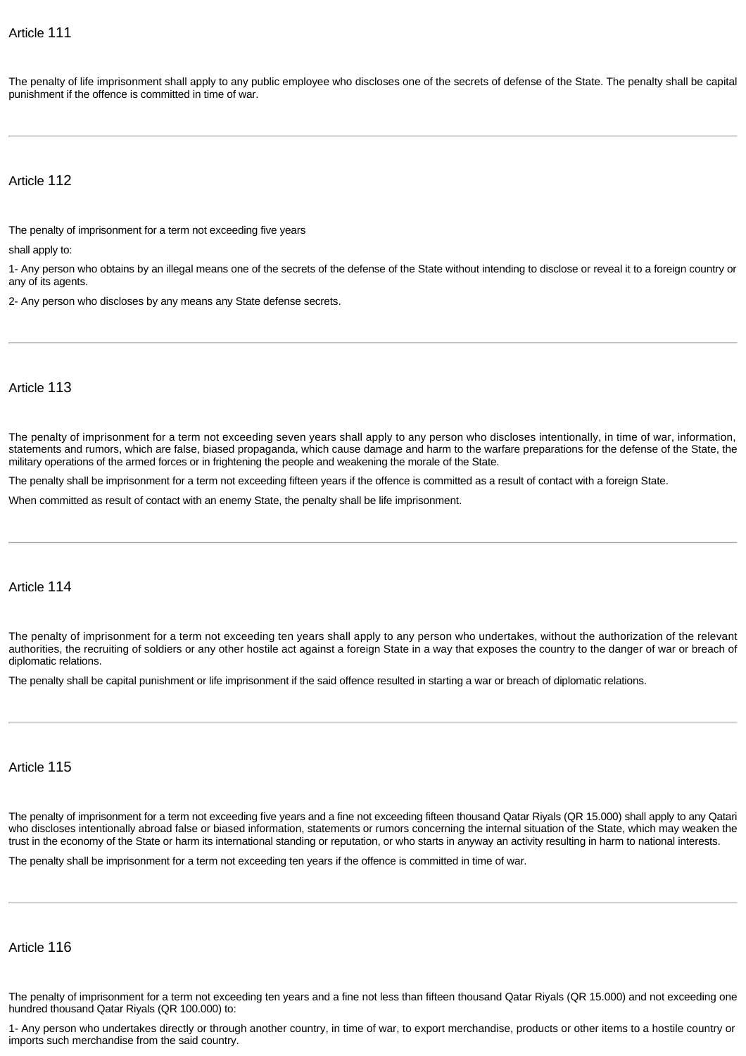The penalty of life imprisonment shall apply to any public employee who discloses one of the secrets of defense of the State. The penalty shall be capital punishment if the offence is committed in time of war.

## Article 112

The penalty of imprisonment for a term not exceeding five years

shall apply to:

1- Any person who obtains by an illegal means one of the secrets of the defense of the State without intending to disclose or reveal it to a foreign country or any of its agents.

2- Any person who discloses by any means any State defense secrets.

#### Article 113

The penalty of imprisonment for a term not exceeding seven years shall apply to any person who discloses intentionally, in time of war, information, statements and rumors, which are false, biased propaganda, which cause damage and harm to the warfare preparations for the defense of the State, the military operations of the armed forces or in frightening the people and weakening the morale of the State.

The penalty shall be imprisonment for a term not exceeding fifteen years if the offence is committed as a result of contact with a foreign State.

When committed as result of contact with an enemy State, the penalty shall be life imprisonment.

#### Article 114

The penalty of imprisonment for a term not exceeding ten years shall apply to any person who undertakes, without the authorization of the relevant authorities, the recruiting of soldiers or any other hostile act against a foreign State in a way that exposes the country to the danger of war or breach of diplomatic relations.

The penalty shall be capital punishment or life imprisonment if the said offence resulted in starting a war or breach of diplomatic relations.

#### Article 115

The penalty of imprisonment for a term not exceeding five years and a fine not exceeding fifteen thousand Qatar Riyals (QR 15.000) shall apply to any Qatari who discloses intentionally abroad false or biased information, statements or rumors concerning the internal situation of the State, which may weaken the trust in the economy of the State or harm its international standing or reputation, or who starts in anyway an activity resulting in harm to national interests.

The penalty shall be imprisonment for a term not exceeding ten years if the offence is committed in time of war.

#### Article 116

The penalty of imprisonment for a term not exceeding ten years and a fine not less than fifteen thousand Qatar Riyals (QR 15.000) and not exceeding one hundred thousand Qatar Riyals (QR 100.000) to:

1- Any person who undertakes directly or through another country, in time of war, to export merchandise, products or other items to a hostile country or imports such merchandise from the said country.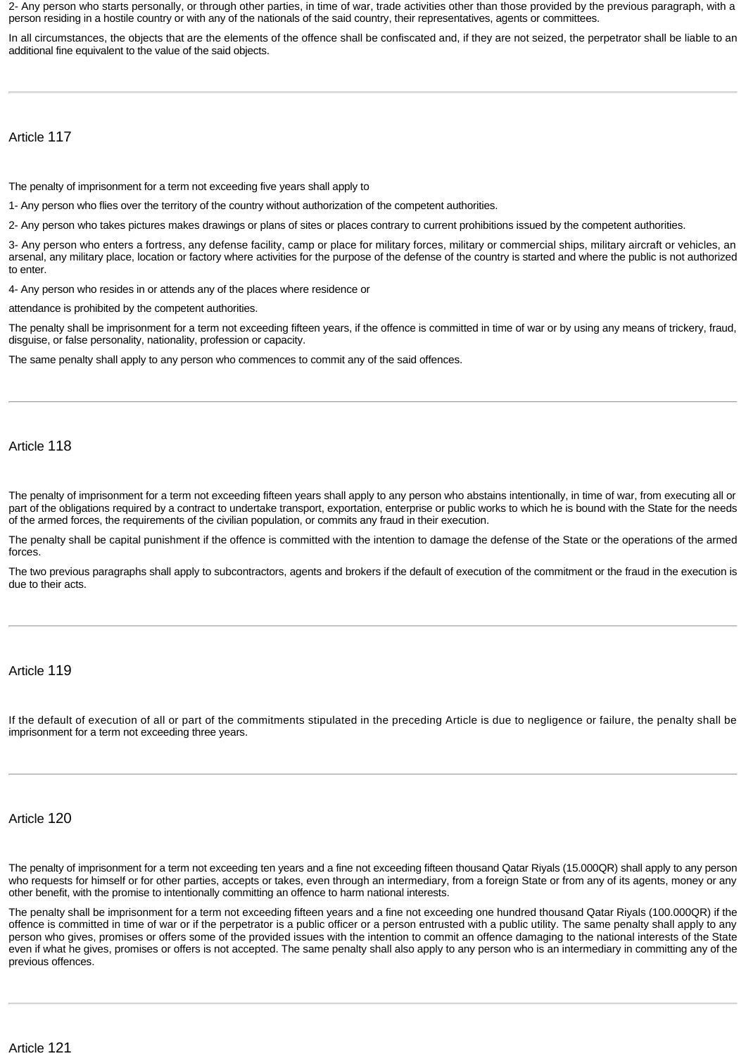2- Any person who starts personally, or through other parties, in time of war, trade activities other than those provided by the previous paragraph, with a person residing in a hostile country or with any of the nationals of the said country, their representatives, agents or committees.

In all circumstances, the objects that are the elements of the offence shall be confiscated and, if they are not seized, the perpetrator shall be liable to an additional fine equivalent to the value of the said objects.

Article 117

The penalty of imprisonment for a term not exceeding five years shall apply to

1- Any person who flies over the territory of the country without authorization of the competent authorities.

2- Any person who takes pictures makes drawings or plans of sites or places contrary to current prohibitions issued by the competent authorities.

3- Any person who enters a fortress, any defense facility, camp or place for military forces, military or commercial ships, military aircraft or vehicles, an arsenal, any military place, location or factory where activities for the purpose of the defense of the country is started and where the public is not authorized to enter.

4- Any person who resides in or attends any of the places where residence or

attendance is prohibited by the competent authorities.

The penalty shall be imprisonment for a term not exceeding fifteen years, if the offence is committed in time of war or by using any means of trickery, fraud, disguise, or false personality, nationality, profession or capacity.

The same penalty shall apply to any person who commences to commit any of the said offences.

Article 118

The penalty of imprisonment for a term not exceeding fifteen years shall apply to any person who abstains intentionally, in time of war, from executing all or part of the obligations required by a contract to undertake transport, exportation, enterprise or public works to which he is bound with the State for the needs of the armed forces, the requirements of the civilian population, or commits any fraud in their execution.

The penalty shall be capital punishment if the offence is committed with the intention to damage the defense of the State or the operations of the armed forces.

The two previous paragraphs shall apply to subcontractors, agents and brokers if the default of execution of the commitment or the fraud in the execution is due to their acts.

Article 119

If the default of execution of all or part of the commitments stipulated in the preceding Article is due to negligence or failure, the penalty shall be imprisonment for a term not exceeding three years.

Article 120

The penalty of imprisonment for a term not exceeding ten years and a fine not exceeding fifteen thousand Qatar Riyals (15.000QR) shall apply to any person who requests for himself or for other parties, accepts or takes, even through an intermediary, from a foreign State or from any of its agents, money or any other benefit, with the promise to intentionally committing an offence to harm national interests.

The penalty shall be imprisonment for a term not exceeding fifteen years and a fine not exceeding one hundred thousand Qatar Riyals (100.000QR) if the offence is committed in time of war or if the perpetrator is a public officer or a person entrusted with a public utility. The same penalty shall apply to any person who gives, promises or offers some of the provided issues with the intention to commit an offence damaging to the national interests of the State even if what he gives, promises or offers is not accepted. The same penalty shall also apply to any person who is an intermediary in committing any of the previous offences.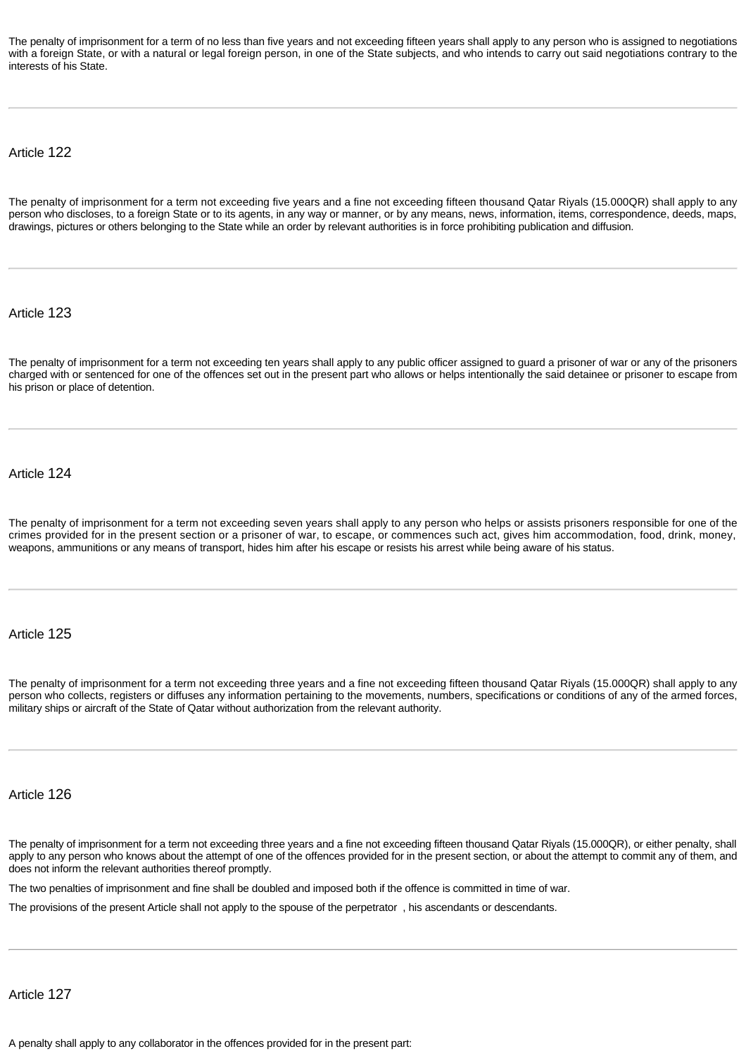The penalty of imprisonment for a term of no less than five years and not exceeding fifteen years shall apply to any person who is assigned to negotiations with a foreign State, or with a natural or legal foreign person, in one of the State subjects, and who intends to carry out said negotiations contrary to the interests of his State.

Article 122

The penalty of imprisonment for a term not exceeding five years and a fine not exceeding fifteen thousand Qatar Riyals (15.000QR) shall apply to any person who discloses, to a foreign State or to its agents, in any way or manner, or by any means, news, information, items, correspondence, deeds, maps, drawings, pictures or others belonging to the State while an order by relevant authorities is in force prohibiting publication and diffusion.

Article 123

The penalty of imprisonment for a term not exceeding ten years shall apply to any public officer assigned to guard a prisoner of war or any of the prisoners charged with or sentenced for one of the offences set out in the present part who allows or helps intentionally the said detainee or prisoner to escape from his prison or place of detention.

Article 124

The penalty of imprisonment for a term not exceeding seven years shall apply to any person who helps or assists prisoners responsible for one of the crimes provided for in the present section or a prisoner of war, to escape, or commences such act, gives him accommodation, food, drink, money, weapons, ammunitions or any means of transport, hides him after his escape or resists his arrest while being aware of his status.

Article 125

The penalty of imprisonment for a term not exceeding three years and a fine not exceeding fifteen thousand Qatar Riyals (15.000QR) shall apply to any person who collects, registers or diffuses any information pertaining to the movements, numbers, specifications or conditions of any of the armed forces, military ships or aircraft of the State of Qatar without authorization from the relevant authority.

Article 126

The penalty of imprisonment for a term not exceeding three years and a fine not exceeding fifteen thousand Qatar Riyals (15.000QR), or either penalty, shall apply to any person who knows about the attempt of one of the offences provided for in the present section, or about the attempt to commit any of them, and does not inform the relevant authorities thereof promptly.

The two penalties of imprisonment and fine shall be doubled and imposed both if the offence is committed in time of war.

The provisions of the present Article shall not apply to the spouse of the perpetrator , his ascendants or descendants.

Article 127

A penalty shall apply to any collaborator in the offences provided for in the present part: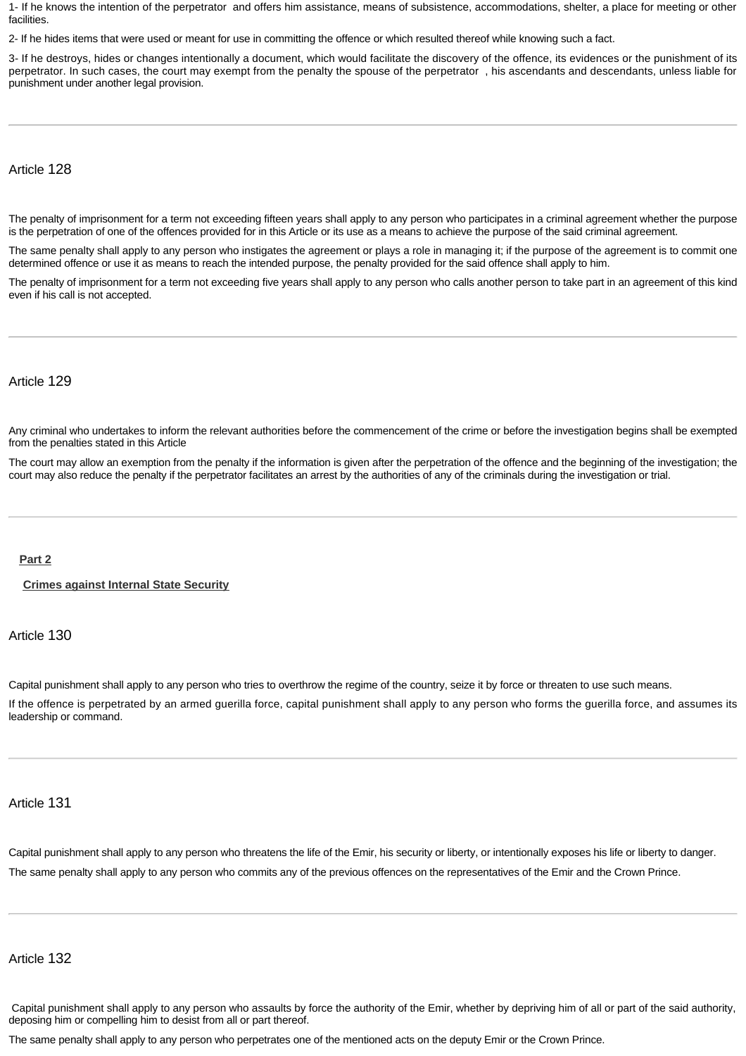1- If he knows the intention of the perpetrator and offers him assistance, means of subsistence, accommodations, shelter, a place for meeting or other **facilities** 

2- If he hides items that were used or meant for use in committing the offence or which resulted thereof while knowing such a fact.

3- If he destroys, hides or changes intentionally a document, which would facilitate the discovery of the offence, its evidences or the punishment of its perpetrator. In such cases, the court may exempt from the penalty the spouse of the perpetrator , his ascendants and descendants, unless liable for punishment under another legal provision.

Article 128

The penalty of imprisonment for a term not exceeding fifteen years shall apply to any person who participates in a criminal agreement whether the purpose is the perpetration of one of the offences provided for in this Article or its use as a means to achieve the purpose of the said criminal agreement.

The same penalty shall apply to any person who instigates the agreement or plays a role in managing it; if the purpose of the agreement is to commit one determined offence or use it as means to reach the intended purpose, the penalty provided for the said offence shall apply to him.

The penalty of imprisonment for a term not exceeding five years shall apply to any person who calls another person to take part in an agreement of this kind even if his call is not accepted.

#### Article 129

Any criminal who undertakes to inform the relevant authorities before the commencement of the crime or before the investigation begins shall be exempted from the penalties stated in this Article

The court may allow an exemption from the penalty if the information is given after the perpetration of the offence and the beginning of the investigation; the court may also reduce the penalty if the perpetrator facilitates an arrest by the authorities of any of the criminals during the investigation or trial.

#### <span id="page-28-0"></span>**[Part 2](http://www.almeezan.qa/DownloadPage.aspx?Target=All&type=2&lawID=26&language=en#)**

<span id="page-28-1"></span>**[Crimes against Internal State Security](http://www.almeezan.qa/DownloadPage.aspx?Target=All&type=2&lawID=26&language=en#)**

Article 130

Capital punishment shall apply to any person who tries to overthrow the regime of the country, seize it by force or threaten to use such means.

If the offence is perpetrated by an armed guerilla force, capital punishment shall apply to any person who forms the guerilla force, and assumes its leadership or command.

## Article 131

Capital punishment shall apply to any person who threatens the life of the Emir, his security or liberty, or intentionally exposes his life or liberty to danger. The same penalty shall apply to any person who commits any of the previous offences on the representatives of the Emir and the Crown Prince.

## Article 132

 Capital punishment shall apply to any person who assaults by force the authority of the Emir, whether by depriving him of all or part of the said authority, deposing him or compelling him to desist from all or part thereof.

The same penalty shall apply to any person who perpetrates one of the mentioned acts on the deputy Emir or the Crown Prince.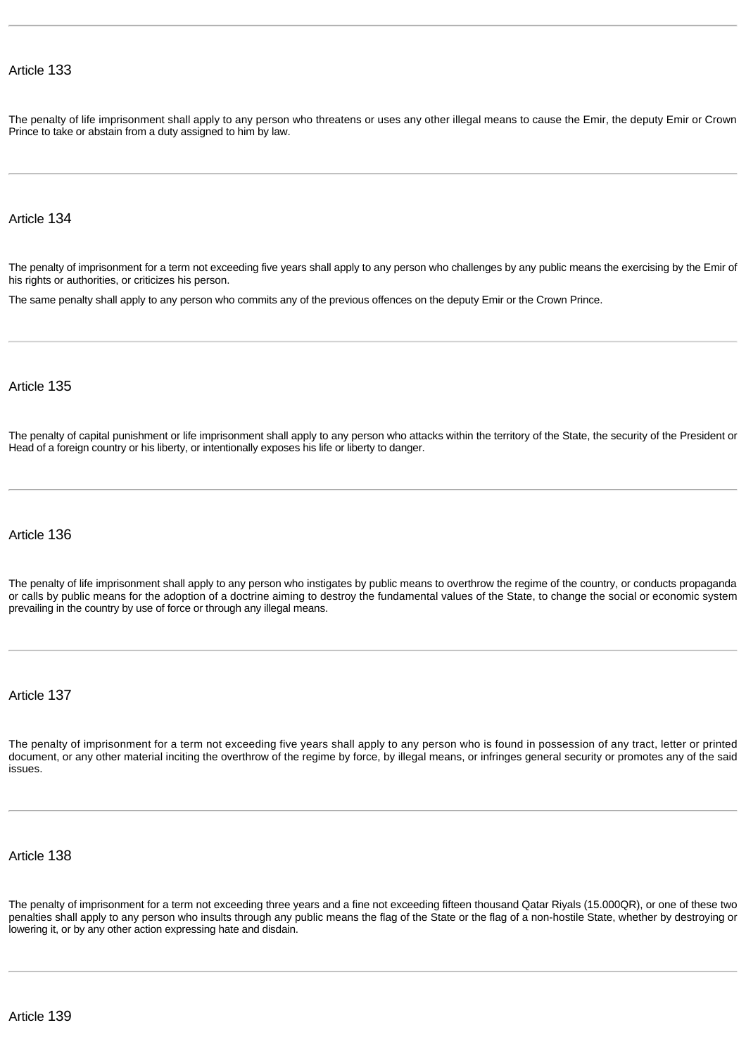The penalty of life imprisonment shall apply to any person who threatens or uses any other illegal means to cause the Emir, the deputy Emir or Crown Prince to take or abstain from a duty assigned to him by law.

### Article 134

The penalty of imprisonment for a term not exceeding five years shall apply to any person who challenges by any public means the exercising by the Emir of his rights or authorities, or criticizes his person.

The same penalty shall apply to any person who commits any of the previous offences on the deputy Emir or the Crown Prince.

#### Article 135

The penalty of capital punishment or life imprisonment shall apply to any person who attacks within the territory of the State, the security of the President or Head of a foreign country or his liberty, or intentionally exposes his life or liberty to danger.

#### Article 136

The penalty of life imprisonment shall apply to any person who instigates by public means to overthrow the regime of the country, or conducts propaganda or calls by public means for the adoption of a doctrine aiming to destroy the fundamental values of the State, to change the social or economic system prevailing in the country by use of force or through any illegal means.

## Article 137

The penalty of imprisonment for a term not exceeding five years shall apply to any person who is found in possession of any tract, letter or printed document, or any other material inciting the overthrow of the regime by force, by illegal means, or infringes general security or promotes any of the said issues.

#### Article 138

The penalty of imprisonment for a term not exceeding three years and a fine not exceeding fifteen thousand Qatar Riyals (15.000QR), or one of these two penalties shall apply to any person who insults through any public means the flag of the State or the flag of a non-hostile State, whether by destroying or lowering it, or by any other action expressing hate and disdain.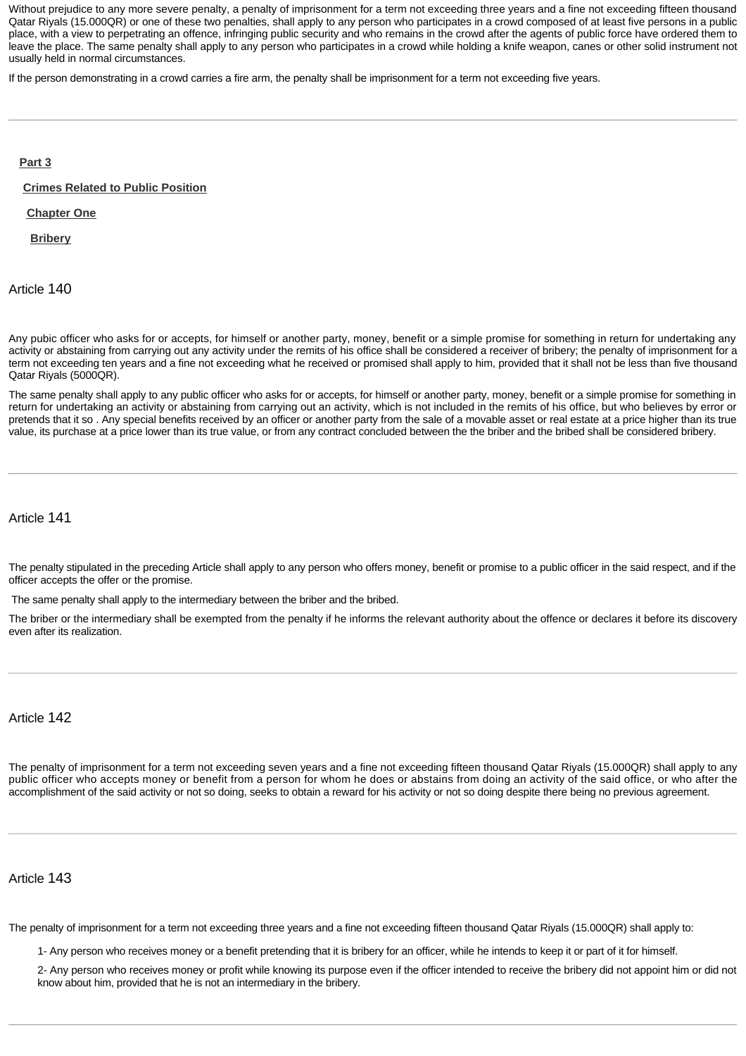Without prejudice to any more severe penalty, a penalty of imprisonment for a term not exceeding three years and a fine not exceeding fifteen thousand Qatar Riyals (15.000QR) or one of these two penalties, shall apply to any person who participates in a crowd composed of at least five persons in a public place, with a view to perpetrating an offence, infringing public security and who remains in the crowd after the agents of public force have ordered them to leave the place. The same penalty shall apply to any person who participates in a crowd while holding a knife weapon, canes or other solid instrument not usually held in normal circumstances.

If the person demonstrating in a crowd carries a fire arm, the penalty shall be imprisonment for a term not exceeding five years.

#### <span id="page-30-0"></span>**[Part 3](http://www.almeezan.qa/DownloadPage.aspx?Target=All&type=2&lawID=26&language=en#)**

<span id="page-30-1"></span>**[Crimes Related to Public Position](http://www.almeezan.qa/DownloadPage.aspx?Target=All&type=2&lawID=26&language=en#)**

<span id="page-30-2"></span>**[Chapter One](http://www.almeezan.qa/DownloadPage.aspx?Target=All&type=2&lawID=26&language=en#)**

<span id="page-30-3"></span>**[Bribery](http://www.almeezan.qa/DownloadPage.aspx?Target=All&type=2&lawID=26&language=en#)**

Article 140

Any pubic officer who asks for or accepts, for himself or another party, money, benefit or a simple promise for something in return for undertaking any activity or abstaining from carrying out any activity under the remits of his office shall be considered a receiver of bribery; the penalty of imprisonment for a term not exceeding ten years and a fine not exceeding what he received or promised shall apply to him, provided that it shall not be less than five thousand Qatar Riyals (5000QR).

The same penalty shall apply to any public officer who asks for or accepts, for himself or another party, money, benefit or a simple promise for something in return for undertaking an activity or abstaining from carrying out an activity, which is not included in the remits of his office, but who believes by error or pretends that it so . Any special benefits received by an officer or another party from the sale of a movable asset or real estate at a price higher than its true value, its purchase at a price lower than its true value, or from any contract concluded between the the briber and the bribed shall be considered bribery.

## Article 141

The penalty stipulated in the preceding Article shall apply to any person who offers money, benefit or promise to a public officer in the said respect, and if the officer accepts the offer or the promise.

The same penalty shall apply to the intermediary between the briber and the bribed.

The briber or the intermediary shall be exempted from the penalty if he informs the relevant authority about the offence or declares it before its discovery even after its realization.

Article 142

The penalty of imprisonment for a term not exceeding seven years and a fine not exceeding fifteen thousand Qatar Riyals (15.000QR) shall apply to any public officer who accepts money or benefit from a person for whom he does or abstains from doing an activity of the said office, or who after the accomplishment of the said activity or not so doing, seeks to obtain a reward for his activity or not so doing despite there being no previous agreement.

Article 143

The penalty of imprisonment for a term not exceeding three years and a fine not exceeding fifteen thousand Qatar Riyals (15.000QR) shall apply to:

1- Any person who receives money or a benefit pretending that it is bribery for an officer, while he intends to keep it or part of it for himself.

2- Any person who receives money or profit while knowing its purpose even if the officer intended to receive the bribery did not appoint him or did not know about him, provided that he is not an intermediary in the bribery.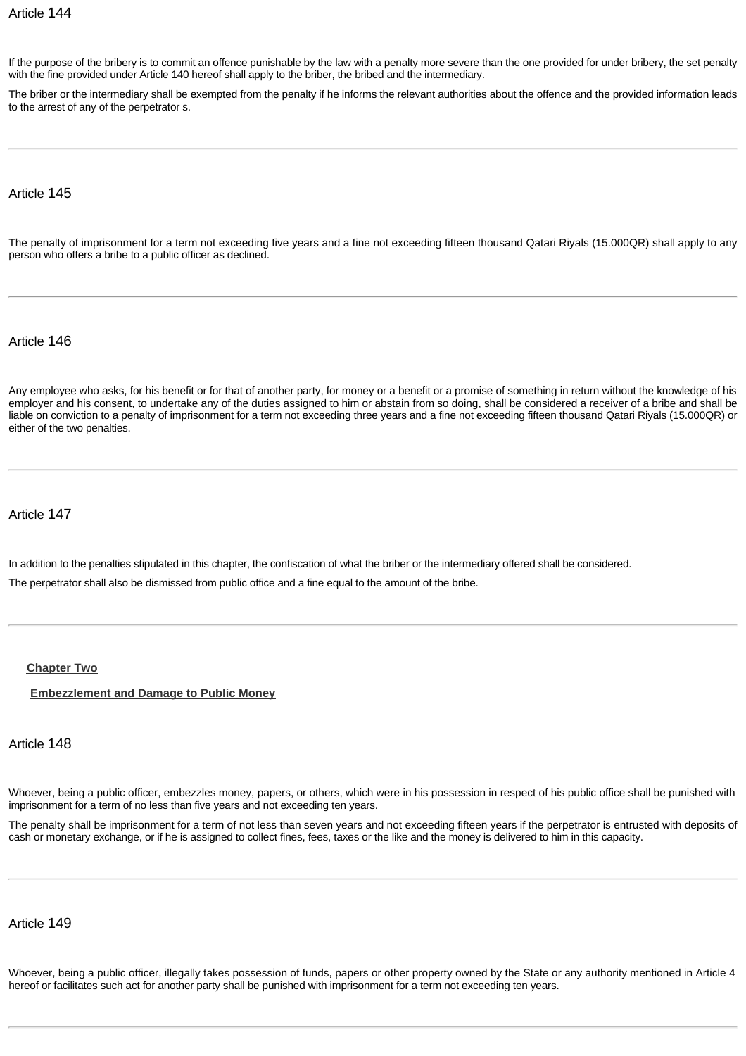If the purpose of the bribery is to commit an offence punishable by the law with a penalty more severe than the one provided for under bribery, the set penalty with the fine provided under Article 140 hereof shall apply to the briber, the bribed and the intermediary.

The briber or the intermediary shall be exempted from the penalty if he informs the relevant authorities about the offence and the provided information leads to the arrest of any of the perpetrator s.

Article 145

The penalty of imprisonment for a term not exceeding five years and a fine not exceeding fifteen thousand Qatari Riyals (15.000QR) shall apply to any person who offers a bribe to a public officer as declined.

Article 146

Any employee who asks, for his benefit or for that of another party, for money or a benefit or a promise of something in return without the knowledge of his employer and his consent, to undertake any of the duties assigned to him or abstain from so doing, shall be considered a receiver of a bribe and shall be liable on conviction to a penalty of imprisonment for a term not exceeding three years and a fine not exceeding fifteen thousand Qatari Riyals (15.000QR) or either of the two penalties.

Article 147

In addition to the penalties stipulated in this chapter, the confiscation of what the briber or the intermediary offered shall be considered. The perpetrator shall also be dismissed from public office and a fine equal to the amount of the bribe.

#### <span id="page-31-0"></span>**[Chapter Two](http://www.almeezan.qa/DownloadPage.aspx?Target=All&type=2&lawID=26&language=en#)**

<span id="page-31-1"></span>**[Embezzlement and Damage to Public Money](http://www.almeezan.qa/DownloadPage.aspx?Target=All&type=2&lawID=26&language=en#)**

Article 148

Whoever, being a public officer, embezzles money, papers, or others, which were in his possession in respect of his public office shall be punished with imprisonment for a term of no less than five years and not exceeding ten years.

The penalty shall be imprisonment for a term of not less than seven years and not exceeding fifteen years if the perpetrator is entrusted with deposits of cash or monetary exchange, or if he is assigned to collect fines, fees, taxes or the like and the money is delivered to him in this capacity.

Article 149

Whoever, being a public officer, illegally takes possession of funds, papers or other property owned by the State or any authority mentioned in Article 4 hereof or facilitates such act for another party shall be punished with imprisonment for a term not exceeding ten years.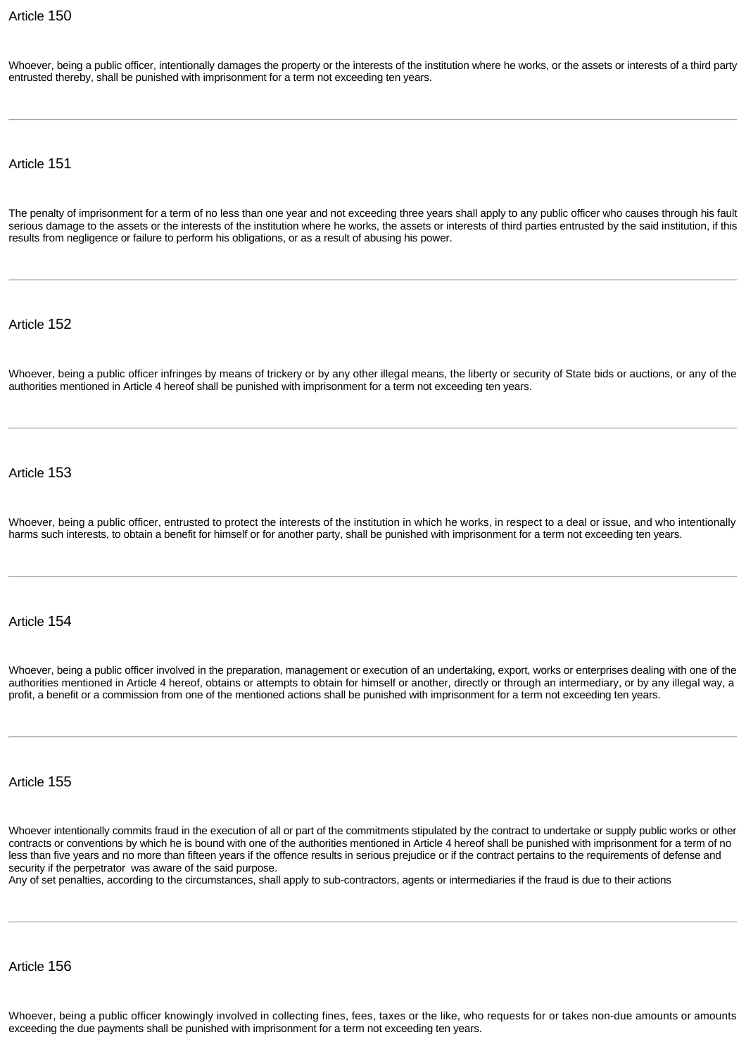Whoever, being a public officer, intentionally damages the property or the interests of the institution where he works, or the assets or interests of a third party entrusted thereby, shall be punished with imprisonment for a term not exceeding ten years.

Article 151

The penalty of imprisonment for a term of no less than one year and not exceeding three years shall apply to any public officer who causes through his fault serious damage to the assets or the interests of the institution where he works, the assets or interests of third parties entrusted by the said institution, if this results from negligence or failure to perform his obligations, or as a result of abusing his power.

Article 152

Whoever, being a public officer infringes by means of trickery or by any other illegal means, the liberty or security of State bids or auctions, or any of the authorities mentioned in Article 4 hereof shall be punished with imprisonment for a term not exceeding ten years.

Article 153

Whoever, being a public officer, entrusted to protect the interests of the institution in which he works, in respect to a deal or issue, and who intentionally harms such interests, to obtain a benefit for himself or for another party, shall be punished with imprisonment for a term not exceeding ten years.

Article 154

Whoever, being a public officer involved in the preparation, management or execution of an undertaking, export, works or enterprises dealing with one of the authorities mentioned in Article 4 hereof, obtains or attempts to obtain for himself or another, directly or through an intermediary, or by any illegal way, a profit, a benefit or a commission from one of the mentioned actions shall be punished with imprisonment for a term not exceeding ten years.

Article 155

Whoever intentionally commits fraud in the execution of all or part of the commitments stipulated by the contract to undertake or supply public works or other contracts or conventions by which he is bound with one of the authorities mentioned in Article 4 hereof shall be punished with imprisonment for a term of no less than five years and no more than fifteen years if the offence results in serious prejudice or if the contract pertains to the requirements of defense and security if the perpetrator was aware of the said purpose.

Any of set penalties, according to the circumstances, shall apply to sub-contractors, agents or intermediaries if the fraud is due to their actions

Article 156

Whoever, being a public officer knowingly involved in collecting fines, fees, taxes or the like, who requests for or takes non-due amounts or amounts exceeding the due payments shall be punished with imprisonment for a term not exceeding ten years.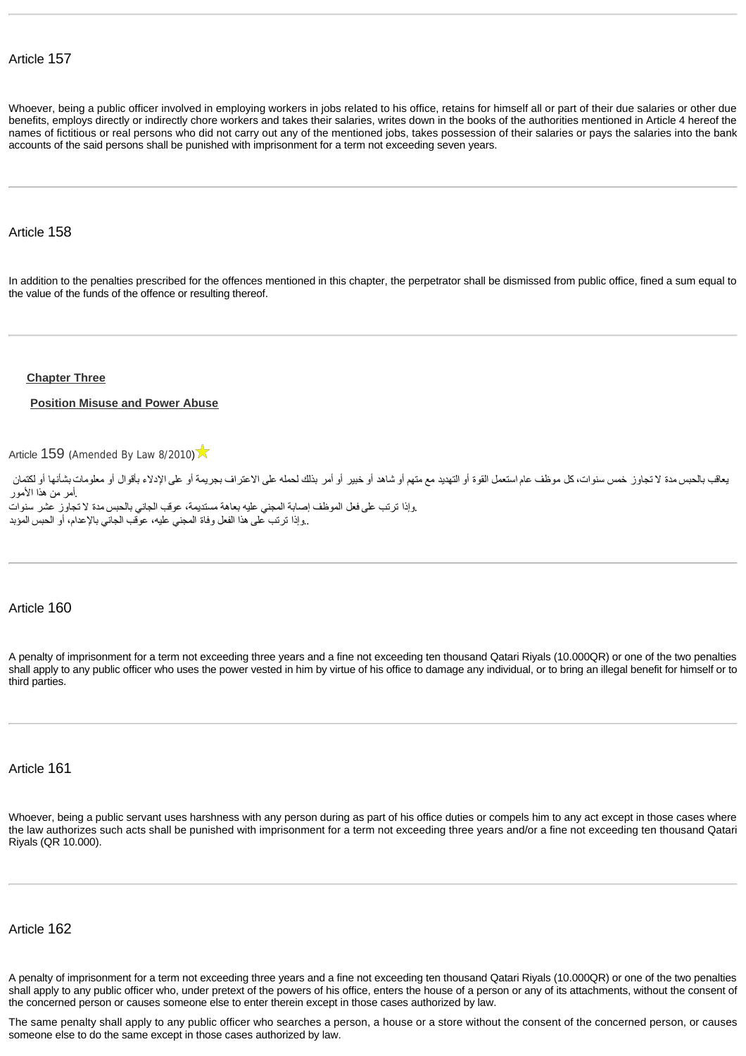Whoever, being a public officer involved in employing workers in jobs related to his office, retains for himself all or part of their due salaries or other due benefits, employs directly or indirectly chore workers and takes their salaries, writes down in the books of the authorities mentioned in Article 4 hereof the names of fictitious or real persons who did not carry out any of the mentioned jobs, takes possession of their salaries or pays the salaries into the bank accounts of the said persons shall be punished with imprisonment for a term not exceeding seven years.

#### Article 158

In addition to the penalties prescribed for the offences mentioned in this chapter, the perpetrator shall be dismissed from public office, fined a sum equal to the value of the funds of the offence or resulting thereof.

#### <span id="page-33-0"></span>**[Chapter Three](http://www.almeezan.qa/DownloadPage.aspx?Target=All&type=2&lawID=26&language=en#)**

#### <span id="page-33-1"></span>**[Position Misuse and Power Abuse](http://www.almeezan.qa/DownloadPage.aspx?Target=All&type=2&lawID=26&language=en#)**

[Article](http://www.almeezan.qa/LawArticles.aspx?LawArticleID=60641&lawId=26&language=en) [159](http://www.almeezan.qa/LawArticles.aspx?LawArticleID=60641&lawId=26&language=en) ([Amended By Law 8/2010](http://www.almeezan.qa/LawPage.aspx?id=2645&language=en))

يعاقب بالحبس مدة لا تجاوز خمس سنوات ٬كل موظف عام استعمل القوة أو التهديد مع متهم أو شاهد أو خبير أو أمر بذلك لحمله على الاعتراف بجريمة أو على الإدلاء بأقوال أو معلومات بشأنها أو لكتمان .أمر من هذا الأمور .وإذا ترتب على فعل الموظف إصابة المجني عليه بعاهة مستديمة ٬عوقب الجاني بالحبس مدة لا تجاوز عشر سنوات ..وإذا ترتب على هذا الفعل وفاة المجني عليه ٬عوقب الجاني بالإعدام ٬أو الحبس المؤبد

#### Article 160

A penalty of imprisonment for a term not exceeding three years and a fine not exceeding ten thousand Qatari Riyals (10.000QR) or one of the two penalties shall apply to any public officer who uses the power vested in him by virtue of his office to damage any individual, or to bring an illegal benefit for himself or to third parties.

#### Article 161

Whoever, being a public servant uses harshness with any person during as part of his office duties or compels him to any act except in those cases where the law authorizes such acts shall be punished with imprisonment for a term not exceeding three years and/or a fine not exceeding ten thousand Qatari Riyals (QR 10.000).

#### Article 162

A penalty of imprisonment for a term not exceeding three years and a fine not exceeding ten thousand Qatari Riyals (10.000QR) or one of the two penalties shall apply to any public officer who, under pretext of the powers of his office, enters the house of a person or any of its attachments, without the consent of the concerned person or causes someone else to enter therein except in those cases authorized by law.

The same penalty shall apply to any public officer who searches a person, a house or a store without the consent of the concerned person, or causes someone else to do the same except in those cases authorized by law.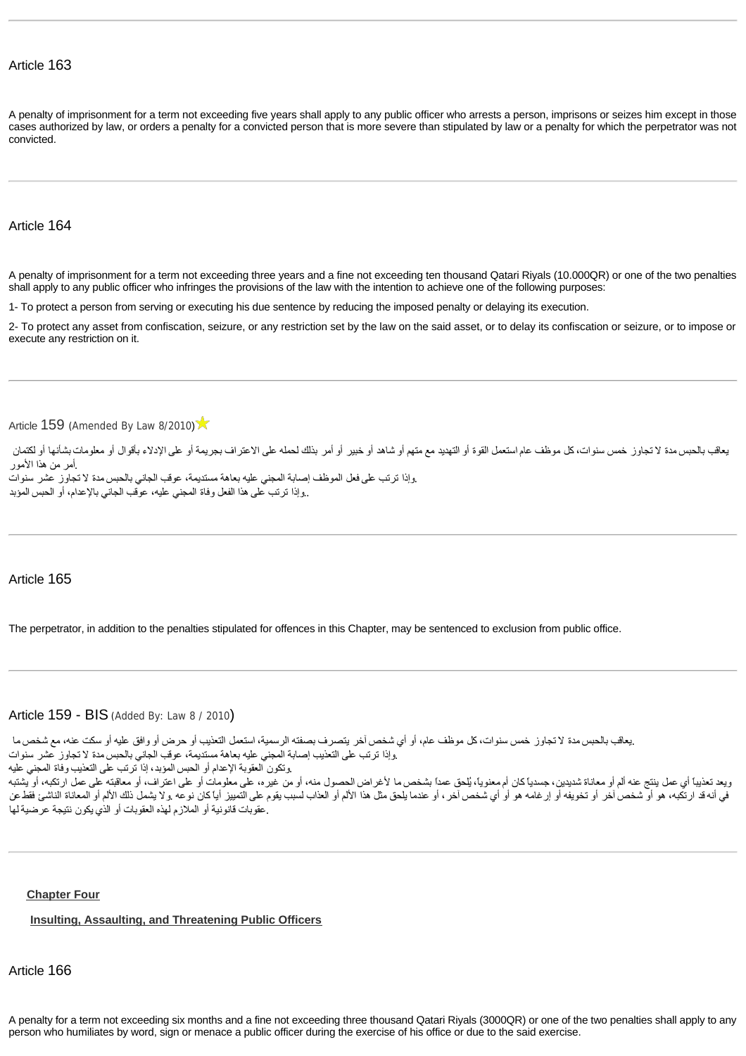A penalty of imprisonment for a term not exceeding five years shall apply to any public officer who arrests a person, imprisons or seizes him except in those cases authorized by law, or orders a penalty for a convicted person that is more severe than stipulated by law or a penalty for which the perpetrator was not convicted.

#### Article 164

A penalty of imprisonment for a term not exceeding three years and a fine not exceeding ten thousand Qatari Riyals (10.000QR) or one of the two penalties shall apply to any public officer who infringes the provisions of the law with the intention to achieve one of the following purposes:

1- To protect a person from serving or executing his due sentence by reducing the imposed penalty or delaying its execution.

2- To protect any asset from confiscation, seizure, or any restriction set by the law on the said asset, or to delay its confiscation or seizure, or to impose or execute any restriction on it.

[Article](http://www.almeezan.qa/LawArticles.aspx?LawArticleID=60641&lawId=26&language=en) [159](http://www.almeezan.qa/LawArticles.aspx?LawArticleID=60641&lawId=26&language=en) ([Amended By Law 8/2010](http://www.almeezan.qa/LawPage.aspx?id=2645&language=en))

يعاقب بالحبس مدة لا تجاوز خمس سنوات، كل موظف عام استعمل القوة أو التهديد مع متهم أو شاهد أو شاهد التهريمة أو على الإدلاء بأقوال أو معلومات بشأنها أو لكتمان .أمر من هذا الأمور .وإذا ترتب على فعل الموظف إصابة المجني عليه بعاهة مستديمة ٬عوقب الجاني بالحبس مدة لا تجاوز عشر سنوات

..وإذا ترتب على هذا الفعل وفاة المجني عليه ٬عوقب الجاني بالإعدام ٬أو الحبس المؤبد

#### Article 165

The perpetrator, in addition to the penalties stipulated for offences in this Chapter, may be sentenced to exclusion from public office.

#### Article 159 - BIS ([Added By: Law 8 / 2010](http://www.almeezan.qa/LawPage.aspx?id=2645))

```
.يعاقب بالحبس مدة لا تجاوز خمس سنوات ٬كل موظف عام ٬أو أي شخص آخر يتصرف بصفته الرسمية ٬استعمل التعذيب أو حرض أو وافق عليه أو سكت عنه ٬مع شخص ما
.وإذا ترتب على التعذيب إصابة المجني عليه بعاهة مستديمة ٬عوقب الجاني بالحبس مدة لا تجاوز عشر سنوات
.وتكون العقوبة الإعدام أو الحبس المؤبد ٬إذا ترتب على التعذيب وفاة المجني عليه
ويعد تعذيباً أي عمل ينتج عنه ألم أو معاناة شديدين، جسدياً كان أم معنوا بشخص ما لأغراض الحصول منه أو معلى معلومات أو على اعتراف، أو معاقبته على عمل ارتكبه، أو يشتبه
في أنه قد ارتكبه، هو أو شخص آخر أو تخويفه أو إرغامه هو أو أي شخص آخر من استخاص المنام المنع التمييز أيا كان نوعه .ولا يشمل ذلك الألم أو المعاناة الناشئ فقطعن
.عقوبات قانونية أو الملازم لهذه العقوبات أو الذي يكون نتيجة عرضيةلها
```
#### <span id="page-34-0"></span>**[Chapter Four](http://www.almeezan.qa/DownloadPage.aspx?Target=All&type=2&lawID=26&language=en#)**

#### <span id="page-34-1"></span>**[Insulting, Assaulting, and Threatening Public Officers](http://www.almeezan.qa/DownloadPage.aspx?Target=All&type=2&lawID=26&language=en#)**

Article 166

A penalty for a term not exceeding six months and a fine not exceeding three thousand Qatari Riyals (3000QR) or one of the two penalties shall apply to any person who humiliates by word, sign or menace a public officer during the exercise of his office or due to the said exercise.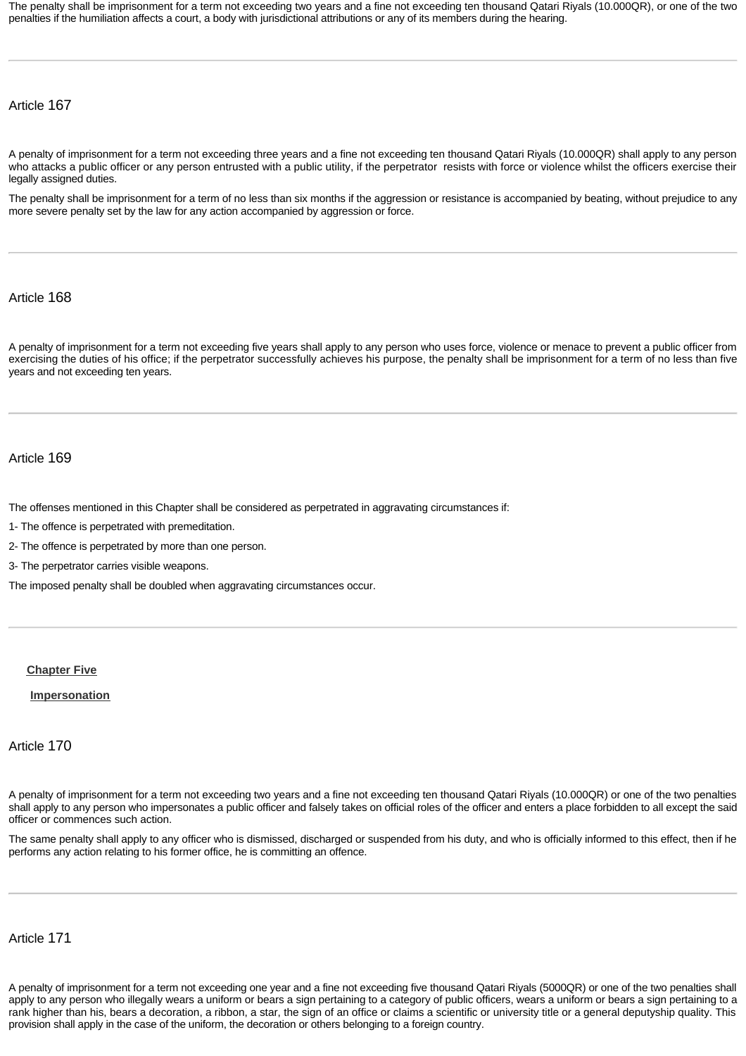The penalty shall be imprisonment for a term not exceeding two years and a fine not exceeding ten thousand Qatari Riyals (10.000QR), or one of the two penalties if the humiliation affects a court, a body with jurisdictional attributions or any of its members during the hearing.

## Article 167

A penalty of imprisonment for a term not exceeding three years and a fine not exceeding ten thousand Qatari Riyals (10.000QR) shall apply to any person who attacks a public officer or any person entrusted with a public utility, if the perpetrator resists with force or violence whilst the officers exercise their legally assigned duties.

The penalty shall be imprisonment for a term of no less than six months if the aggression or resistance is accompanied by beating, without prejudice to any more severe penalty set by the law for any action accompanied by aggression or force.

## Article 168

A penalty of imprisonment for a term not exceeding five years shall apply to any person who uses force, violence or menace to prevent a public officer from exercising the duties of his office; if the perpetrator successfully achieves his purpose, the penalty shall be imprisonment for a term of no less than five years and not exceeding ten years.

#### Article 169

The offenses mentioned in this Chapter shall be considered as perpetrated in aggravating circumstances if:

1- The offence is perpetrated with premeditation.

2- The offence is perpetrated by more than one person.

3- The perpetrator carries visible weapons.

The imposed penalty shall be doubled when aggravating circumstances occur.

#### <span id="page-35-0"></span>**[Chapter Five](http://www.almeezan.qa/DownloadPage.aspx?Target=All&type=2&lawID=26&language=en#)**

#### <span id="page-35-1"></span>**[Impersonation](http://www.almeezan.qa/DownloadPage.aspx?Target=All&type=2&lawID=26&language=en#)**

#### Article 170

A penalty of imprisonment for a term not exceeding two years and a fine not exceeding ten thousand Qatari Riyals (10.000QR) or one of the two penalties shall apply to any person who impersonates a public officer and falsely takes on official roles of the officer and enters a place forbidden to all except the said officer or commences such action.

The same penalty shall apply to any officer who is dismissed, discharged or suspended from his duty, and who is officially informed to this effect, then if he performs any action relating to his former office, he is committing an offence.

## Article 171

A penalty of imprisonment for a term not exceeding one year and a fine not exceeding five thousand Qatari Riyals (5000QR) or one of the two penalties shall apply to any person who illegally wears a uniform or bears a sign pertaining to a category of public officers, wears a uniform or bears a sign pertaining to a rank higher than his, bears a decoration, a ribbon, a star, the sign of an office or claims a scientific or university title or a general deputyship quality. This provision shall apply in the case of the uniform, the decoration or others belonging to a foreign country.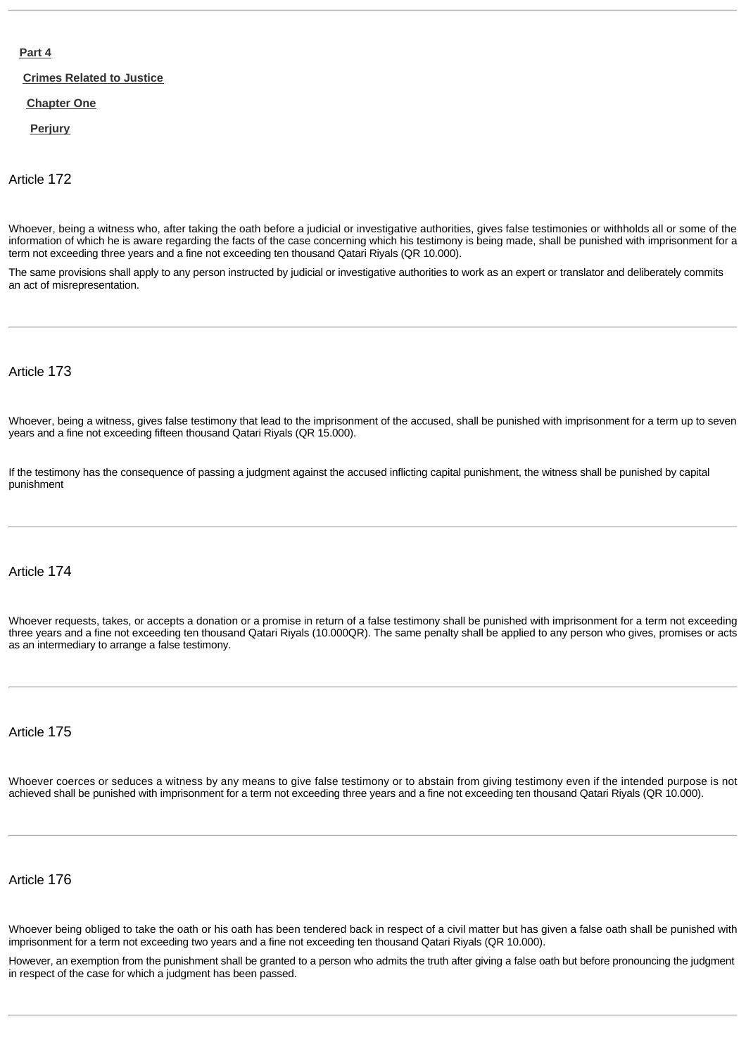## **[Part 4](http://www.almeezan.qa/DownloadPage.aspx?Target=All&type=2&lawID=26&language=en#)**

**[Crimes Related to Justice](http://www.almeezan.qa/DownloadPage.aspx?Target=All&type=2&lawID=26&language=en#)**

#### **[Chapter One](http://www.almeezan.qa/DownloadPage.aspx?Target=All&type=2&lawID=26&language=en#)**

**[Perjury](http://www.almeezan.qa/DownloadPage.aspx?Target=All&type=2&lawID=26&language=en#)**

Article 172

Whoever, being a witness who, after taking the oath before a judicial or investigative authorities, gives false testimonies or withholds all or some of the information of which he is aware regarding the facts of the case concerning which his testimony is being made, shall be punished with imprisonment for a term not exceeding three years and a fine not exceeding ten thousand Qatari Riyals (QR 10.000).

The same provisions shall apply to any person instructed by judicial or investigative authorities to work as an expert or translator and deliberately commits an act of misrepresentation.

Article 173

Whoever, being a witness, gives false testimony that lead to the imprisonment of the accused, shall be punished with imprisonment for a term up to seven years and a fine not exceeding fifteen thousand Qatari Riyals (QR 15.000).

If the testimony has the consequence of passing a judgment against the accused inflicting capital punishment, the witness shall be punished by capital punishment

# Article 174

Whoever requests, takes, or accepts a donation or a promise in return of a false testimony shall be punished with imprisonment for a term not exceeding three years and a fine not exceeding ten thousand Qatari Riyals (10.000QR). The same penalty shall be applied to any person who gives, promises or acts as an intermediary to arrange a false testimony.

Article 175

Whoever coerces or seduces a witness by any means to give false testimony or to abstain from giving testimony even if the intended purpose is not achieved shall be punished with imprisonment for a term not exceeding three years and a fine not exceeding ten thousand Qatari Riyals (QR 10.000).

Article 176

Whoever being obliged to take the oath or his oath has been tendered back in respect of a civil matter but has given a false oath shall be punished with imprisonment for a term not exceeding two years and a fine not exceeding ten thousand Qatari Riyals (QR 10.000).

However, an exemption from the punishment shall be granted to a person who admits the truth after giving a false oath but before pronouncing the judgment in respect of the case for which a judgment has been passed.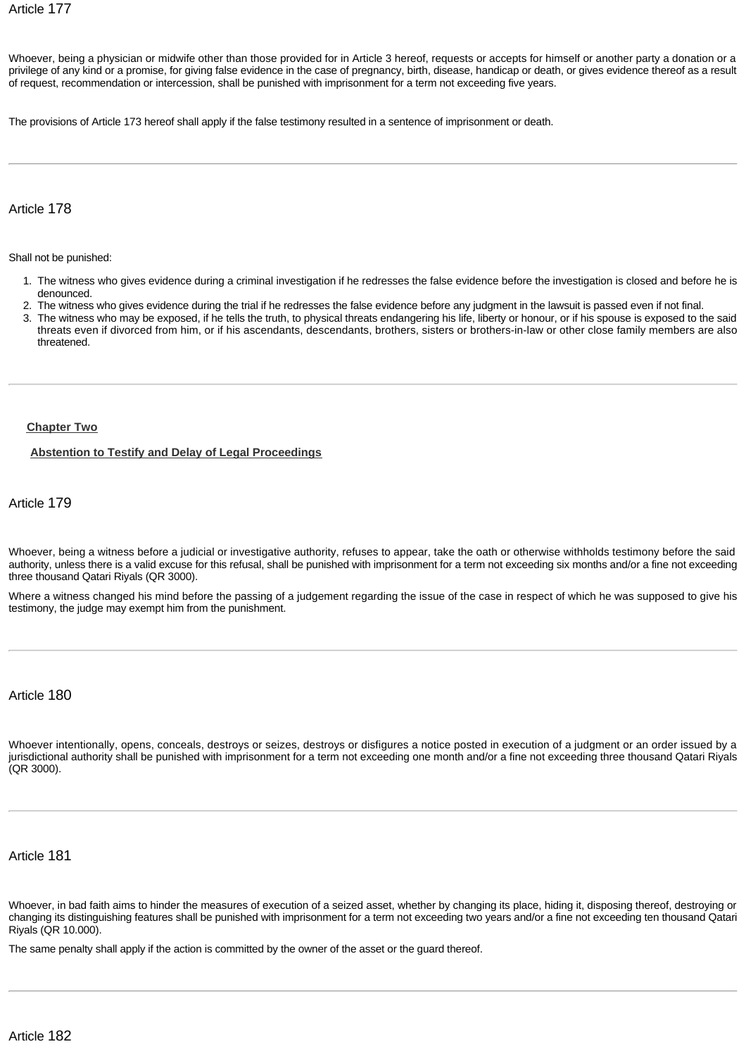Whoever, being a physician or midwife other than those provided for in Article 3 hereof, requests or accepts for himself or another party a donation or a privilege of any kind or a promise, for giving false evidence in the case of pregnancy, birth, disease, handicap or death, or gives evidence thereof as a result of request, recommendation or intercession, shall be punished with imprisonment for a term not exceeding five years.

The provisions of Article 173 hereof shall apply if the false testimony resulted in a sentence of imprisonment or death.

Article 178

Shall not be punished:

- 1. The witness who gives evidence during a criminal investigation if he redresses the false evidence before the investigation is closed and before he is denounced.
- 2. The witness who gives evidence during the trial if he redresses the false evidence before any judgment in the lawsuit is passed even if not final.
- 3. The witness who may be exposed, if he tells the truth, to physical threats endangering his life, liberty or honour, or if his spouse is exposed to the said threats even if divorced from him, or if his ascendants, descendants, brothers, sisters or brothers-in-law or other close family members are also threatened.

#### **[Chapter Two](http://www.almeezan.qa/DownloadPage.aspx?Target=All&type=2&lawID=26&language=en#)**

#### **[Abstention to Testify and Delay of Legal Proceedings](http://www.almeezan.qa/DownloadPage.aspx?Target=All&type=2&lawID=26&language=en#)**

Article 179

Whoever, being a witness before a judicial or investigative authority, refuses to appear, take the oath or otherwise withholds testimony before the said authority, unless there is a valid excuse for this refusal, shall be punished with imprisonment for a term not exceeding six months and/or a fine not exceeding three thousand Qatari Riyals (QR 3000).

Where a witness changed his mind before the passing of a judgement regarding the issue of the case in respect of which he was supposed to give his testimony, the judge may exempt him from the punishment.

# Article 180

Whoever intentionally, opens, conceals, destroys or seizes, destroys or disfigures a notice posted in execution of a judgment or an order issued by a jurisdictional authority shall be punished with imprisonment for a term not exceeding one month and/or a fine not exceeding three thousand Qatari Riyals (QR 3000).

Article 181

Whoever, in bad faith aims to hinder the measures of execution of a seized asset, whether by changing its place, hiding it, disposing thereof, destroying or changing its distinguishing features shall be punished with imprisonment for a term not exceeding two years and/or a fine not exceeding ten thousand Qatari Riyals (QR 10.000).

The same penalty shall apply if the action is committed by the owner of the asset or the guard thereof.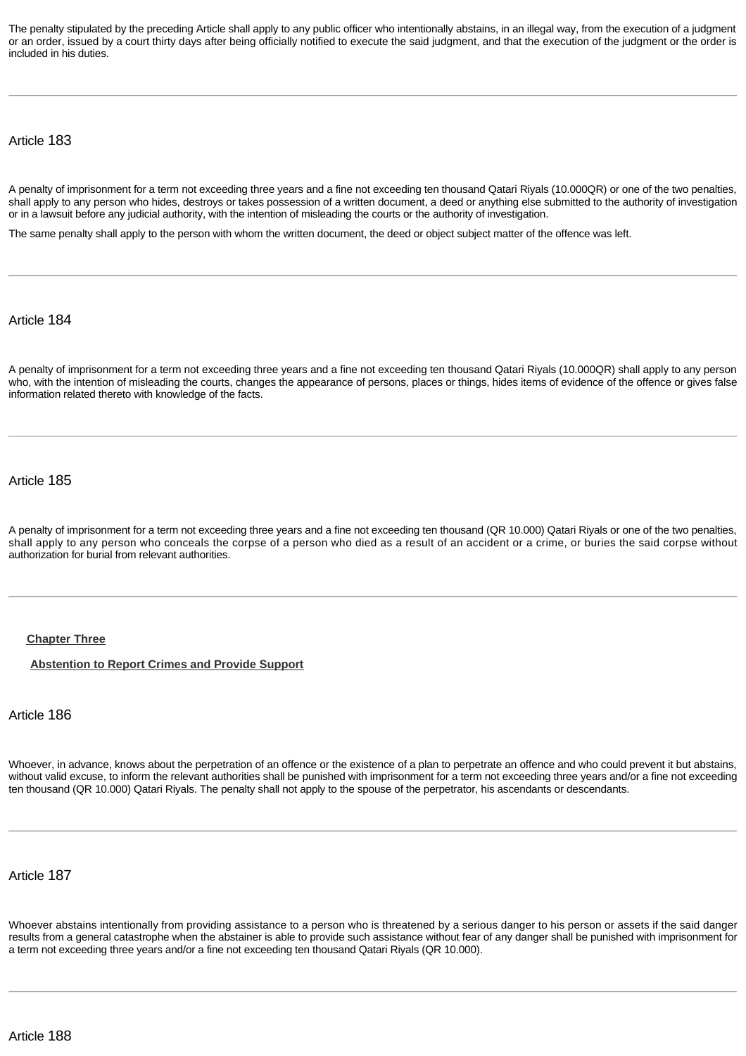The penalty stipulated by the preceding Article shall apply to any public officer who intentionally abstains, in an illegal way, from the execution of a judgment or an order, issued by a court thirty days after being officially notified to execute the said judgment, and that the execution of the judgment or the order is included in his duties.

Article 183

A penalty of imprisonment for a term not exceeding three years and a fine not exceeding ten thousand Qatari Riyals (10.000QR) or one of the two penalties, shall apply to any person who hides, destroys or takes possession of a written document, a deed or anything else submitted to the authority of investigation or in a lawsuit before any judicial authority, with the intention of misleading the courts or the authority of investigation.

The same penalty shall apply to the person with whom the written document, the deed or object subject matter of the offence was left.

Article 184

A penalty of imprisonment for a term not exceeding three years and a fine not exceeding ten thousand Qatari Riyals (10.000QR) shall apply to any person who, with the intention of misleading the courts, changes the appearance of persons, places or things, hides items of evidence of the offence or gives false information related thereto with knowledge of the facts.

Article 185

A penalty of imprisonment for a term not exceeding three years and a fine not exceeding ten thousand (QR 10.000) Qatari Riyals or one of the two penalties, shall apply to any person who conceals the corpse of a person who died as a result of an accident or a crime, or buries the said corpse without authorization for burial from relevant authorities.

#### **[Chapter Three](http://www.almeezan.qa/DownloadPage.aspx?Target=All&type=2&lawID=26&language=en#)**

**[Abstention to Report Crimes and Provide Support](http://www.almeezan.qa/DownloadPage.aspx?Target=All&type=2&lawID=26&language=en#)**

Article 186

Whoever, in advance, knows about the perpetration of an offence or the existence of a plan to perpetrate an offence and who could prevent it but abstains, without valid excuse, to inform the relevant authorities shall be punished with imprisonment for a term not exceeding three years and/or a fine not exceeding ten thousand (QR 10.000) Qatari Riyals. The penalty shall not apply to the spouse of the perpetrator, his ascendants or descendants.

Article 187

Whoever abstains intentionally from providing assistance to a person who is threatened by a serious danger to his person or assets if the said danger results from a general catastrophe when the abstainer is able to provide such assistance without fear of any danger shall be punished with imprisonment for a term not exceeding three years and/or a fine not exceeding ten thousand Qatari Riyals (QR 10.000).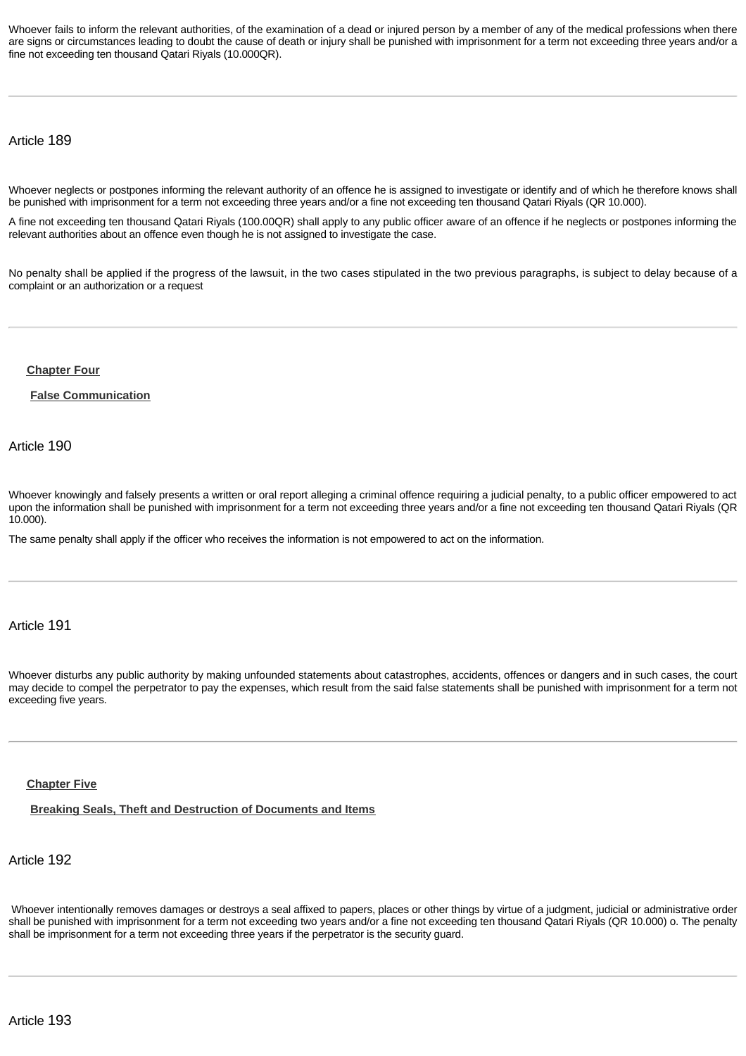Whoever fails to inform the relevant authorities, of the examination of a dead or injured person by a member of any of the medical professions when there are signs or circumstances leading to doubt the cause of death or injury shall be punished with imprisonment for a term not exceeding three years and/or a fine not exceeding ten thousand Qatari Riyals (10.000QR).

## Article 189

Whoever neglects or postpones informing the relevant authority of an offence he is assigned to investigate or identify and of which he therefore knows shall be punished with imprisonment for a term not exceeding three years and/or a fine not exceeding ten thousand Qatari Riyals (QR 10.000).

A fine not exceeding ten thousand Qatari Riyals (100.00QR) shall apply to any public officer aware of an offence if he neglects or postpones informing the relevant authorities about an offence even though he is not assigned to investigate the case.

No penalty shall be applied if the progress of the lawsuit, in the two cases stipulated in the two previous paragraphs, is subject to delay because of a complaint or an authorization or a request

**[Chapter Four](http://www.almeezan.qa/DownloadPage.aspx?Target=All&type=2&lawID=26&language=en#)**

**[False Communication](http://www.almeezan.qa/DownloadPage.aspx?Target=All&type=2&lawID=26&language=en#)**

Article 190

Whoever knowingly and falsely presents a written or oral report alleging a criminal offence requiring a judicial penalty, to a public officer empowered to act upon the information shall be punished with imprisonment for a term not exceeding three years and/or a fine not exceeding ten thousand Qatari Riyals (QR 10.000).

The same penalty shall apply if the officer who receives the information is not empowered to act on the information.

Article 191

Whoever disturbs any public authority by making unfounded statements about catastrophes, accidents, offences or dangers and in such cases, the court may decide to compel the perpetrator to pay the expenses, which result from the said false statements shall be punished with imprisonment for a term not exceeding five years.

#### **[Chapter Five](http://www.almeezan.qa/DownloadPage.aspx?Target=All&type=2&lawID=26&language=en#)**

**[Breaking Seals, Theft and Destruction of Documents and Items](http://www.almeezan.qa/DownloadPage.aspx?Target=All&type=2&lawID=26&language=en#)**

# Article 192

Whoever intentionally removes damages or destroys a seal affixed to papers, places or other things by virtue of a judgment, judicial or administrative order shall be punished with imprisonment for a term not exceeding two years and/or a fine not exceeding ten thousand Qatari Riyals (QR 10.000) o. The penalty shall be imprisonment for a term not exceeding three years if the perpetrator is the security guard.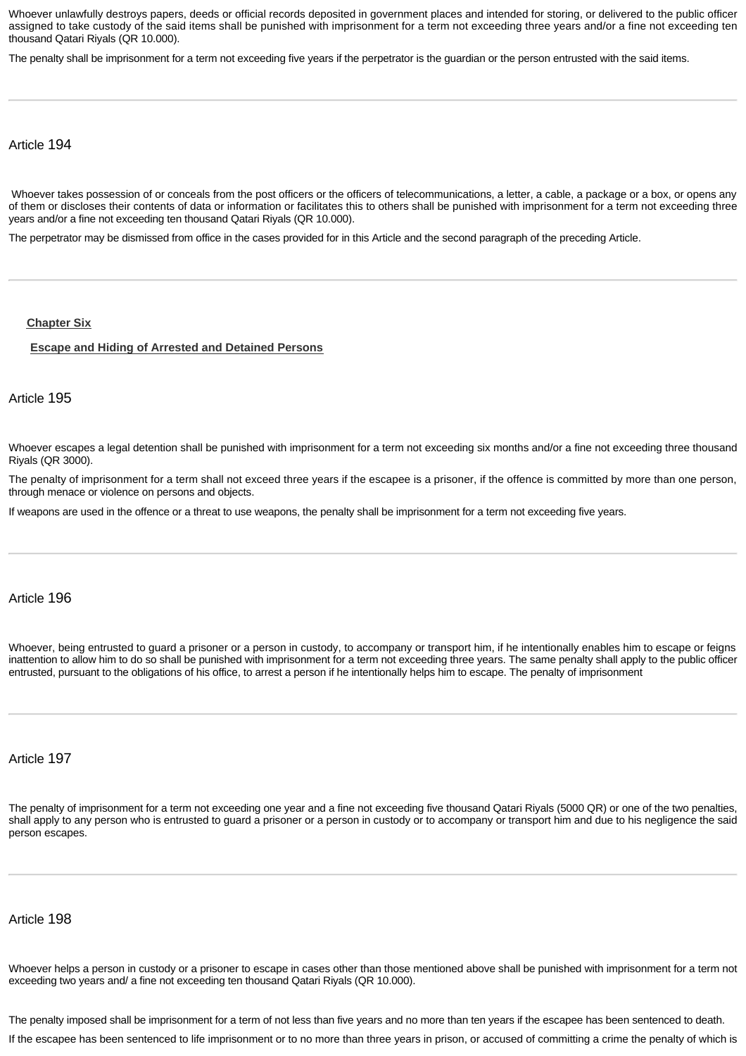Whoever unlawfully destroys papers, deeds or official records deposited in government places and intended for storing, or delivered to the public officer assigned to take custody of the said items shall be punished with imprisonment for a term not exceeding three years and/or a fine not exceeding ten thousand Qatari Riyals (QR 10.000).

The penalty shall be imprisonment for a term not exceeding five years if the perpetrator is the guardian or the person entrusted with the said items.

# Article 194

Whoever takes possession of or conceals from the post officers or the officers of telecommunications, a letter, a cable, a package or a box, or opens any of them or discloses their contents of data or information or facilitates this to others shall be punished with imprisonment for a term not exceeding three years and/or a fine not exceeding ten thousand Qatari Riyals (QR 10.000).

The perpetrator may be dismissed from office in the cases provided for in this Article and the second paragraph of the preceding Article.

#### **[Chapter Six](http://www.almeezan.qa/DownloadPage.aspx?Target=All&type=2&lawID=26&language=en#)**

#### **[Escape and Hiding of Arrested and Detained Persons](http://www.almeezan.qa/DownloadPage.aspx?Target=All&type=2&lawID=26&language=en#)**

## Article 195

Whoever escapes a legal detention shall be punished with imprisonment for a term not exceeding six months and/or a fine not exceeding three thousand Riyals (QR 3000).

The penalty of imprisonment for a term shall not exceed three years if the escapee is a prisoner, if the offence is committed by more than one person, through menace or violence on persons and objects.

If weapons are used in the offence or a threat to use weapons, the penalty shall be imprisonment for a term not exceeding five years.

#### Article 196

Whoever, being entrusted to guard a prisoner or a person in custody, to accompany or transport him, if he intentionally enables him to escape or feigns inattention to allow him to do so shall be punished with imprisonment for a term not exceeding three years. The same penalty shall apply to the public officer entrusted, pursuant to the obligations of his office, to arrest a person if he intentionally helps him to escape. The penalty of imprisonment

Article 197

The penalty of imprisonment for a term not exceeding one year and a fine not exceeding five thousand Qatari Riyals (5000 QR) or one of the two penalties, shall apply to any person who is entrusted to guard a prisoner or a person in custody or to accompany or transport him and due to his negligence the said person escapes.

#### Article 198

Whoever helps a person in custody or a prisoner to escape in cases other than those mentioned above shall be punished with imprisonment for a term not exceeding two years and/ a fine not exceeding ten thousand Qatari Riyals (QR 10.000).

The penalty imposed shall be imprisonment for a term of not less than five years and no more than ten years if the escapee has been sentenced to death.

If the escapee has been sentenced to life imprisonment or to no more than three years in prison, or accused of committing a crime the penalty of which is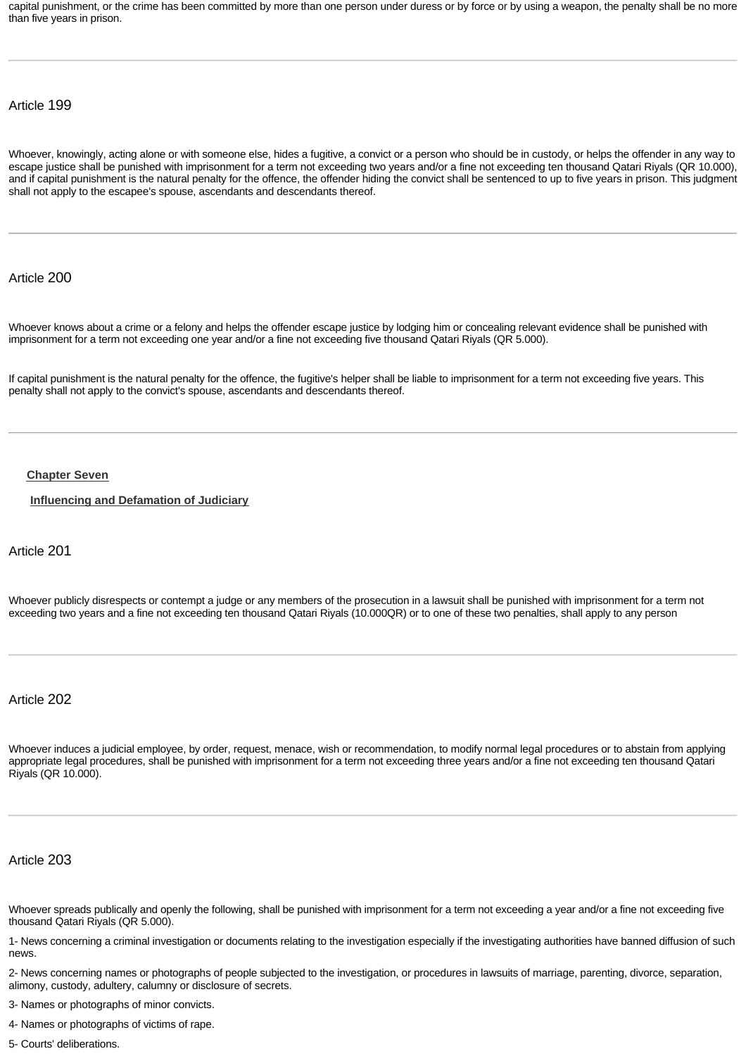capital punishment, or the crime has been committed by more than one person under duress or by force or by using a weapon, the penalty shall be no more than five years in prison.

# Article 199

Whoever, knowingly, acting alone or with someone else, hides a fugitive, a convict or a person who should be in custody, or helps the offender in any way to escape justice shall be punished with imprisonment for a term not exceeding two years and/or a fine not exceeding ten thousand Qatari Riyals (QR 10.000), and if capital punishment is the natural penalty for the offence, the offender hiding the convict shall be sentenced to up to five years in prison. This judgment shall not apply to the escapee's spouse, ascendants and descendants thereof.

## Article 200

Whoever knows about a crime or a felony and helps the offender escape justice by lodging him or concealing relevant evidence shall be punished with imprisonment for a term not exceeding one year and/or a fine not exceeding five thousand Qatari Riyals (QR 5.000).

If capital punishment is the natural penalty for the offence, the fugitive's helper shall be liable to imprisonment for a term not exceeding five years. This penalty shall not apply to the convict's spouse, ascendants and descendants thereof.

#### **[Chapter Seven](http://www.almeezan.qa/DownloadPage.aspx?Target=All&type=2&lawID=26&language=en#)**

**[Influencing and Defamation of Judiciary](http://www.almeezan.qa/DownloadPage.aspx?Target=All&type=2&lawID=26&language=en#)**

#### Article 201

Whoever publicly disrespects or contempt a judge or any members of the prosecution in a lawsuit shall be punished with imprisonment for a term not exceeding two years and a fine not exceeding ten thousand Qatari Riyals (10.000QR) or to one of these two penalties, shall apply to any person

#### Article 202

Whoever induces a judicial employee, by order, request, menace, wish or recommendation, to modify normal legal procedures or to abstain from applying appropriate legal procedures, shall be punished with imprisonment for a term not exceeding three years and/or a fine not exceeding ten thousand Qatari Riyals (QR 10.000).

# Article 203

Whoever spreads publically and openly the following, shall be punished with imprisonment for a term not exceeding a year and/or a fine not exceeding five thousand Qatari Riyals (QR 5.000).

1- News concerning a criminal investigation or documents relating to the investigation especially if the investigating authorities have banned diffusion of such news.

2- News concerning names or photographs of people subjected to the investigation, or procedures in lawsuits of marriage, parenting, divorce, separation, alimony, custody, adultery, calumny or disclosure of secrets.

3- Names or photographs of minor convicts.

4- Names or photographs of victims of rape.

5- Courts' deliberations.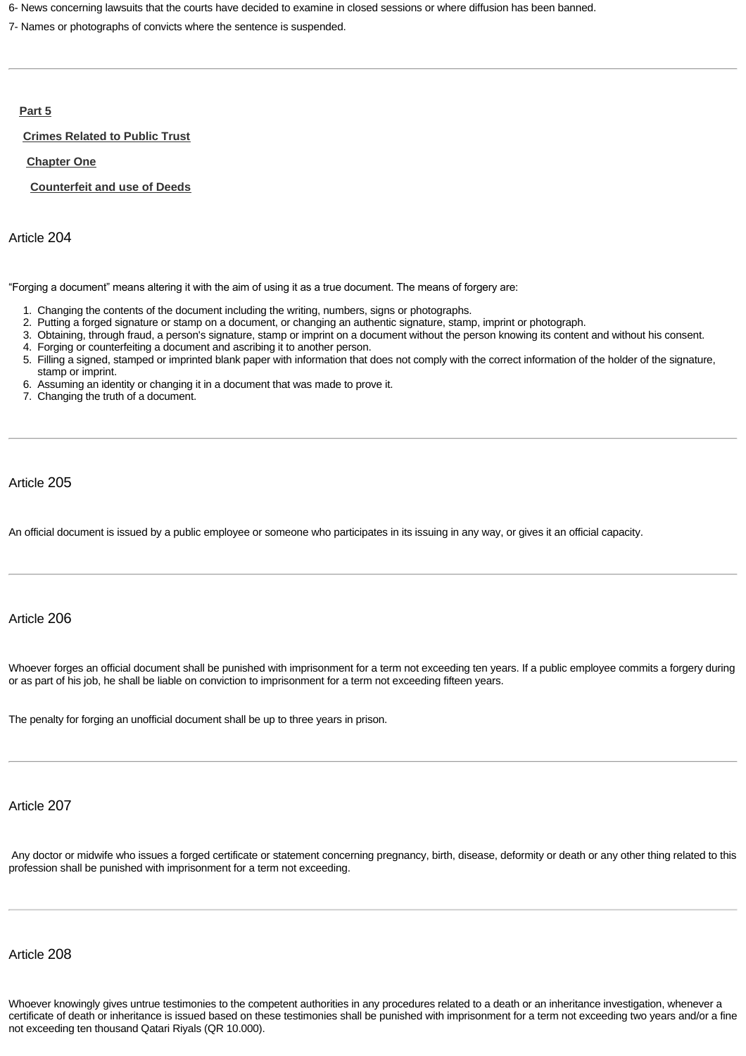6- News concerning lawsuits that the courts have decided to examine in closed sessions or where diffusion has been banned.

7- Names or photographs of convicts where the sentence is suspended.

#### **[Part 5](http://www.almeezan.qa/DownloadPage.aspx?Target=All&type=2&lawID=26&language=en#)**

#### **[Crimes Related to Public Trust](http://www.almeezan.qa/DownloadPage.aspx?Target=All&type=2&lawID=26&language=en#)**

**[Chapter One](http://www.almeezan.qa/DownloadPage.aspx?Target=All&type=2&lawID=26&language=en#)**

**[Counterfeit and use of Deeds](http://www.almeezan.qa/DownloadPage.aspx?Target=All&type=2&lawID=26&language=en#)**

Article 204

"Forging a document" means altering it with the aim of using it as a true document. The means of forgery are:

- 1. Changing the contents of the document including the writing, numbers, signs or photographs.
- 2. Putting a forged signature or stamp on a document, or changing an authentic signature, stamp, imprint or photograph.
- 3. Obtaining, through fraud, a person's signature, stamp or imprint on a document without the person knowing its content and without his consent.
- 4. Forging or counterfeiting a document and ascribing it to another person.
- 5. Filling a signed, stamped or imprinted blank paper with information that does not comply with the correct information of the holder of the signature, stamp or imprint.
- 6. Assuming an identity or changing it in a document that was made to prove it.
- 7. Changing the truth of a document.

Article 205

An official document is issued by a public employee or someone who participates in its issuing in any way, or gives it an official capacity.

# Article 206

Whoever forges an official document shall be punished with imprisonment for a term not exceeding ten years. If a public employee commits a forgery during or as part of his job, he shall be liable on conviction to imprisonment for a term not exceeding fifteen years.

The penalty for forging an unofficial document shall be up to three years in prison.

Article 207

Any doctor or midwife who issues a forged certificate or statement concerning pregnancy, birth, disease, deformity or death or any other thing related to this profession shall be punished with imprisonment for a term not exceeding.

# Article 208

Whoever knowingly gives untrue testimonies to the competent authorities in any procedures related to a death or an inheritance investigation, whenever a certificate of death or inheritance is issued based on these testimonies shall be punished with imprisonment for a term not exceeding two years and/or a fine not exceeding ten thousand Qatari Riyals (QR 10.000).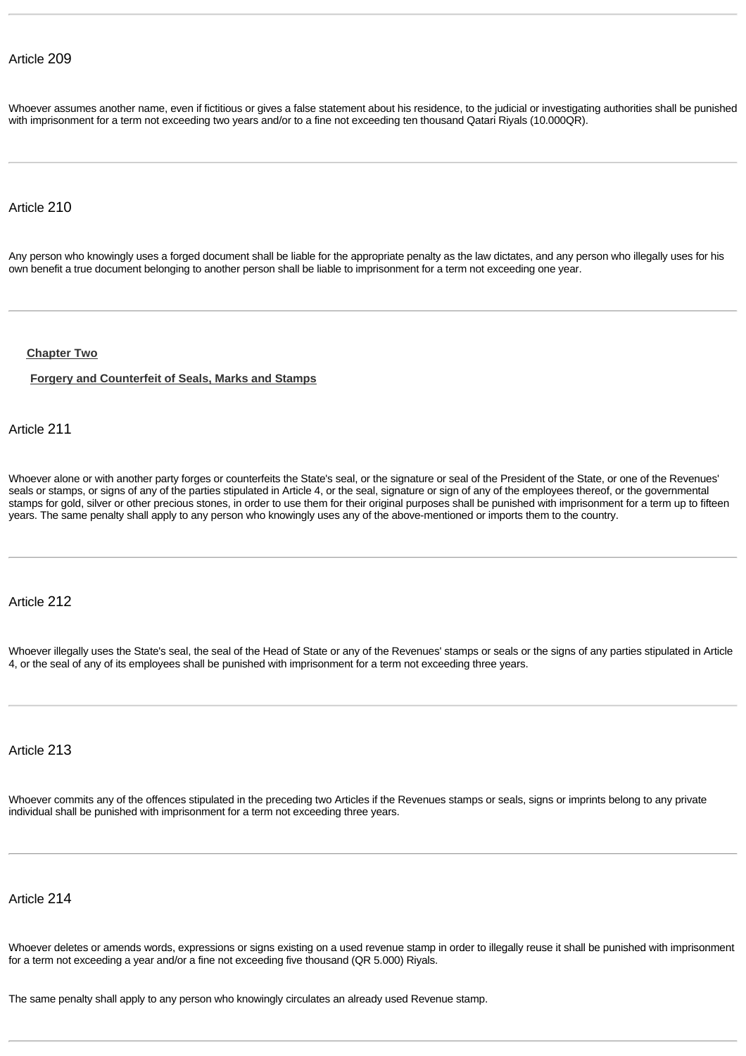Whoever assumes another name, even if fictitious or gives a false statement about his residence, to the judicial or investigating authorities shall be punished with imprisonment for a term not exceeding two years and/or to a fine not exceeding ten thousand Qatari Riyals (10.000QR).

## Article 210

Any person who knowingly uses a forged document shall be liable for the appropriate penalty as the law dictates, and any person who illegally uses for his own benefit a true document belonging to another person shall be liable to imprisonment for a term not exceeding one year.

#### **[Chapter Two](http://www.almeezan.qa/DownloadPage.aspx?Target=All&type=2&lawID=26&language=en#)**

#### **[Forgery and Counterfeit of Seals, Marks and Stamps](http://www.almeezan.qa/DownloadPage.aspx?Target=All&type=2&lawID=26&language=en#)**

# Article 211

Whoever alone or with another party forges or counterfeits the State's seal, or the signature or seal of the President of the State, or one of the Revenues' seals or stamps, or signs of any of the parties stipulated in Article 4, or the seal, signature or sign of any of the employees thereof, or the governmental stamps for gold, silver or other precious stones, in order to use them for their original purposes shall be punished with imprisonment for a term up to fifteen years. The same penalty shall apply to any person who knowingly uses any of the above-mentioned or imports them to the country.

# Article 212

Whoever illegally uses the State's seal, the seal of the Head of State or any of the Revenues' stamps or seals or the signs of any parties stipulated in Article 4, or the seal of any of its employees shall be punished with imprisonment for a term not exceeding three years.

# Article 213

Whoever commits any of the offences stipulated in the preceding two Articles if the Revenues stamps or seals, signs or imprints belong to any private individual shall be punished with imprisonment for a term not exceeding three years.

# Article 214

Whoever deletes or amends words, expressions or signs existing on a used revenue stamp in order to illegally reuse it shall be punished with imprisonment for a term not exceeding a year and/or a fine not exceeding five thousand (QR 5.000) Riyals.

The same penalty shall apply to any person who knowingly circulates an already used Revenue stamp.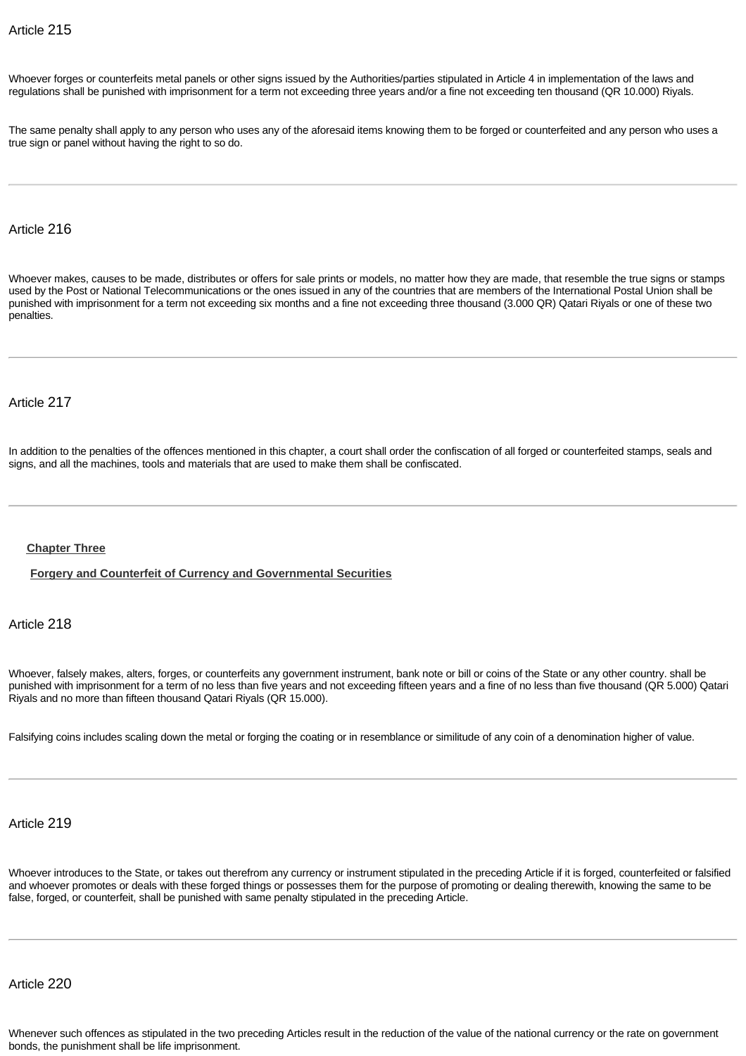Whoever forges or counterfeits metal panels or other signs issued by the Authorities/parties stipulated in Article 4 in implementation of the laws and regulations shall be punished with imprisonment for a term not exceeding three years and/or a fine not exceeding ten thousand (QR 10.000) Riyals.

The same penalty shall apply to any person who uses any of the aforesaid items knowing them to be forged or counterfeited and any person who uses a true sign or panel without having the right to so do.

## Article 216

Whoever makes, causes to be made, distributes or offers for sale prints or models, no matter how they are made, that resemble the true signs or stamps used by the Post or National Telecommunications or the ones issued in any of the countries that are members of the International Postal Union shall be punished with imprisonment for a term not exceeding six months and a fine not exceeding three thousand (3.000 QR) Qatari Riyals or one of these two penalties.

## Article 217

In addition to the penalties of the offences mentioned in this chapter, a court shall order the confiscation of all forged or counterfeited stamps, seals and signs, and all the machines, tools and materials that are used to make them shall be confiscated.

#### **[Chapter Three](http://www.almeezan.qa/DownloadPage.aspx?Target=All&type=2&lawID=26&language=en#)**

**[Forgery and Counterfeit of Currency and Governmental Securities](http://www.almeezan.qa/DownloadPage.aspx?Target=All&type=2&lawID=26&language=en#)**

Article 218

Whoever, falsely makes, alters, forges, or counterfeits any government instrument, bank note or bill or coins of the State or any other country. shall be punished with imprisonment for a term of no less than five years and not exceeding fifteen years and a fine of no less than five thousand (QR 5.000) Qatari Riyals and no more than fifteen thousand Qatari Riyals (QR 15.000).

Falsifying coins includes scaling down the metal or forging the coating or in resemblance or similitude of any coin of a denomination higher of value.

# Article 219

Whoever introduces to the State, or takes out therefrom any currency or instrument stipulated in the preceding Article if it is forged, counterfeited or falsified and whoever promotes or deals with these forged things or possesses them for the purpose of promoting or dealing therewith, knowing the same to be false, forged, or counterfeit, shall be punished with same penalty stipulated in the preceding Article.

Article 220

Whenever such offences as stipulated in the two preceding Articles result in the reduction of the value of the national currency or the rate on government bonds, the punishment shall be life imprisonment.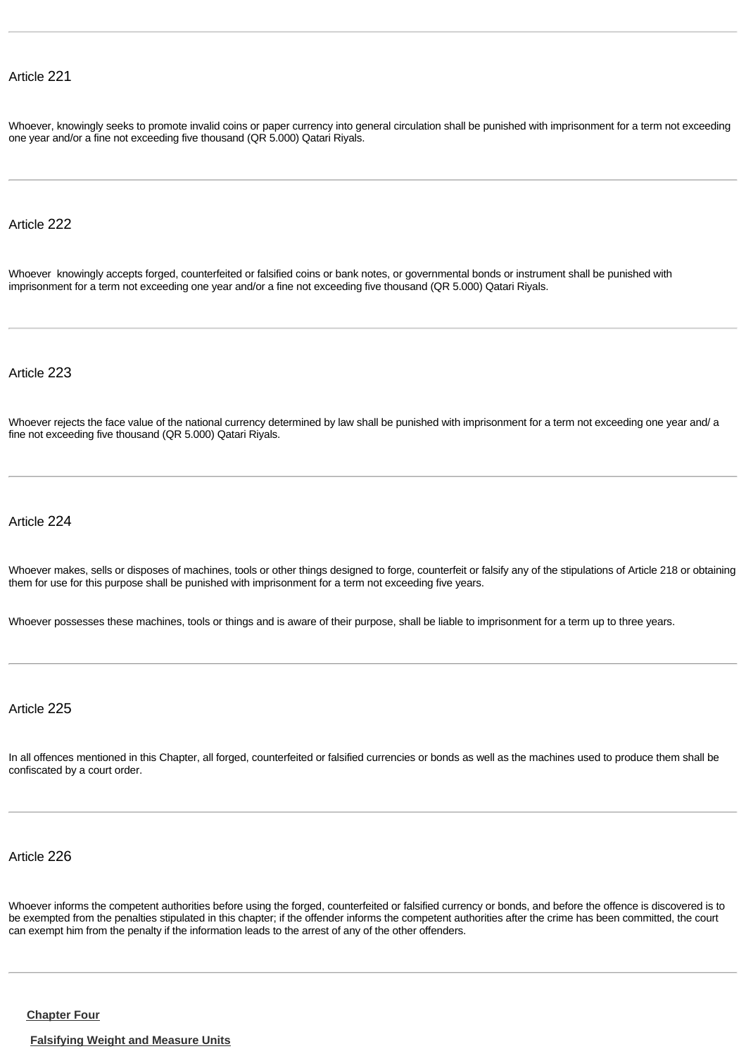Whoever, knowingly seeks to promote invalid coins or paper currency into general circulation shall be punished with imprisonment for a term not exceeding one year and/or a fine not exceeding five thousand (QR 5.000) Qatari Riyals.

# Article 222

Whoever knowingly accepts forged, counterfeited or falsified coins or bank notes, or governmental bonds or instrument shall be punished with imprisonment for a term not exceeding one year and/or a fine not exceeding five thousand (QR 5.000) Qatari Riyals.

Article 223

Whoever rejects the face value of the national currency determined by law shall be punished with imprisonment for a term not exceeding one year and/ a fine not exceeding five thousand (QR 5.000) Qatari Riyals.

# Article 224

Whoever makes, sells or disposes of machines, tools or other things designed to forge, counterfeit or falsify any of the stipulations of Article 218 or obtaining them for use for this purpose shall be punished with imprisonment for a term not exceeding five years.

Whoever possesses these machines, tools or things and is aware of their purpose, shall be liable to imprisonment for a term up to three years.

Article 225

In all offences mentioned in this Chapter, all forged, counterfeited or falsified currencies or bonds as well as the machines used to produce them shall be confiscated by a court order.

Article 226

Whoever informs the competent authorities before using the forged, counterfeited or falsified currency or bonds, and before the offence is discovered is to be exempted from the penalties stipulated in this chapter; if the offender informs the competent authorities after the crime has been committed, the court can exempt him from the penalty if the information leads to the arrest of any of the other offenders.

**[Chapter Four](http://www.almeezan.qa/DownloadPage.aspx?Target=All&type=2&lawID=26&language=en#)**

**[Falsifying Weight and Measure Units](http://www.almeezan.qa/DownloadPage.aspx?Target=All&type=2&lawID=26&language=en#)**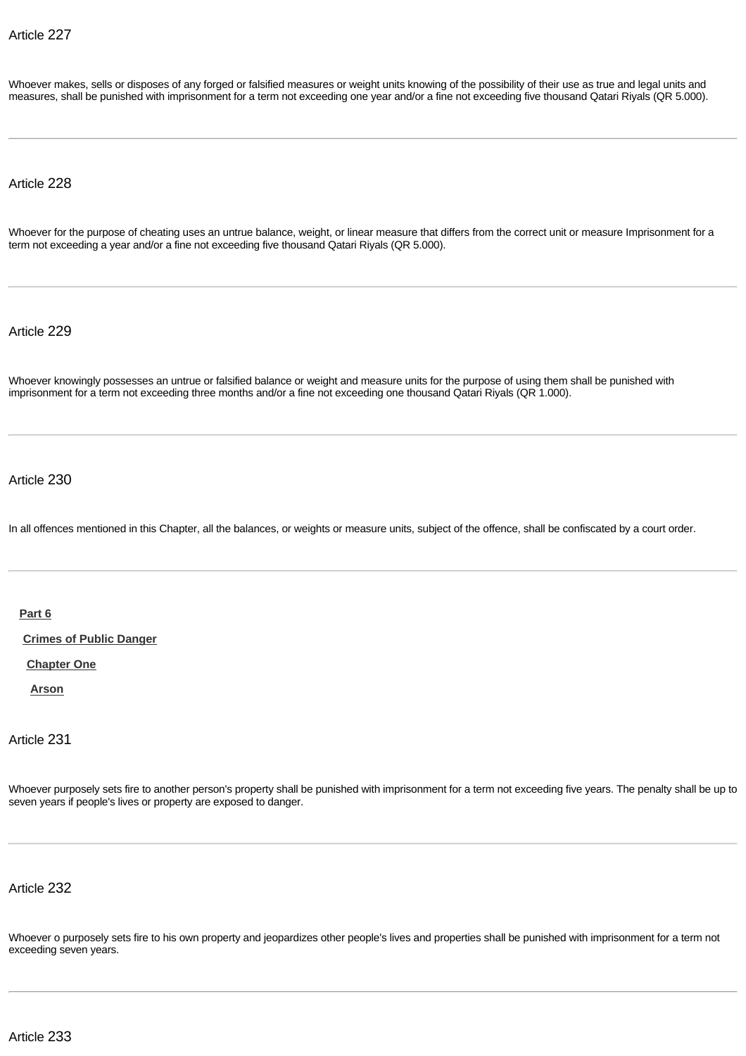Whoever makes, sells or disposes of any forged or falsified measures or weight units knowing of the possibility of their use as true and legal units and measures, shall be punished with imprisonment for a term not exceeding one year and/or a fine not exceeding five thousand Qatari Riyals (QR 5.000).

Article 228

Whoever for the purpose of cheating uses an untrue balance, weight, or linear measure that differs from the correct unit or measure Imprisonment for a term not exceeding a year and/or a fine not exceeding five thousand Qatari Riyals (QR 5.000).

Article 229

Whoever knowingly possesses an untrue or falsified balance or weight and measure units for the purpose of using them shall be punished with imprisonment for a term not exceeding three months and/or a fine not exceeding one thousand Qatari Riyals (QR 1.000).

Article 230

In all offences mentioned in this Chapter, all the balances, or weights or measure units, subject of the offence, shall be confiscated by a court order.

**[Part 6](http://www.almeezan.qa/DownloadPage.aspx?Target=All&type=2&lawID=26&language=en#)**

**[Crimes of Public Danger](http://www.almeezan.qa/DownloadPage.aspx?Target=All&type=2&lawID=26&language=en#)**

**[Chapter One](http://www.almeezan.qa/DownloadPage.aspx?Target=All&type=2&lawID=26&language=en#)**

**[Arson](http://www.almeezan.qa/DownloadPage.aspx?Target=All&type=2&lawID=26&language=en#)**

Article 231

Whoever purposely sets fire to another person's property shall be punished with imprisonment for a term not exceeding five years. The penalty shall be up to seven years if people's lives or property are exposed to danger.

Article 232

Whoever o purposely sets fire to his own property and jeopardizes other people's lives and properties shall be punished with imprisonment for a term not exceeding seven years.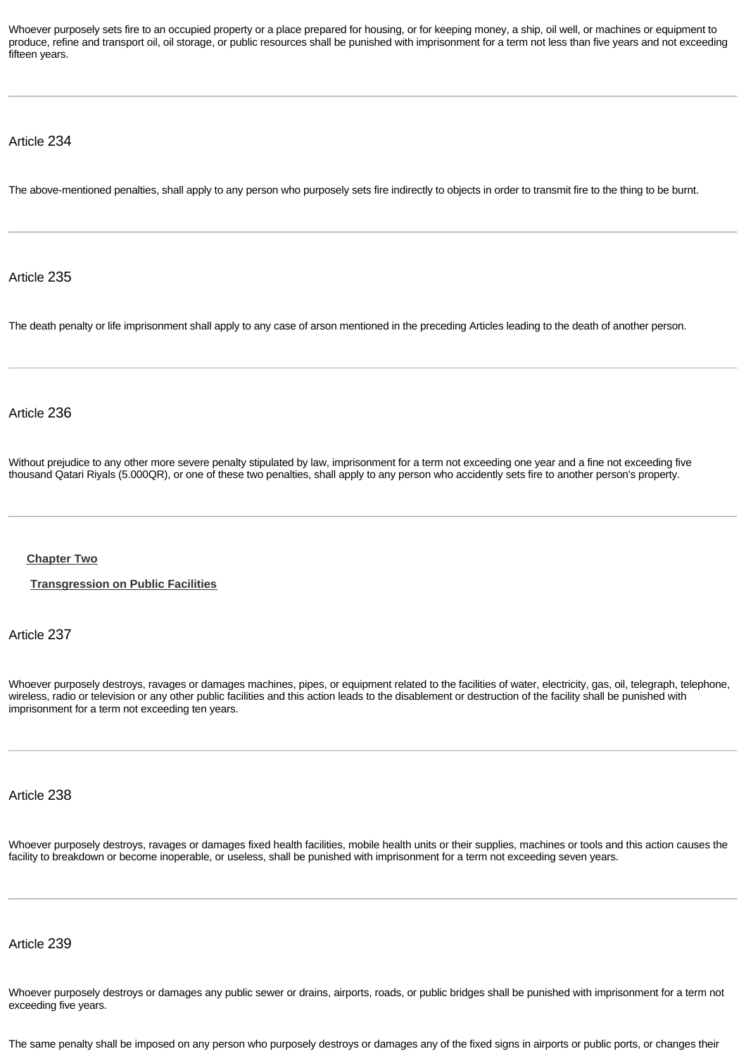Whoever purposely sets fire to an occupied property or a place prepared for housing, or for keeping money, a ship, oil well, or machines or equipment to produce, refine and transport oil, oil storage, or public resources shall be punished with imprisonment for a term not less than five years and not exceeding fifteen years.

### Article 234

The above-mentioned penalties, shall apply to any person who purposely sets fire indirectly to objects in order to transmit fire to the thing to be burnt.

Article 235

The death penalty or life imprisonment shall apply to any case of arson mentioned in the preceding Articles leading to the death of another person.

## Article 236

Without prejudice to any other more severe penalty stipulated by law, imprisonment for a term not exceeding one year and a fine not exceeding five thousand Qatari Riyals (5.000QR), or one of these two penalties, shall apply to any person who accidently sets fire to another person's property.

### **[Chapter Two](http://www.almeezan.qa/DownloadPage.aspx?Target=All&type=2&lawID=26&language=en#)**

**[Transgression on Public Facilities](http://www.almeezan.qa/DownloadPage.aspx?Target=All&type=2&lawID=26&language=en#)**

Article 237

Whoever purposely destroys, ravages or damages machines, pipes, or equipment related to the facilities of water, electricity, gas, oil, telegraph, telephone, wireless, radio or television or any other public facilities and this action leads to the disablement or destruction of the facility shall be punished with imprisonment for a term not exceeding ten years.

Article 238

Whoever purposely destroys, ravages or damages fixed health facilities, mobile health units or their supplies, machines or tools and this action causes the facility to breakdown or become inoperable, or useless, shall be punished with imprisonment for a term not exceeding seven years.

### Article 239

Whoever purposely destroys or damages any public sewer or drains, airports, roads, or public bridges shall be punished with imprisonment for a term not exceeding five years.

The same penalty shall be imposed on any person who purposely destroys or damages any of the fixed signs in airports or public ports, or changes their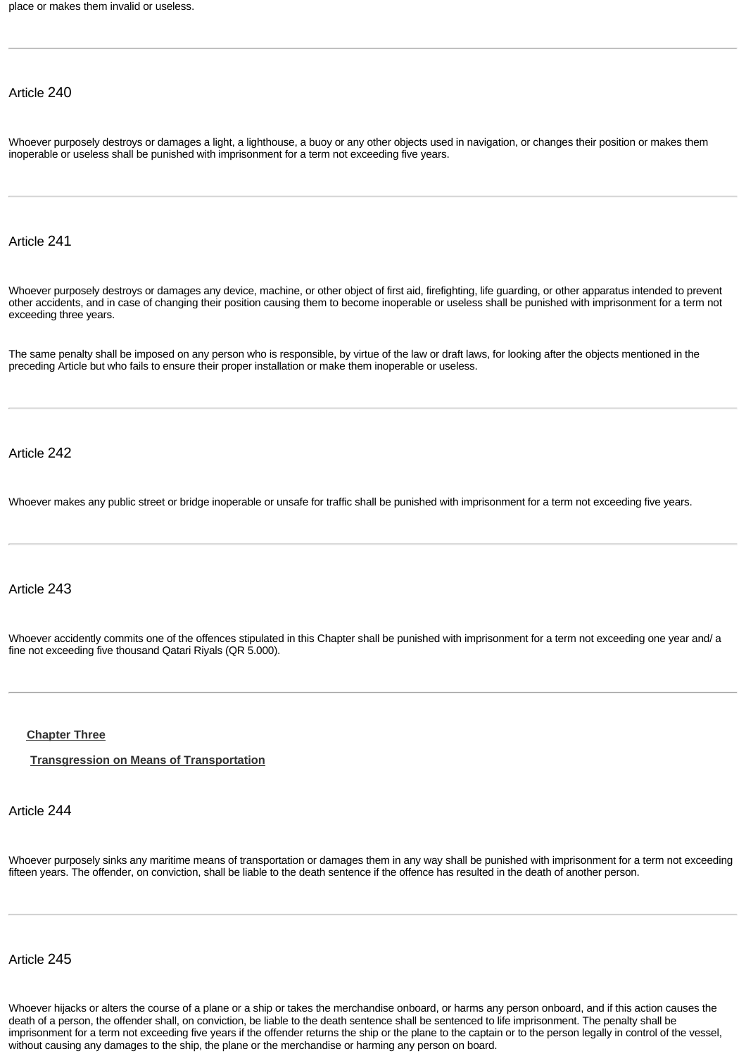place or makes them invalid or useless.

# Article 240

Whoever purposely destroys or damages a light, a lighthouse, a buoy or any other objects used in navigation, or changes their position or makes them inoperable or useless shall be punished with imprisonment for a term not exceeding five years.

## Article 241

Whoever purposely destroys or damages any device, machine, or other object of first aid, firefighting, life guarding, or other apparatus intended to prevent other accidents, and in case of changing their position causing them to become inoperable or useless shall be punished with imprisonment for a term not exceeding three years.

The same penalty shall be imposed on any person who is responsible, by virtue of the law or draft laws, for looking after the objects mentioned in the preceding Article but who fails to ensure their proper installation or make them inoperable or useless.

### Article 242

Whoever makes any public street or bridge inoperable or unsafe for traffic shall be punished with imprisonment for a term not exceeding five years.

## Article 243

Whoever accidently commits one of the offences stipulated in this Chapter shall be punished with imprisonment for a term not exceeding one year and/ a fine not exceeding five thousand Qatari Riyals (QR 5.000).

### **[Chapter Three](http://www.almeezan.qa/DownloadPage.aspx?Target=All&type=2&lawID=26&language=en#)**

**[Transgression on Means of Transportation](http://www.almeezan.qa/DownloadPage.aspx?Target=All&type=2&lawID=26&language=en#)**

## Article 244

Whoever purposely sinks any maritime means of transportation or damages them in any way shall be punished with imprisonment for a term not exceeding fifteen years. The offender, on conviction, shall be liable to the death sentence if the offence has resulted in the death of another person.

### Article 245

Whoever hijacks or alters the course of a plane or a ship or takes the merchandise onboard, or harms any person onboard, and if this action causes the death of a person, the offender shall, on conviction, be liable to the death sentence shall be sentenced to life imprisonment. The penalty shall be imprisonment for a term not exceeding five years if the offender returns the ship or the plane to the captain or to the person legally in control of the vessel, without causing any damages to the ship, the plane or the merchandise or harming any person on board.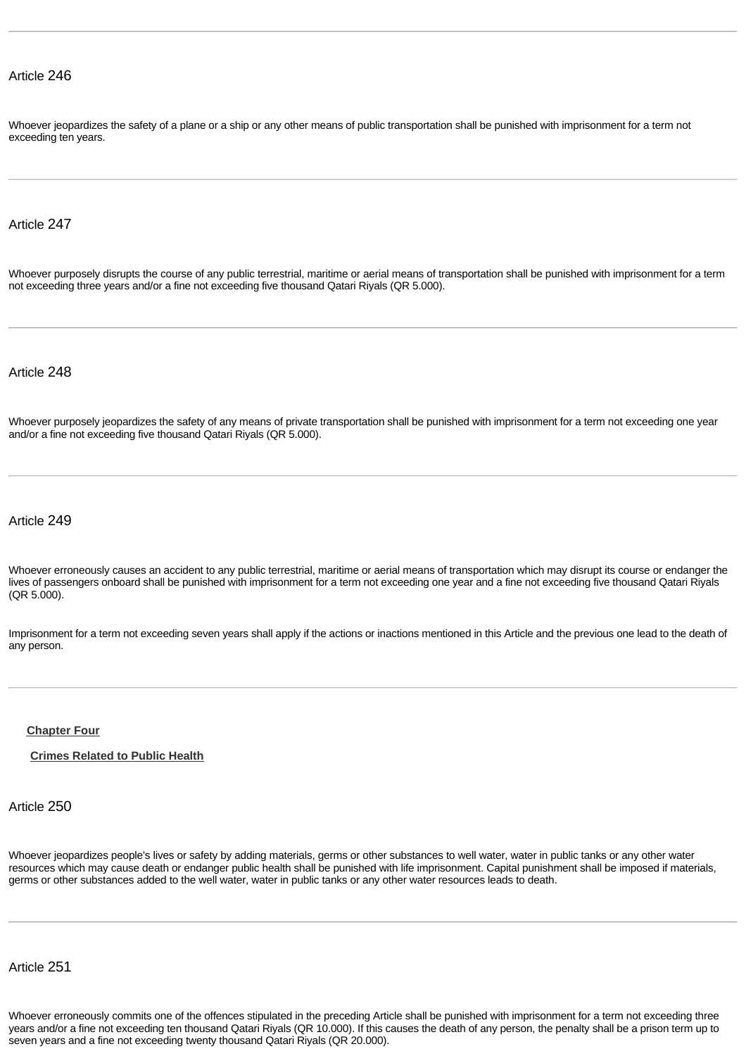Whoever jeopardizes the safety of a plane or a ship or any other means of public transportation shall be punished with imprisonment for a term not exceeding ten years.

## Article 247

Whoever purposely disrupts the course of any public terrestrial, maritime or aerial means of transportation shall be punished with imprisonment for a term not exceeding three years and/or a fine not exceeding five thousand Qatari Riyals (QR 5.000).

Article 248

Whoever purposely jeopardizes the safety of any means of private transportation shall be punished with imprisonment for a term not exceeding one year and/or a fine not exceeding five thousand Qatari Riyals (QR 5.000).

Article 249

Whoever erroneously causes an accident to any public terrestrial, maritime or aerial means of transportation which may disrupt its course or endanger the lives of passengers onboard shall be punished with imprisonment for a term not exceeding one year and a fine not exceeding five thousand Qatari Riyals (QR 5.000).

Imprisonment for a term not exceeding seven years shall apply if the actions or inactions mentioned in this Article and the previous one lead to the death of any person.

#### **[Chapter Four](http://www.almeezan.qa/DownloadPage.aspx?Target=All&type=2&lawID=26&language=en#)**

**[Crimes Related to Public Health](http://www.almeezan.qa/DownloadPage.aspx?Target=All&type=2&lawID=26&language=en#)**

Article 250

Whoever jeopardizes people's lives or safety by adding materials, germs or other substances to well water, water in public tanks or any other water resources which may cause death or endanger public health shall be punished with life imprisonment. Capital punishment shall be imposed if materials, germs or other substances added to the well water, water in public tanks or any other water resources leads to death.

Article 251

Whoever erroneously commits one of the offences stipulated in the preceding Article shall be punished with imprisonment for a term not exceeding three years and/or a fine not exceeding ten thousand Qatari Riyals (QR 10.000). If this causes the death of any person, the penalty shall be a prison term up to seven years and a fine not exceeding twenty thousand Qatari Riyals (QR 20.000).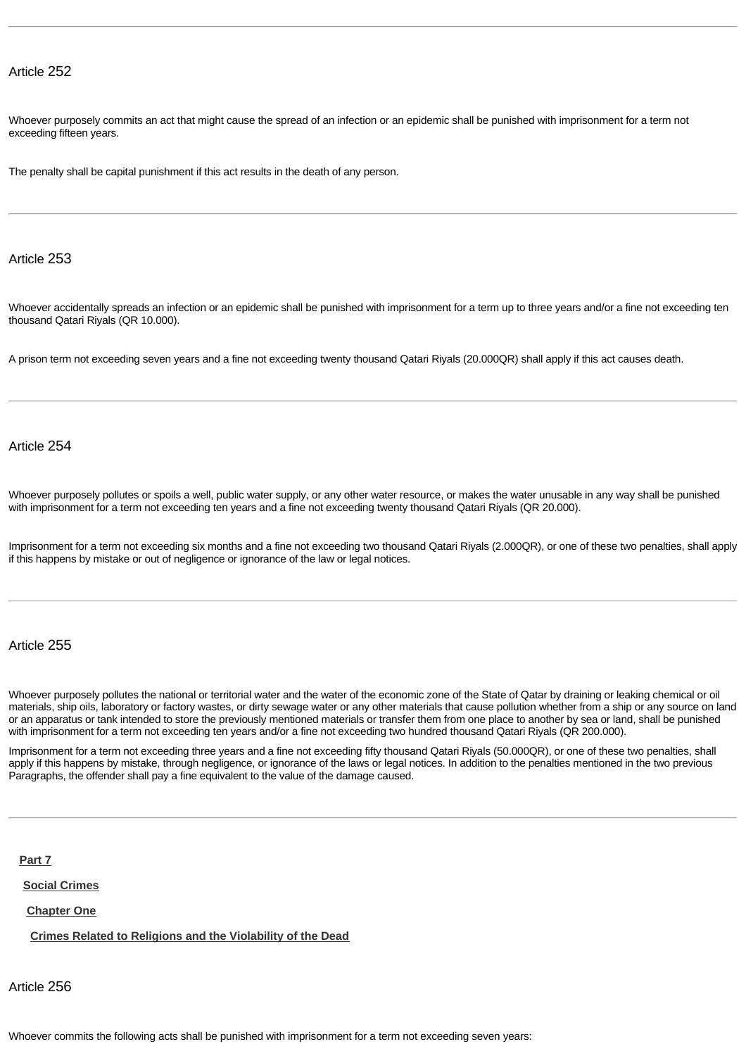Whoever purposely commits an act that might cause the spread of an infection or an epidemic shall be punished with imprisonment for a term not exceeding fifteen years.

The penalty shall be capital punishment if this act results in the death of any person.

#### Article 253

Whoever accidentally spreads an infection or an epidemic shall be punished with imprisonment for a term up to three years and/or a fine not exceeding ten thousand Qatari Riyals (QR 10.000).

A prison term not exceeding seven years and a fine not exceeding twenty thousand Qatari Riyals (20.000QR) shall apply if this act causes death.

# Article 254

Whoever purposely pollutes or spoils a well, public water supply, or any other water resource, or makes the water unusable in any way shall be punished with imprisonment for a term not exceeding ten years and a fine not exceeding twenty thousand Qatari Riyals (QR 20.000).

Imprisonment for a term not exceeding six months and a fine not exceeding two thousand Qatari Riyals (2.000QR), or one of these two penalties, shall apply if this happens by mistake or out of negligence or ignorance of the law or legal notices.

# Article 255

Whoever purposely pollutes the national or territorial water and the water of the economic zone of the State of Qatar by draining or leaking chemical or oil materials, ship oils, laboratory or factory wastes, or dirty sewage water or any other materials that cause pollution whether from a ship or any source on land or an apparatus or tank intended to store the previously mentioned materials or transfer them from one place to another by sea or land, shall be punished with imprisonment for a term not exceeding ten years and/or a fine not exceeding two hundred thousand Qatari Riyals (QR 200.000).

Imprisonment for a term not exceeding three years and a fine not exceeding fifty thousand Qatari Riyals (50.000QR), or one of these two penalties, shall apply if this happens by mistake, through negligence, or ignorance of the laws or legal notices. In addition to the penalties mentioned in the two previous Paragraphs, the offender shall pay a fine equivalent to the value of the damage caused.

**[Part 7](http://www.almeezan.qa/DownloadPage.aspx?Target=All&type=2&lawID=26&language=en#)**

**[Social Crimes](http://www.almeezan.qa/DownloadPage.aspx?Target=All&type=2&lawID=26&language=en#)**

**[Chapter One](http://www.almeezan.qa/DownloadPage.aspx?Target=All&type=2&lawID=26&language=en#)**

**[Crimes Related to Religions and the Violability of the Dead](http://www.almeezan.qa/DownloadPage.aspx?Target=All&type=2&lawID=26&language=en#)**

Article 256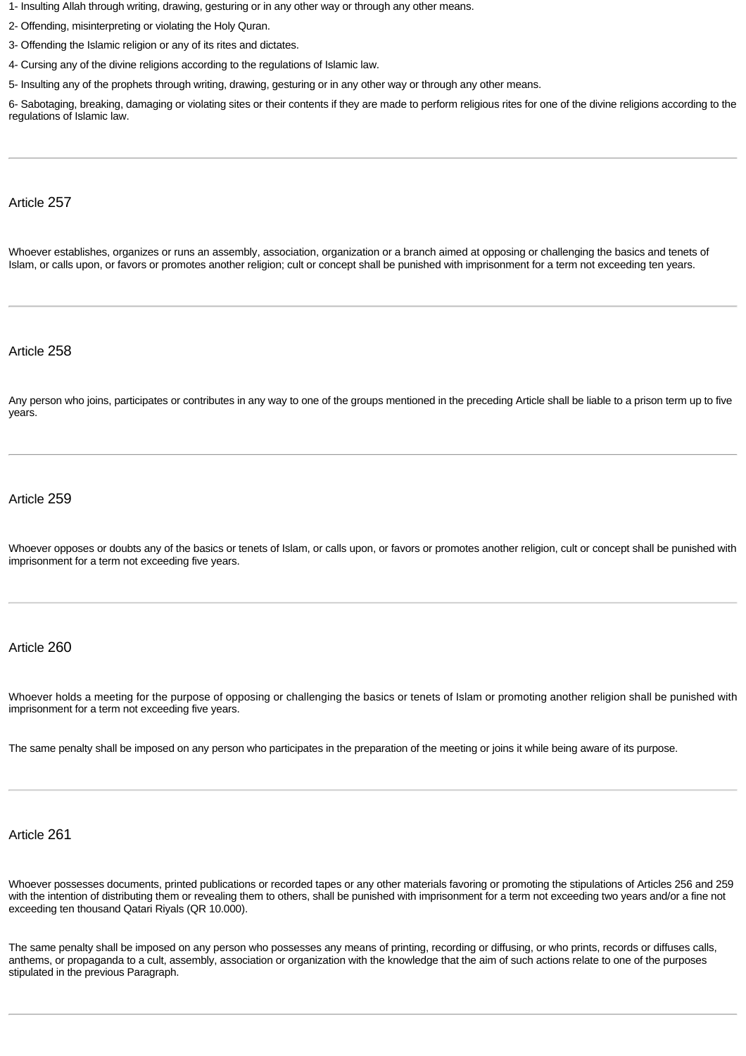- 1- Insulting Allah through writing, drawing, gesturing or in any other way or through any other means.
- 2- Offending, misinterpreting or violating the Holy Quran.
- 3- Offending the Islamic religion or any of its rites and dictates.
- 4- Cursing any of the divine religions according to the regulations of Islamic law.

5- Insulting any of the prophets through writing, drawing, gesturing or in any other way or through any other means.

6- Sabotaging, breaking, damaging or violating sites or their contents if they are made to perform religious rites for one of the divine religions according to the regulations of Islamic law.

#### Article 257

Whoever establishes, organizes or runs an assembly, association, organization or a branch aimed at opposing or challenging the basics and tenets of Islam, or calls upon, or favors or promotes another religion; cult or concept shall be punished with imprisonment for a term not exceeding ten years.

### Article 258

Any person who joins, participates or contributes in any way to one of the groups mentioned in the preceding Article shall be liable to a prison term up to five years.

#### Article 259

Whoever opposes or doubts any of the basics or tenets of Islam, or calls upon, or favors or promotes another religion, cult or concept shall be punished with imprisonment for a term not exceeding five years.

#### Article 260

Whoever holds a meeting for the purpose of opposing or challenging the basics or tenets of Islam or promoting another religion shall be punished with imprisonment for a term not exceeding five years.

The same penalty shall be imposed on any person who participates in the preparation of the meeting or joins it while being aware of its purpose.

# Article 261

Whoever possesses documents, printed publications or recorded tapes or any other materials favoring or promoting the stipulations of Articles 256 and 259 with the intention of distributing them or revealing them to others, shall be punished with imprisonment for a term not exceeding two years and/or a fine not exceeding ten thousand Qatari Riyals (QR 10.000).

The same penalty shall be imposed on any person who possesses any means of printing, recording or diffusing, or who prints, records or diffuses calls, anthems, or propaganda to a cult, assembly, association or organization with the knowledge that the aim of such actions relate to one of the purposes stipulated in the previous Paragraph.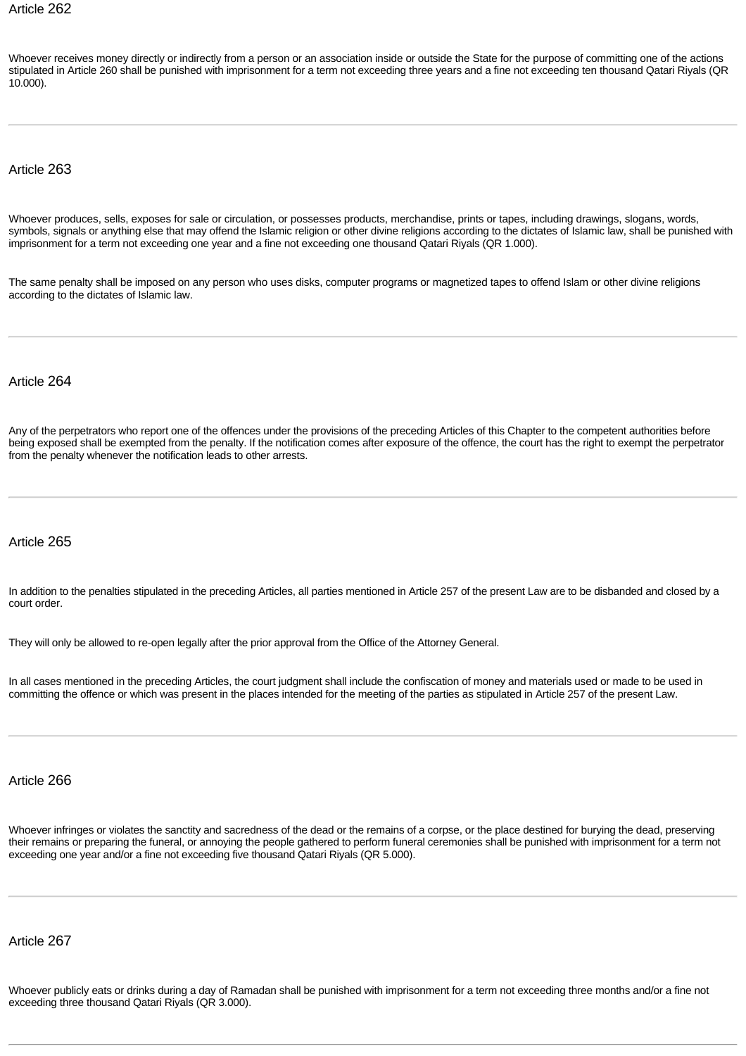Whoever receives money directly or indirectly from a person or an association inside or outside the State for the purpose of committing one of the actions stipulated in Article 260 shall be punished with imprisonment for a term not exceeding three years and a fine not exceeding ten thousand Qatari Riyals (QR 10.000).

#### Article 263

Whoever produces, sells, exposes for sale or circulation, or possesses products, merchandise, prints or tapes, including drawings, slogans, words, symbols, signals or anything else that may offend the Islamic religion or other divine religions according to the dictates of Islamic law, shall be punished with imprisonment for a term not exceeding one year and a fine not exceeding one thousand Qatari Riyals (QR 1.000).

The same penalty shall be imposed on any person who uses disks, computer programs or magnetized tapes to offend Islam or other divine religions according to the dictates of Islamic law.

## Article 264

Any of the perpetrators who report one of the offences under the provisions of the preceding Articles of this Chapter to the competent authorities before being exposed shall be exempted from the penalty. If the notification comes after exposure of the offence, the court has the right to exempt the perpetrator from the penalty whenever the notification leads to other arrests.

# Article 265

In addition to the penalties stipulated in the preceding Articles, all parties mentioned in Article 257 of the present Law are to be disbanded and closed by a court order.

They will only be allowed to re-open legally after the prior approval from the Office of the Attorney General.

In all cases mentioned in the preceding Articles, the court judgment shall include the confiscation of money and materials used or made to be used in committing the offence or which was present in the places intended for the meeting of the parties as stipulated in Article 257 of the present Law.

# Article 266

Whoever infringes or violates the sanctity and sacredness of the dead or the remains of a corpse, or the place destined for burying the dead, preserving their remains or preparing the funeral, or annoying the people gathered to perform funeral ceremonies shall be punished with imprisonment for a term not exceeding one year and/or a fine not exceeding five thousand Qatari Riyals (QR 5.000).

# Article 267

Whoever publicly eats or drinks during a day of Ramadan shall be punished with imprisonment for a term not exceeding three months and/or a fine not exceeding three thousand Qatari Riyals (QR 3.000).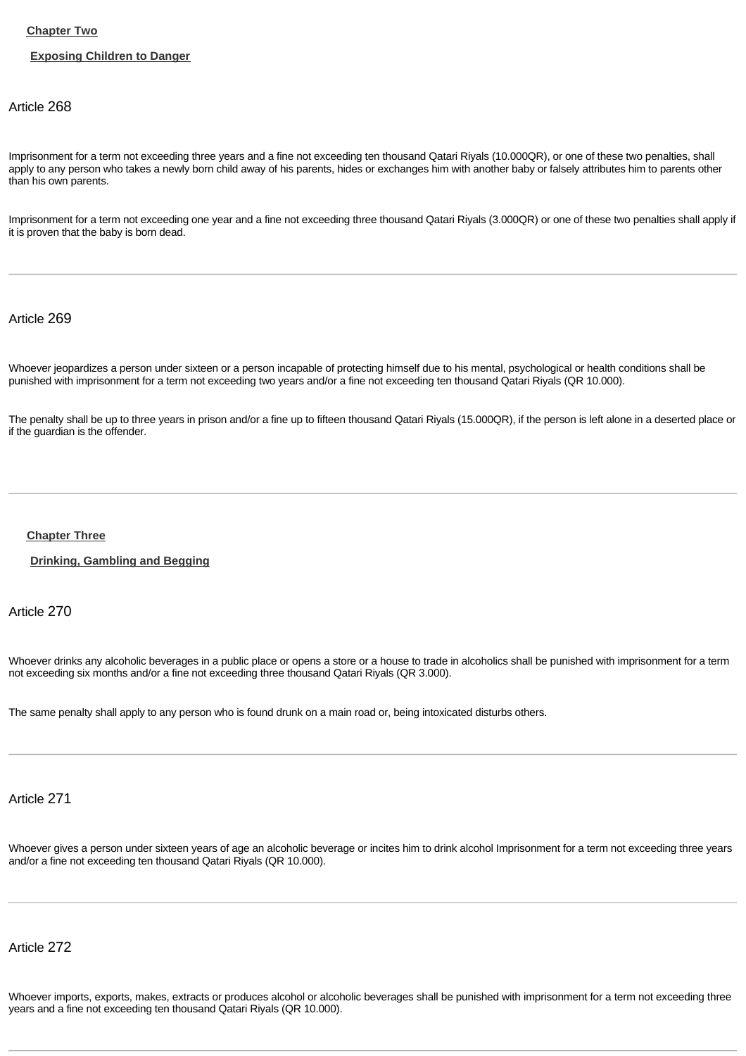## **[Chapter Two](http://www.almeezan.qa/DownloadPage.aspx?Target=All&type=2&lawID=26&language=en#)**

### **[Exposing Children to Danger](http://www.almeezan.qa/DownloadPage.aspx?Target=All&type=2&lawID=26&language=en#)**

# Article 268

Imprisonment for a term not exceeding three years and a fine not exceeding ten thousand Qatari Riyals (10.000QR), or one of these two penalties, shall apply to any person who takes a newly born child away of his parents, hides or exchanges him with another baby or falsely attributes him to parents other than his own parents.

Imprisonment for a term not exceeding one year and a fine not exceeding three thousand Qatari Riyals (3.000QR) or one of these two penalties shall apply if it is proven that the baby is born dead.

## Article 269

Whoever jeopardizes a person under sixteen or a person incapable of protecting himself due to his mental, psychological or health conditions shall be punished with imprisonment for a term not exceeding two years and/or a fine not exceeding ten thousand Qatari Riyals (QR 10.000).

The penalty shall be up to three years in prison and/or a fine up to fifteen thousand Qatari Riyals (15.000QR), if the person is left alone in a deserted place or if the guardian is the offender.

#### **[Chapter Three](http://www.almeezan.qa/DownloadPage.aspx?Target=All&type=2&lawID=26&language=en#)**

**[Drinking, Gambling and Begging](http://www.almeezan.qa/DownloadPage.aspx?Target=All&type=2&lawID=26&language=en#)**

Article 270

Whoever drinks any alcoholic beverages in a public place or opens a store or a house to trade in alcoholics shall be punished with imprisonment for a term not exceeding six months and/or a fine not exceeding three thousand Qatari Riyals (QR 3.000).

The same penalty shall apply to any person who is found drunk on a main road or, being intoxicated disturbs others.

Article 271

Whoever gives a person under sixteen years of age an alcoholic beverage or incites him to drink alcohol Imprisonment for a term not exceeding three years and/or a fine not exceeding ten thousand Qatari Riyals (QR 10.000).

# Article 272

Whoever imports, exports, makes, extracts or produces alcohol or alcoholic beverages shall be punished with imprisonment for a term not exceeding three years and a fine not exceeding ten thousand Qatari Riyals (QR 10.000).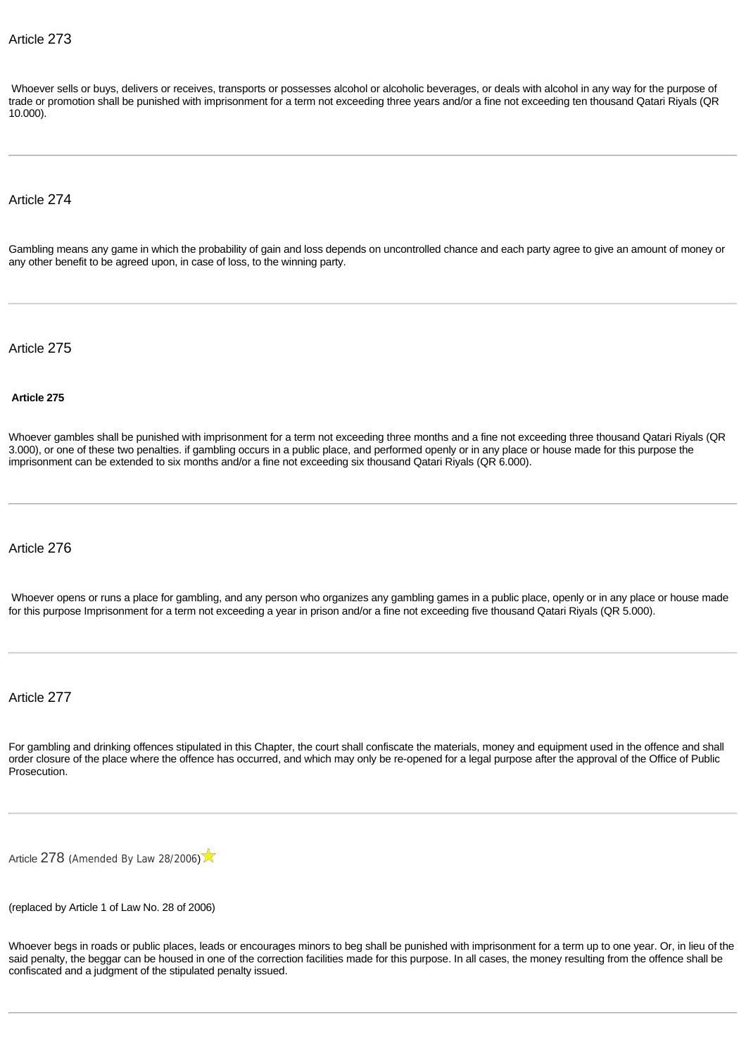Whoever sells or buys, delivers or receives, transports or possesses alcohol or alcoholic beverages, or deals with alcohol in any way for the purpose of trade or promotion shall be punished with imprisonment for a term not exceeding three years and/or a fine not exceeding ten thousand Qatari Riyals (QR 10.000).

## Article 274

Gambling means any game in which the probability of gain and loss depends on uncontrolled chance and each party agree to give an amount of money or any other benefit to be agreed upon, in case of loss, to the winning party.

Article 275

#### **Article 275**

Whoever gambles shall be punished with imprisonment for a term not exceeding three months and a fine not exceeding three thousand Qatari Riyals (QR 3.000), or one of these two penalties. if gambling occurs in a public place, and performed openly or in any place or house made for this purpose the imprisonment can be extended to six months and/or a fine not exceeding six thousand Qatari Riyals (QR 6.000).

# Article 276

Whoever opens or runs a place for gambling, and any person who organizes any gambling games in a public place, openly or in any place or house made for this purpose Imprisonment for a term not exceeding a year in prison and/or a fine not exceeding five thousand Qatari Riyals (QR 5.000).

Article 277

For gambling and drinking offences stipulated in this Chapter, the court shall confiscate the materials, money and equipment used in the offence and shall order closure of the place where the offence has occurred, and which may only be re-opened for a legal purpose after the approval of the Office of Public Prosecution.

[Article](http://www.almeezan.qa/LawArticles.aspx?LawArticleID=870&lawId=26&language=en) [278](http://www.almeezan.qa/LawArticles.aspx?LawArticleID=870&lawId=26&language=en) ([Amended By Law 28/2006](http://www.almeezan.qa/LawPage.aspx?id=2575&language=en))

(replaced by Article 1 of Law No. 28 of 2006)

Whoever begs in roads or public places, leads or encourages minors to beg shall be punished with imprisonment for a term up to one year. Or, in lieu of the said penalty, the beggar can be housed in one of the correction facilities made for this purpose. In all cases, the money resulting from the offence shall be confiscated and a judgment of the stipulated penalty issued.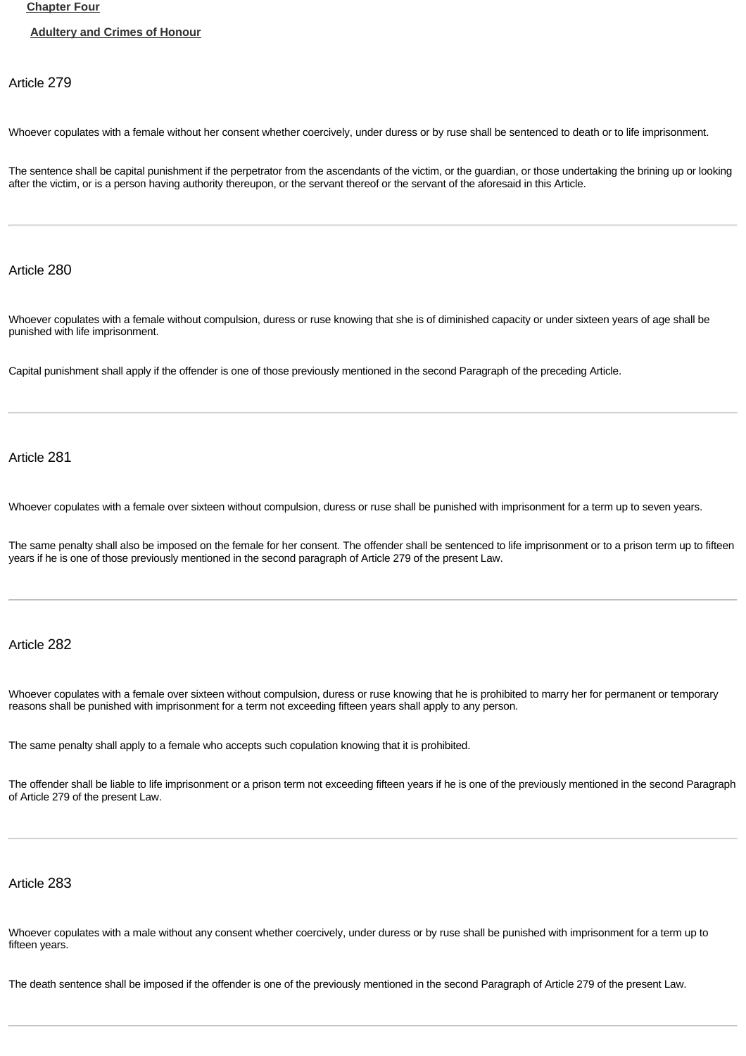#### **[Chapter Four](http://www.almeezan.qa/DownloadPage.aspx?Target=All&type=2&lawID=26&language=en#)**

#### **[Adultery and Crimes of Honour](http://www.almeezan.qa/DownloadPage.aspx?Target=All&type=2&lawID=26&language=en#)**

Article 279

Whoever copulates with a female without her consent whether coercively, under duress or by ruse shall be sentenced to death or to life imprisonment.

The sentence shall be capital punishment if the perpetrator from the ascendants of the victim, or the guardian, or those undertaking the brining up or looking after the victim, or is a person having authority thereupon, or the servant thereof or the servant of the aforesaid in this Article.

Article 280

Whoever copulates with a female without compulsion, duress or ruse knowing that she is of diminished capacity or under sixteen years of age shall be punished with life imprisonment.

Capital punishment shall apply if the offender is one of those previously mentioned in the second Paragraph of the preceding Article.

Article 281

Whoever copulates with a female over sixteen without compulsion, duress or ruse shall be punished with imprisonment for a term up to seven years.

The same penalty shall also be imposed on the female for her consent. The offender shall be sentenced to life imprisonment or to a prison term up to fifteen years if he is one of those previously mentioned in the second paragraph of Article 279 of the present Law.

# Article 282

Whoever copulates with a female over sixteen without compulsion, duress or ruse knowing that he is prohibited to marry her for permanent or temporary reasons shall be punished with imprisonment for a term not exceeding fifteen years shall apply to any person.

The same penalty shall apply to a female who accepts such copulation knowing that it is prohibited.

The offender shall be liable to life imprisonment or a prison term not exceeding fifteen years if he is one of the previously mentioned in the second Paragraph of Article 279 of the present Law.

# Article 283

Whoever copulates with a male without any consent whether coercively, under duress or by ruse shall be punished with imprisonment for a term up to fifteen years.

The death sentence shall be imposed if the offender is one of the previously mentioned in the second Paragraph of Article 279 of the present Law.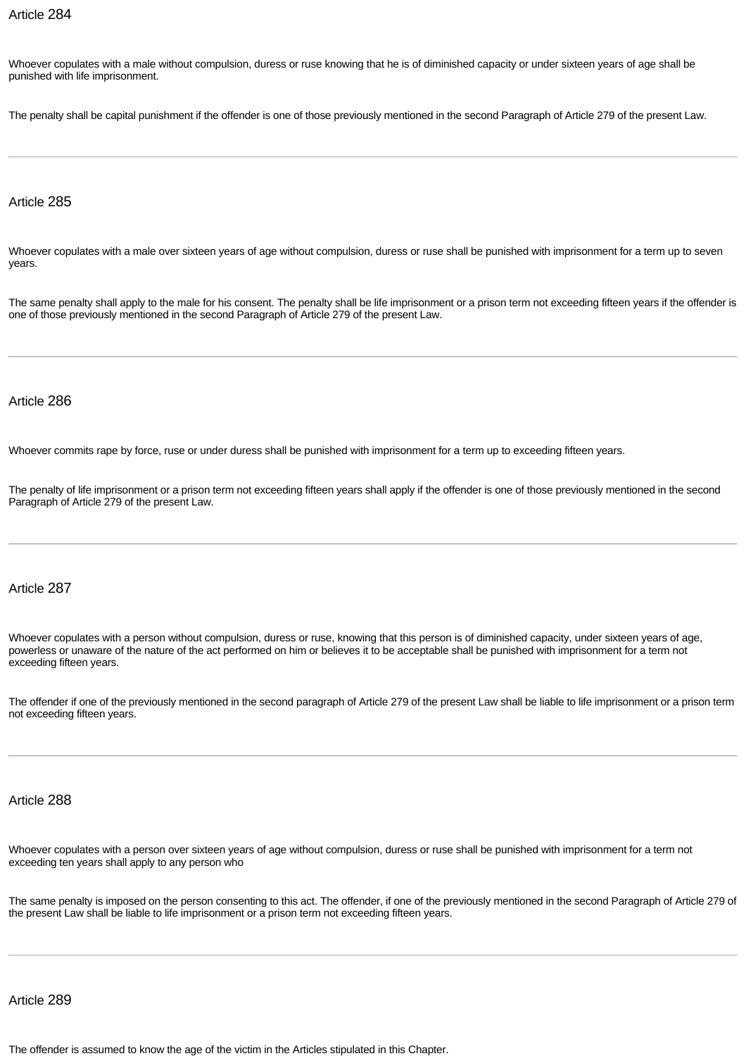Whoever copulates with a male without compulsion, duress or ruse knowing that he is of diminished capacity or under sixteen years of age shall be punished with life imprisonment.

The penalty shall be capital punishment if the offender is one of those previously mentioned in the second Paragraph of Article 279 of the present Law.

# Article 285

Whoever copulates with a male over sixteen years of age without compulsion, duress or ruse shall be punished with imprisonment for a term up to seven years.

The same penalty shall apply to the male for his consent. The penalty shall be life imprisonment or a prison term not exceeding fifteen years if the offender is one of those previously mentioned in the second Paragraph of Article 279 of the present Law.

#### Article 286

Whoever commits rape by force, ruse or under duress shall be punished with imprisonment for a term up to exceeding fifteen years.

The penalty of life imprisonment or a prison term not exceeding fifteen years shall apply if the offender is one of those previously mentioned in the second Paragraph of Article 279 of the present Law.

## Article 287

Whoever copulates with a person without compulsion, duress or ruse, knowing that this person is of diminished capacity, under sixteen years of age, powerless or unaware of the nature of the act performed on him or believes it to be acceptable shall be punished with imprisonment for a term not exceeding fifteen years.

The offender if one of the previously mentioned in the second paragraph of Article 279 of the present Law shall be liable to life imprisonment or a prison term not exceeding fifteen years.

### Article 288

Whoever copulates with a person over sixteen years of age without compulsion, duress or ruse shall be punished with imprisonment for a term not exceeding ten years shall apply to any person who

The same penalty is imposed on the person consenting to this act. The offender, if one of the previously mentioned in the second Paragraph of Article 279 of the present Law shall be liable to life imprisonment or a prison term not exceeding fifteen years.

#### Article 289

The offender is assumed to know the age of the victim in the Articles stipulated in this Chapter.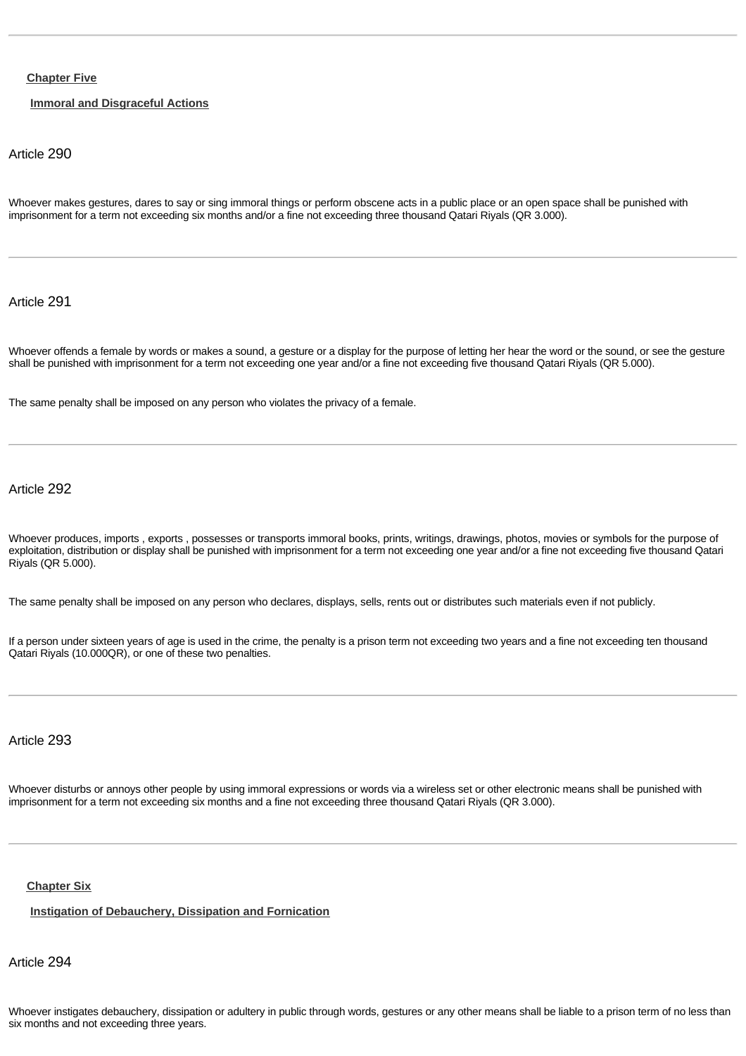## **[Chapter Five](http://www.almeezan.qa/DownloadPage.aspx?Target=All&type=2&lawID=26&language=en#)**

# **[Immoral and Disgraceful Actions](http://www.almeezan.qa/DownloadPage.aspx?Target=All&type=2&lawID=26&language=en#)**

## Article 290

Whoever makes gestures, dares to say or sing immoral things or perform obscene acts in a public place or an open space shall be punished with imprisonment for a term not exceeding six months and/or a fine not exceeding three thousand Qatari Riyals (QR 3.000).

Article 291

Whoever offends a female by words or makes a sound, a gesture or a display for the purpose of letting her hear the word or the sound, or see the gesture shall be punished with imprisonment for a term not exceeding one year and/or a fine not exceeding five thousand Qatari Riyals (QR 5.000).

The same penalty shall be imposed on any person who violates the privacy of a female.

Article 292

Whoever produces, imports , exports , possesses or transports immoral books, prints, writings, drawings, photos, movies or symbols for the purpose of exploitation, distribution or display shall be punished with imprisonment for a term not exceeding one year and/or a fine not exceeding five thousand Qatari Riyals (QR 5.000).

The same penalty shall be imposed on any person who declares, displays, sells, rents out or distributes such materials even if not publicly.

If a person under sixteen years of age is used in the crime, the penalty is a prison term not exceeding two years and a fine not exceeding ten thousand Qatari Riyals (10.000QR), or one of these two penalties.

# Article 293

Whoever disturbs or annoys other people by using immoral expressions or words via a wireless set or other electronic means shall be punished with imprisonment for a term not exceeding six months and a fine not exceeding three thousand Qatari Riyals (QR 3.000).

#### **[Chapter Six](http://www.almeezan.qa/DownloadPage.aspx?Target=All&type=2&lawID=26&language=en#)**

**[Instigation of Debauchery, Dissipation and Fornication](http://www.almeezan.qa/DownloadPage.aspx?Target=All&type=2&lawID=26&language=en#)**

Article 294

Whoever instigates debauchery, dissipation or adultery in public through words, gestures or any other means shall be liable to a prison term of no less than six months and not exceeding three years.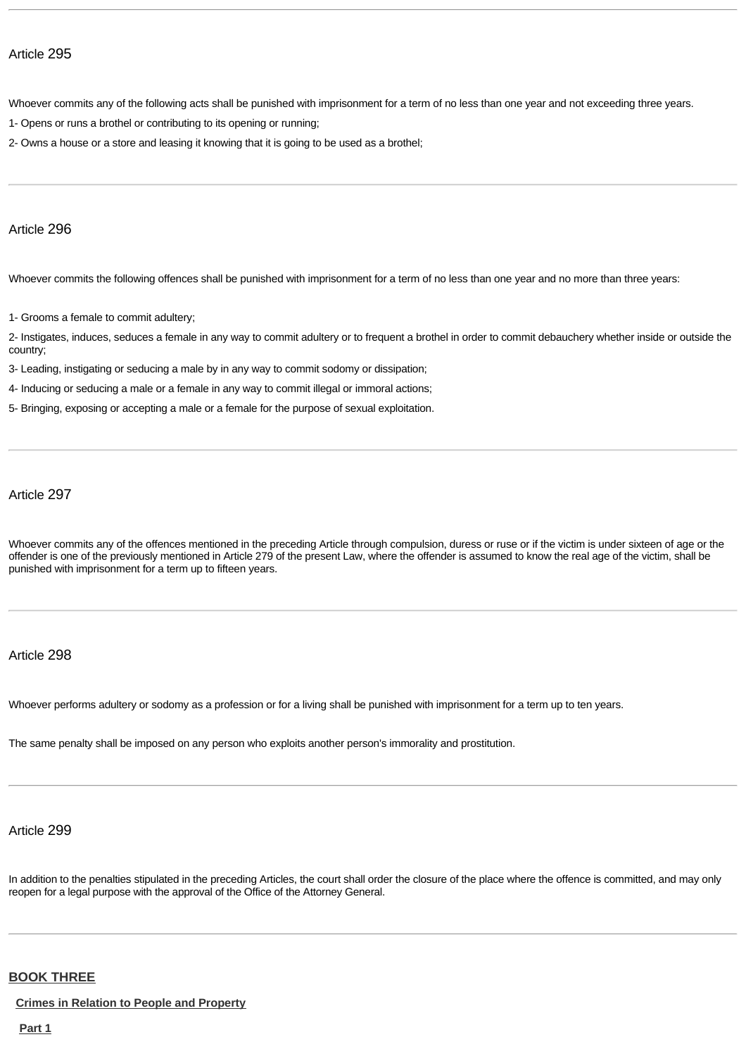Whoever commits any of the following acts shall be punished with imprisonment for a term of no less than one year and not exceeding three years.

- 1- Opens or runs a brothel or contributing to its opening or running;
- 2- Owns a house or a store and leasing it knowing that it is going to be used as a brothel;

## Article 296

Whoever commits the following offences shall be punished with imprisonment for a term of no less than one year and no more than three years:

1- Grooms a female to commit adultery;

2- Instigates, induces, seduces a female in any way to commit adultery or to frequent a brothel in order to commit debauchery whether inside or outside the country;

- 3- Leading, instigating or seducing a male by in any way to commit sodomy or dissipation;
- 4- Inducing or seducing a male or a female in any way to commit illegal or immoral actions;
- 5- Bringing, exposing or accepting a male or a female for the purpose of sexual exploitation.

Article 297

Whoever commits any of the offences mentioned in the preceding Article through compulsion, duress or ruse or if the victim is under sixteen of age or the offender is one of the previously mentioned in Article 279 of the present Law, where the offender is assumed to know the real age of the victim, shall be punished with imprisonment for a term up to fifteen years.

## Article 298

Whoever performs adultery or sodomy as a profession or for a living shall be punished with imprisonment for a term up to ten years.

The same penalty shall be imposed on any person who exploits another person's immorality and prostitution.

# Article 299

In addition to the penalties stipulated in the preceding Articles, the court shall order the closure of the place where the offence is committed, and may only reopen for a legal purpose with the approval of the Office of the Attorney General.

# **[BOOK THREE](http://www.almeezan.qa/DownloadPage.aspx?Target=All&type=2&lawID=26&language=en#)**

**[Crimes in Relation to People and Property](http://www.almeezan.qa/DownloadPage.aspx?Target=All&type=2&lawID=26&language=en#)**

**[Part 1](http://www.almeezan.qa/DownloadPage.aspx?Target=All&type=2&lawID=26&language=en#)**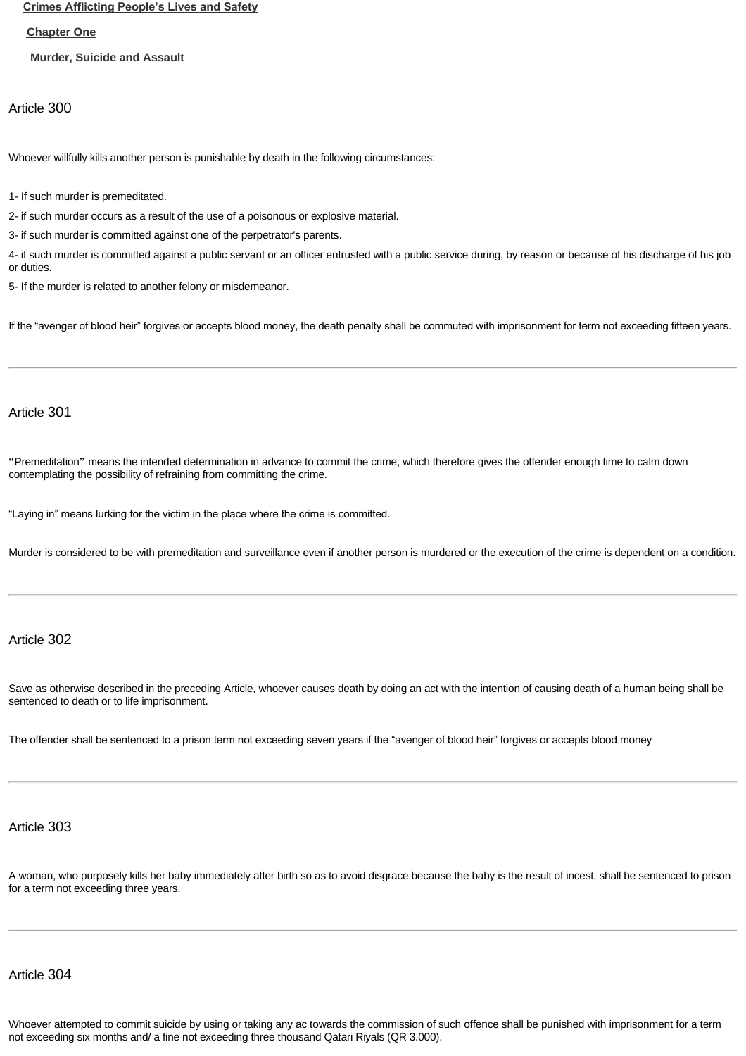**[Crimes Afflicting People's Lives and Safety](http://www.almeezan.qa/DownloadPage.aspx?Target=All&type=2&lawID=26&language=en#)**

**[Chapter One](http://www.almeezan.qa/DownloadPage.aspx?Target=All&type=2&lawID=26&language=en#)**

**[Murder, Suicide and Assault](http://www.almeezan.qa/DownloadPage.aspx?Target=All&type=2&lawID=26&language=en#)**

Article 300

Whoever willfully kills another person is punishable by death in the following circumstances:

1- If such murder is premeditated.

2- if such murder occurs as a result of the use of a poisonous or explosive material.

3- if such murder is committed against one of the perpetrator's parents.

4- if such murder is committed against a public servant or an officer entrusted with a public service during, by reason or because of his discharge of his job or duties.

5- If the murder is related to another felony or misdemeanor.

If the "avenger of blood heir" forgives or accepts blood money, the death penalty shall be commuted with imprisonment for term not exceeding fifteen years.

# Article 301

**"**Premeditation**"** means the intended determination in advance to commit the crime, which therefore gives the offender enough time to calm down contemplating the possibility of refraining from committing the crime.

"Laying in" means lurking for the victim in the place where the crime is committed.

Murder is considered to be with premeditation and surveillance even if another person is murdered or the execution of the crime is dependent on a condition.

# Article 302

Save as otherwise described in the preceding Article, whoever causes death by doing an act with the intention of causing death of a human being shall be sentenced to death or to life imprisonment.

The offender shall be sentenced to a prison term not exceeding seven years if the "avenger of blood heir" forgives or accepts blood money

# Article 303

A woman, who purposely kills her baby immediately after birth so as to avoid disgrace because the baby is the result of incest, shall be sentenced to prison for a term not exceeding three years.

# Article 304

Whoever attempted to commit suicide by using or taking any ac towards the commission of such offence shall be punished with imprisonment for a term not exceeding six months and/ a fine not exceeding three thousand Qatari Riyals (QR 3.000).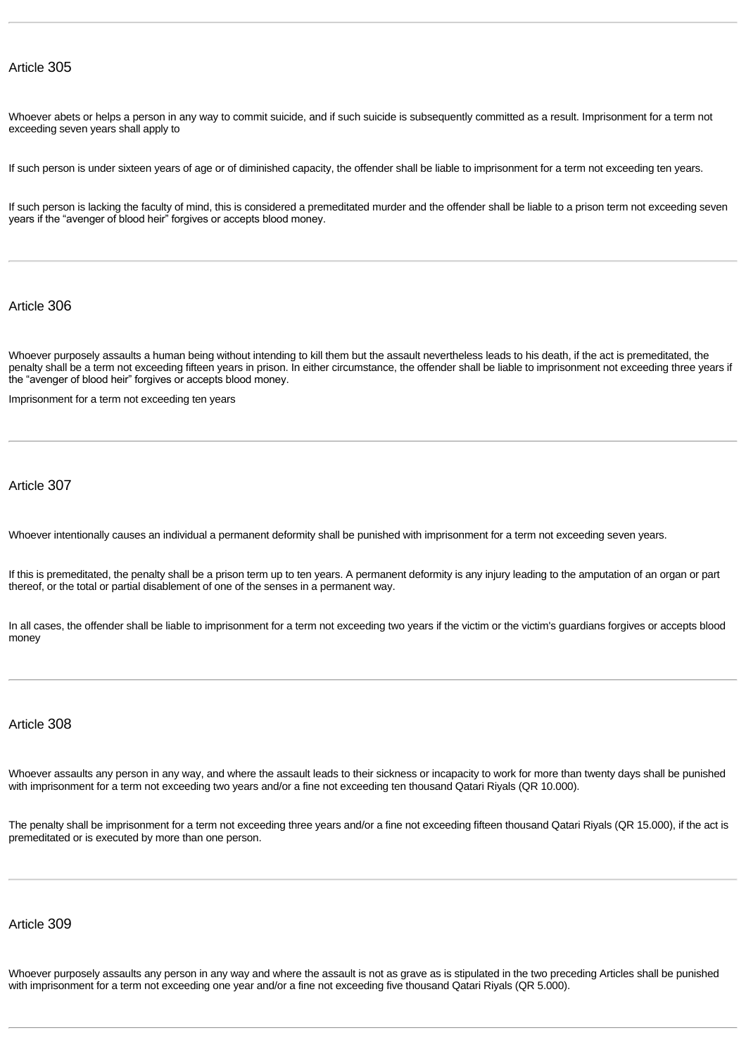Whoever abets or helps a person in any way to commit suicide, and if such suicide is subsequently committed as a result. Imprisonment for a term not exceeding seven years shall apply to

If such person is under sixteen years of age or of diminished capacity, the offender shall be liable to imprisonment for a term not exceeding ten years.

If such person is lacking the faculty of mind, this is considered a premeditated murder and the offender shall be liable to a prison term not exceeding seven years if the "avenger of blood heir" forgives or accepts blood money.

# Article 306

Whoever purposely assaults a human being without intending to kill them but the assault nevertheless leads to his death, if the act is premeditated, the penalty shall be a term not exceeding fifteen years in prison. In either circumstance, the offender shall be liable to imprisonment not exceeding three years if the "avenger of blood heir" forgives or accepts blood money.

Imprisonment for a term not exceeding ten years

# Article 307

Whoever intentionally causes an individual a permanent deformity shall be punished with imprisonment for a term not exceeding seven years.

If this is premeditated, the penalty shall be a prison term up to ten years. A permanent deformity is any injury leading to the amputation of an organ or part thereof, or the total or partial disablement of one of the senses in a permanent way.

In all cases, the offender shall be liable to imprisonment for a term not exceeding two years if the victim or the victim's guardians forgives or accepts blood money

# Article 308

Whoever assaults any person in any way, and where the assault leads to their sickness or incapacity to work for more than twenty days shall be punished with imprisonment for a term not exceeding two years and/or a fine not exceeding ten thousand Qatari Riyals (QR 10.000).

The penalty shall be imprisonment for a term not exceeding three years and/or a fine not exceeding fifteen thousand Qatari Riyals (QR 15.000), if the act is premeditated or is executed by more than one person.

# Article 309

Whoever purposely assaults any person in any way and where the assault is not as grave as is stipulated in the two preceding Articles shall be punished with imprisonment for a term not exceeding one year and/or a fine not exceeding five thousand Qatari Riyals (QR 5.000).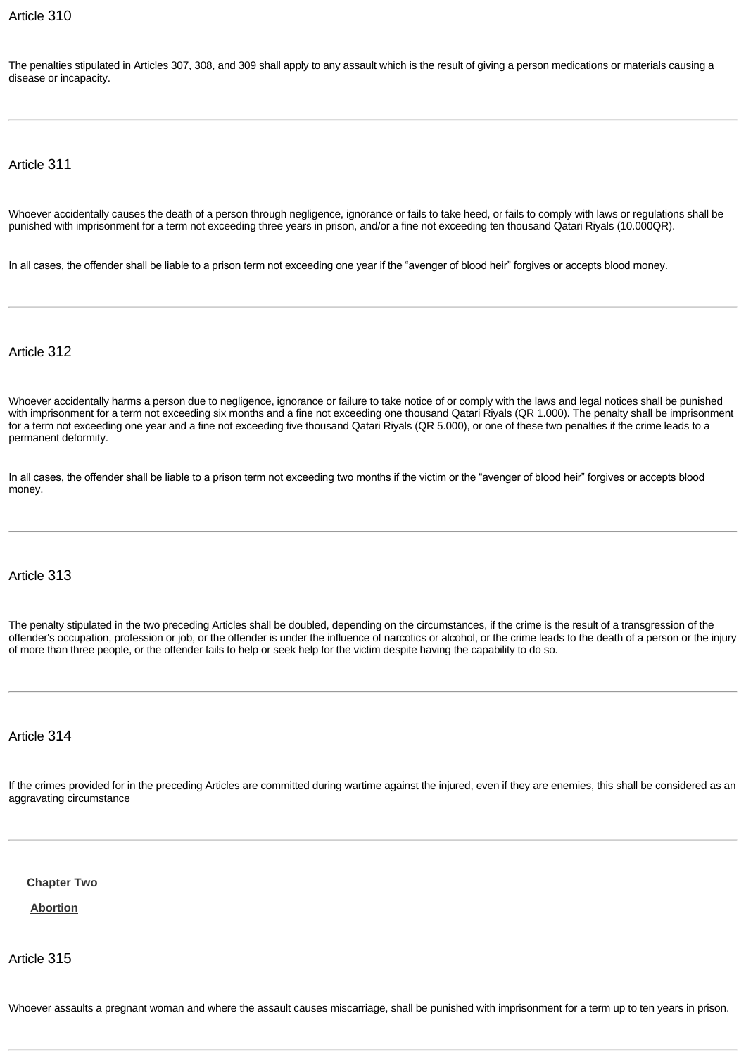The penalties stipulated in Articles 307, 308, and 309 shall apply to any assault which is the result of giving a person medications or materials causing a disease or incapacity.

Article 311

Whoever accidentally causes the death of a person through negligence, ignorance or fails to take heed, or fails to comply with laws or regulations shall be punished with imprisonment for a term not exceeding three years in prison, and/or a fine not exceeding ten thousand Qatari Riyals (10.000QR).

In all cases, the offender shall be liable to a prison term not exceeding one year if the "avenger of blood heir" forgives or accepts blood money.

Article 312

Whoever accidentally harms a person due to negligence, ignorance or failure to take notice of or comply with the laws and legal notices shall be punished with imprisonment for a term not exceeding six months and a fine not exceeding one thousand Qatari Riyals (QR 1.000). The penalty shall be imprisonment for a term not exceeding one year and a fine not exceeding five thousand Qatari Riyals (QR 5.000), or one of these two penalties if the crime leads to a permanent deformity.

In all cases, the offender shall be liable to a prison term not exceeding two months if the victim or the "avenger of blood heir" forgives or accepts blood money.

# Article 313

The penalty stipulated in the two preceding Articles shall be doubled, depending on the circumstances, if the crime is the result of a transgression of the offender's occupation, profession or job, or the offender is under the influence of narcotics or alcohol, or the crime leads to the death of a person or the injury of more than three people, or the offender fails to help or seek help for the victim despite having the capability to do so.

# Article 314

If the crimes provided for in the preceding Articles are committed during wartime against the injured, even if they are enemies, this shall be considered as an aggravating circumstance

**[Chapter Two](http://www.almeezan.qa/DownloadPage.aspx?Target=All&type=2&lawID=26&language=en#)**

**[Abortion](http://www.almeezan.qa/DownloadPage.aspx?Target=All&type=2&lawID=26&language=en#)**

Article 315

Whoever assaults a pregnant woman and where the assault causes miscarriage, shall be punished with imprisonment for a term up to ten years in prison.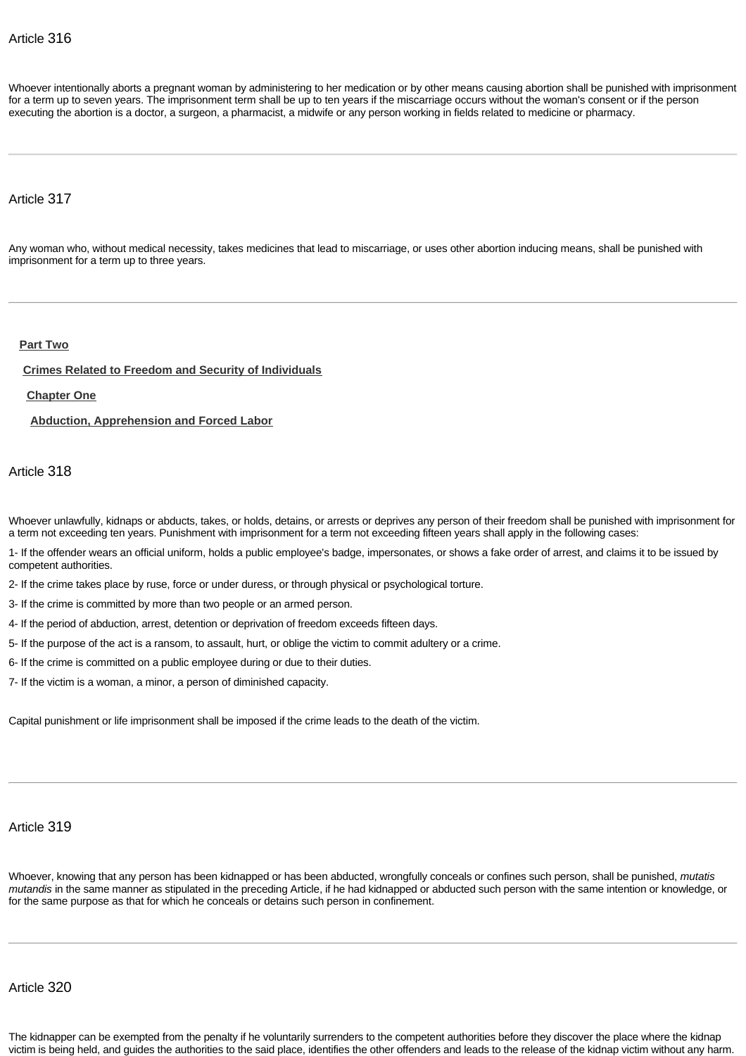Whoever intentionally aborts a pregnant woman by administering to her medication or by other means causing abortion shall be punished with imprisonment for a term up to seven years. The imprisonment term shall be up to ten years if the miscarriage occurs without the woman's consent or if the person executing the abortion is a doctor, a surgeon, a pharmacist, a midwife or any person working in fields related to medicine or pharmacy.

# Article 317

Any woman who, without medical necessity, takes medicines that lead to miscarriage, or uses other abortion inducing means, shall be punished with imprisonment for a term up to three years.

## **[Part Two](http://www.almeezan.qa/DownloadPage.aspx?Target=All&type=2&lawID=26&language=en#)**

#### **[Crimes Related to Freedom and Security of Individuals](http://www.almeezan.qa/DownloadPage.aspx?Target=All&type=2&lawID=26&language=en#)**

**[Chapter One](http://www.almeezan.qa/DownloadPage.aspx?Target=All&type=2&lawID=26&language=en#)**

**[Abduction, Apprehension and Forced Labor](http://www.almeezan.qa/DownloadPage.aspx?Target=All&type=2&lawID=26&language=en#)**

Article 318

Whoever unlawfully, kidnaps or abducts, takes, or holds, detains, or arrests or deprives any person of their freedom shall be punished with imprisonment for a term not exceeding ten years. Punishment with imprisonment for a term not exceeding fifteen years shall apply in the following cases:

1- If the offender wears an official uniform, holds a public employee's badge, impersonates, or shows a fake order of arrest, and claims it to be issued by competent authorities.

2- If the crime takes place by ruse, force or under duress, or through physical or psychological torture.

3- If the crime is committed by more than two people or an armed person.

4- If the period of abduction, arrest, detention or deprivation of freedom exceeds fifteen days.

5- If the purpose of the act is a ransom, to assault, hurt, or oblige the victim to commit adultery or a crime.

6- If the crime is committed on a public employee during or due to their duties.

7- If the victim is a woman, a minor, a person of diminished capacity.

Capital punishment or life imprisonment shall be imposed if the crime leads to the death of the victim.

# Article 319

Whoever, knowing that any person has been kidnapped or has been abducted, wrongfully conceals or confines such person, shall be punished, *mutatis mutandis* in the same manner as stipulated in the preceding Article, if he had kidnapped or abducted such person with the same intention or knowledge, or for the same purpose as that for which he conceals or detains such person in confinement.

Article 320

The kidnapper can be exempted from the penalty if he voluntarily surrenders to the competent authorities before they discover the place where the kidnap victim is being held, and guides the authorities to the said place, identifies the other offenders and leads to the release of the kidnap victim without any harm.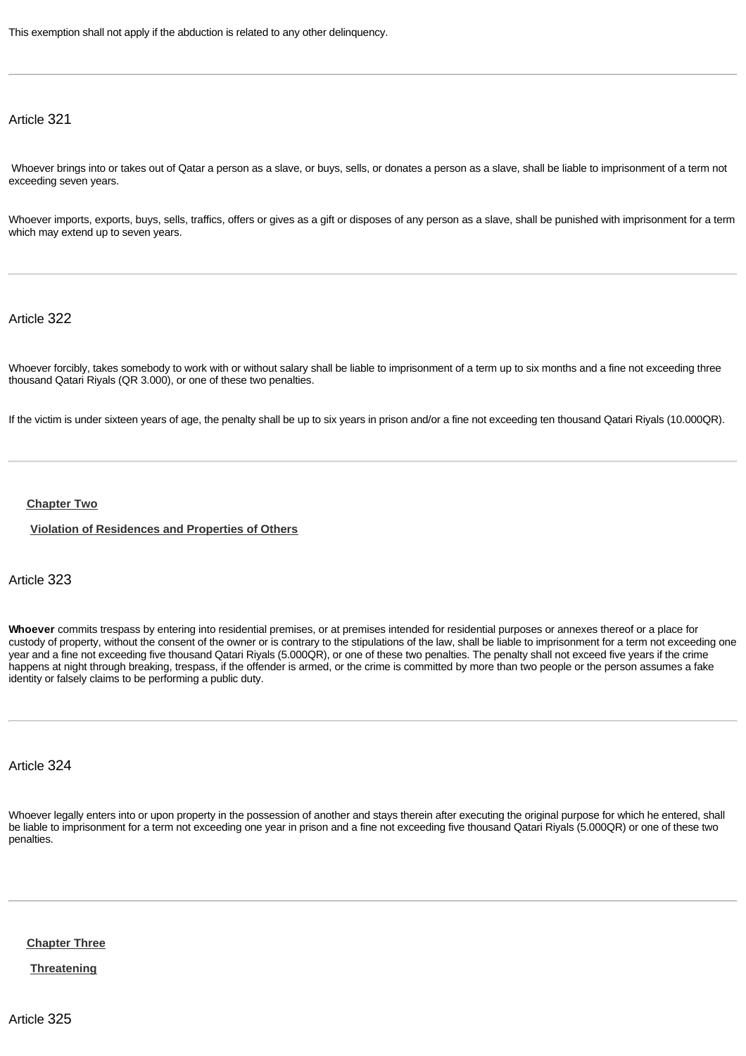This exemption shall not apply if the abduction is related to any other delinquency.

Article 321

Whoever brings into or takes out of Qatar a person as a slave, or buys, sells, or donates a person as a slave, shall be liable to imprisonment of a term not exceeding seven years.

Whoever imports, exports, buys, sells, traffics, offers or gives as a gift or disposes of any person as a slave, shall be punished with imprisonment for a term which may extend up to seven years.

Article 322

Whoever forcibly, takes somebody to work with or without salary shall be liable to imprisonment of a term up to six months and a fine not exceeding three thousand Qatari Riyals (QR 3.000), or one of these two penalties.

If the victim is under sixteen years of age, the penalty shall be up to six years in prison and/or a fine not exceeding ten thousand Qatari Riyals (10.000QR).

#### **[Chapter Two](http://www.almeezan.qa/DownloadPage.aspx?Target=All&type=2&lawID=26&language=en#)**

**[Violation of Residences and Properties of Others](http://www.almeezan.qa/DownloadPage.aspx?Target=All&type=2&lawID=26&language=en#)**

Article 323

**Whoever** commits trespass by entering into residential premises, or at premises intended for residential purposes or annexes thereof or a place for custody of property, without the consent of the owner or is contrary to the stipulations of the law, shall be liable to imprisonment for a term not exceeding one year and a fine not exceeding five thousand Qatari Riyals (5.000QR), or one of these two penalties. The penalty shall not exceed five years if the crime happens at night through breaking, trespass, if the offender is armed, or the crime is committed by more than two people or the person assumes a fake identity or falsely claims to be performing a public duty.

Article 324

Whoever legally enters into or upon property in the possession of another and stays therein after executing the original purpose for which he entered, shall be liable to imprisonment for a term not exceeding one year in prison and a fine not exceeding five thousand Qatari Riyals (5.000QR) or one of these two penalties.

**[Chapter Three](http://www.almeezan.qa/DownloadPage.aspx?Target=All&type=2&lawID=26&language=en#)**

**[Threatening](http://www.almeezan.qa/DownloadPage.aspx?Target=All&type=2&lawID=26&language=en#)**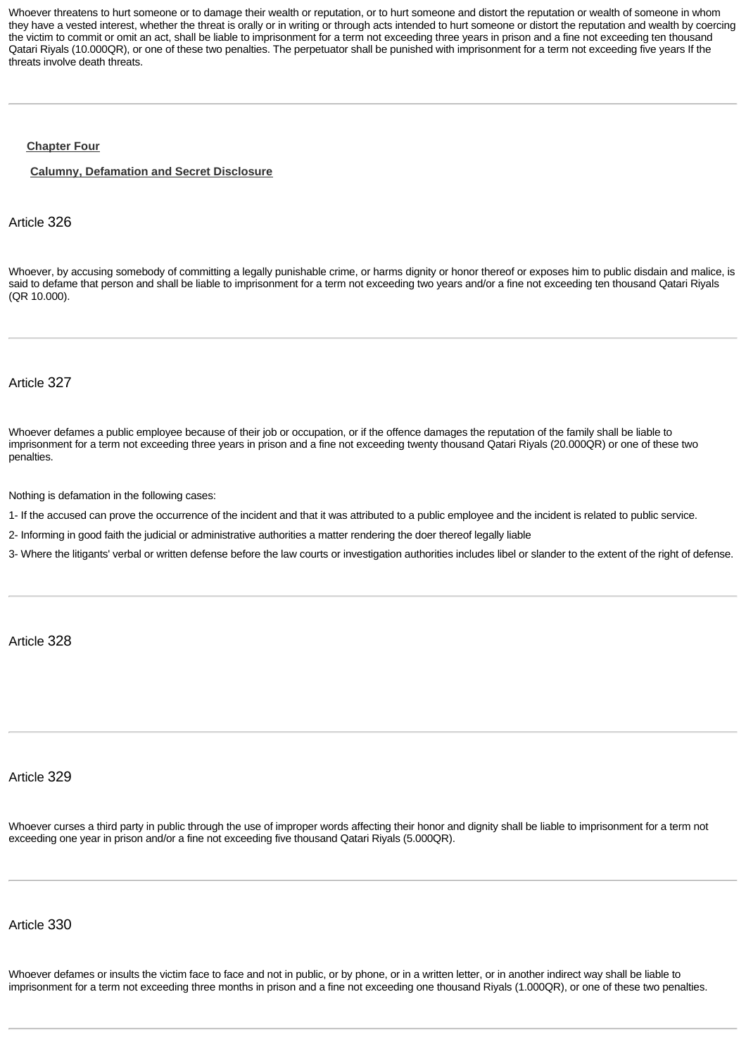Whoever threatens to hurt someone or to damage their wealth or reputation, or to hurt someone and distort the reputation or wealth of someone in whom they have a vested interest, whether the threat is orally or in writing or through acts intended to hurt someone or distort the reputation and wealth by coercing the victim to commit or omit an act, shall be liable to imprisonment for a term not exceeding three years in prison and a fine not exceeding ten thousand Qatari Riyals (10.000QR), or one of these two penalties. The perpetuator shall be punished with imprisonment for a term not exceeding five years If the threats involve death threats.

#### **[Chapter Four](http://www.almeezan.qa/DownloadPage.aspx?Target=All&type=2&lawID=26&language=en#)**

**[Calumny, Defamation and Secret Disclosure](http://www.almeezan.qa/DownloadPage.aspx?Target=All&type=2&lawID=26&language=en#)**

### Article 326

Whoever, by accusing somebody of committing a legally punishable crime, or harms dignity or honor thereof or exposes him to public disdain and malice, is said to defame that person and shall be liable to imprisonment for a term not exceeding two years and/or a fine not exceeding ten thousand Qatari Riyals (QR 10.000).

Article 327

Whoever defames a public employee because of their job or occupation, or if the offence damages the reputation of the family shall be liable to imprisonment for a term not exceeding three years in prison and a fine not exceeding twenty thousand Qatari Riyals (20.000QR) or one of these two penalties.

Nothing is defamation in the following cases:

1- If the accused can prove the occurrence of the incident and that it was attributed to a public employee and the incident is related to public service.

2- Informing in good faith the judicial or administrative authorities a matter rendering the doer thereof legally liable

3- Where the litigants' verbal or written defense before the law courts or investigation authorities includes libel or slander to the extent of the right of defense.

Article 328

#### Article 329

Whoever curses a third party in public through the use of improper words affecting their honor and dignity shall be liable to imprisonment for a term not exceeding one year in prison and/or a fine not exceeding five thousand Qatari Riyals (5.000QR).

# Article 330

Whoever defames or insults the victim face to face and not in public, or by phone, or in a written letter, or in another indirect way shall be liable to imprisonment for a term not exceeding three months in prison and a fine not exceeding one thousand Riyals (1.000QR), or one of these two penalties.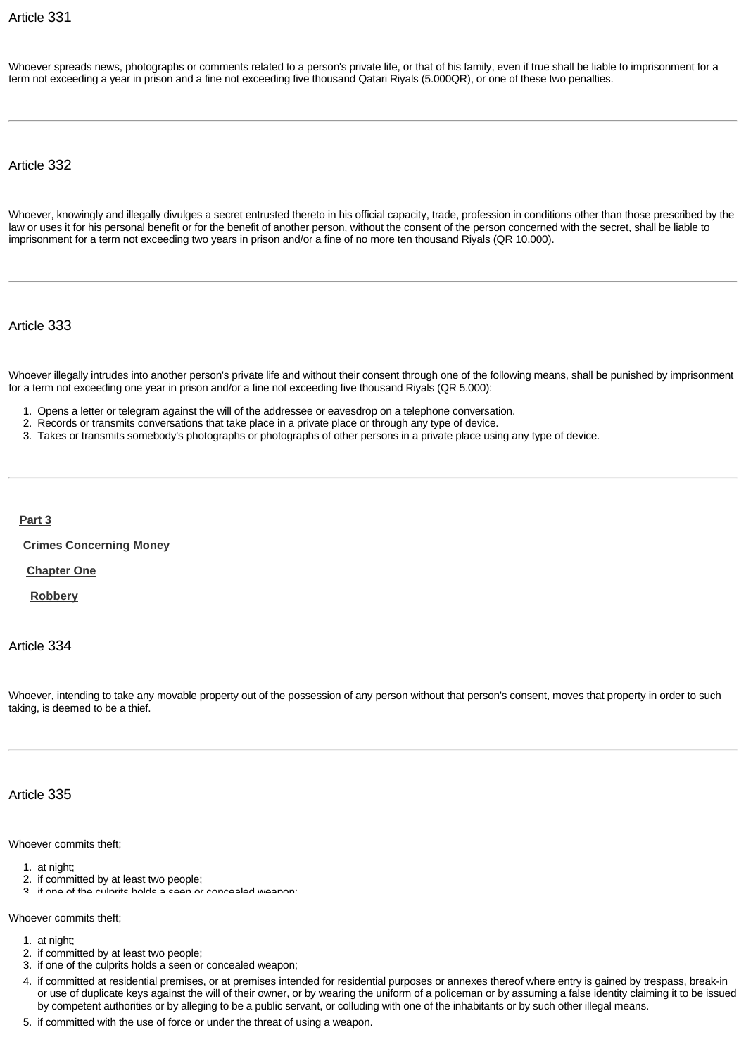Whoever spreads news, photographs or comments related to a person's private life, or that of his family, even if true shall be liable to imprisonment for a term not exceeding a year in prison and a fine not exceeding five thousand Qatari Riyals (5.000QR), or one of these two penalties.

Article 332

Whoever, knowingly and illegally divulges a secret entrusted thereto in his official capacity, trade, profession in conditions other than those prescribed by the law or uses it for his personal benefit or for the benefit of another person, without the consent of the person concerned with the secret, shall be liable to imprisonment for a term not exceeding two years in prison and/or a fine of no more ten thousand Riyals (QR 10.000).

Article 333

Whoever illegally intrudes into another person's private life and without their consent through one of the following means, shall be punished by imprisonment for a term not exceeding one year in prison and/or a fine not exceeding five thousand Riyals (QR 5.000):

1. Opens a letter or telegram against the will of the addressee or eavesdrop on a telephone conversation.

- 2. Records or transmits conversations that take place in a private place or through any type of device.
- 3. Takes or transmits somebody's photographs or photographs of other persons in a private place using any type of device.

**[Part 3](http://www.almeezan.qa/DownloadPage.aspx?Target=All&type=2&lawID=26&language=en#)**

**[Crimes Concerning Money](http://www.almeezan.qa/DownloadPage.aspx?Target=All&type=2&lawID=26&language=en#)**

**[Chapter One](http://www.almeezan.qa/DownloadPage.aspx?Target=All&type=2&lawID=26&language=en#)**

**[Robbery](http://www.almeezan.qa/DownloadPage.aspx?Target=All&type=2&lawID=26&language=en#)**

Article 334

Whoever, intending to take any movable property out of the possession of any person without that person's consent, moves that property in order to such taking, is deemed to be a thief.

# Article 335

Whoever commits theft;

- 1. at night;
- 2. if committed by at least two people;
- 3. if one of the culprits holds a seen or concealed weapon;

Whoever commits theft;

- 1. at night;
- 2. if committed by at least two people;
- 3. if one of the culprits holds a seen or concealed weapon;
- 4. if committed at residential premises, or at premises intended for residential purposes or annexes thereof where entry is gained by trespass, break-in or use of duplicate keys against the will of their owner, or by wearing the uniform of a policeman or by assuming a false identity claiming it to be issued by competent authorities or by alleging to be a public servant, or colluding with one of the inhabitants or by such other illegal means.
- 5. if committed with the use of force or under the threat of using a weapon.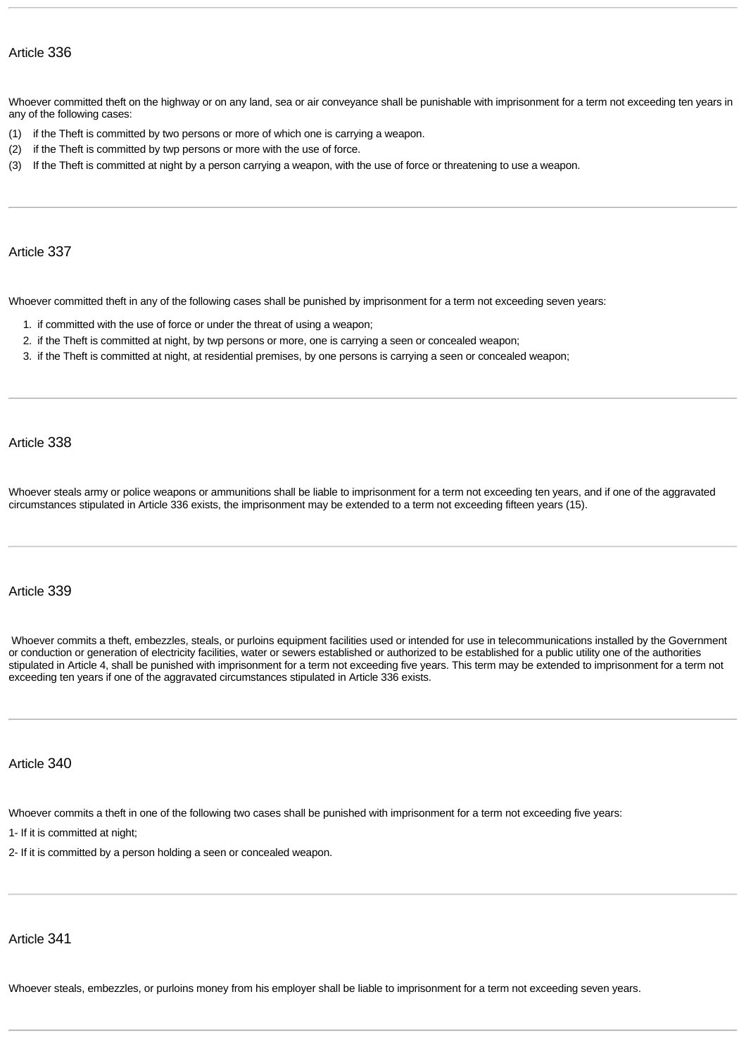Whoever committed theft on the highway or on any land, sea or air conveyance shall be punishable with imprisonment for a term not exceeding ten years in any of the following cases:

- (1) if the Theft is committed by two persons or more of which one is carrying a weapon.
- (2) if the Theft is committed by twp persons or more with the use of force.
- (3) If the Theft is committed at night by a person carrying a weapon, with the use of force or threatening to use a weapon.

# Article 337

Whoever committed theft in any of the following cases shall be punished by imprisonment for a term not exceeding seven years:

- 1. if committed with the use of force or under the threat of using a weapon;
- 2. if the Theft is committed at night, by twp persons or more, one is carrying a seen or concealed weapon;
- 3. if the Theft is committed at night, at residential premises, by one persons is carrying a seen or concealed weapon;

Article 338

Whoever steals army or police weapons or ammunitions shall be liable to imprisonment for a term not exceeding ten years, and if one of the aggravated circumstances stipulated in Article 336 exists, the imprisonment may be extended to a term not exceeding fifteen years (15).

## Article 339

Whoever commits a theft, embezzles, steals, or purloins equipment facilities used or intended for use in telecommunications installed by the Government or conduction or generation of electricity facilities, water or sewers established or authorized to be established for a public utility one of the authorities stipulated in Article 4, shall be punished with imprisonment for a term not exceeding five years. This term may be extended to imprisonment for a term not exceeding ten years if one of the aggravated circumstances stipulated in Article 336 exists.

## Article 340

Whoever commits a theft in one of the following two cases shall be punished with imprisonment for a term not exceeding five years:

1- If it is committed at night;

2- If it is committed by a person holding a seen or concealed weapon.

# Article 341

Whoever steals, embezzles, or purloins money from his employer shall be liable to imprisonment for a term not exceeding seven years.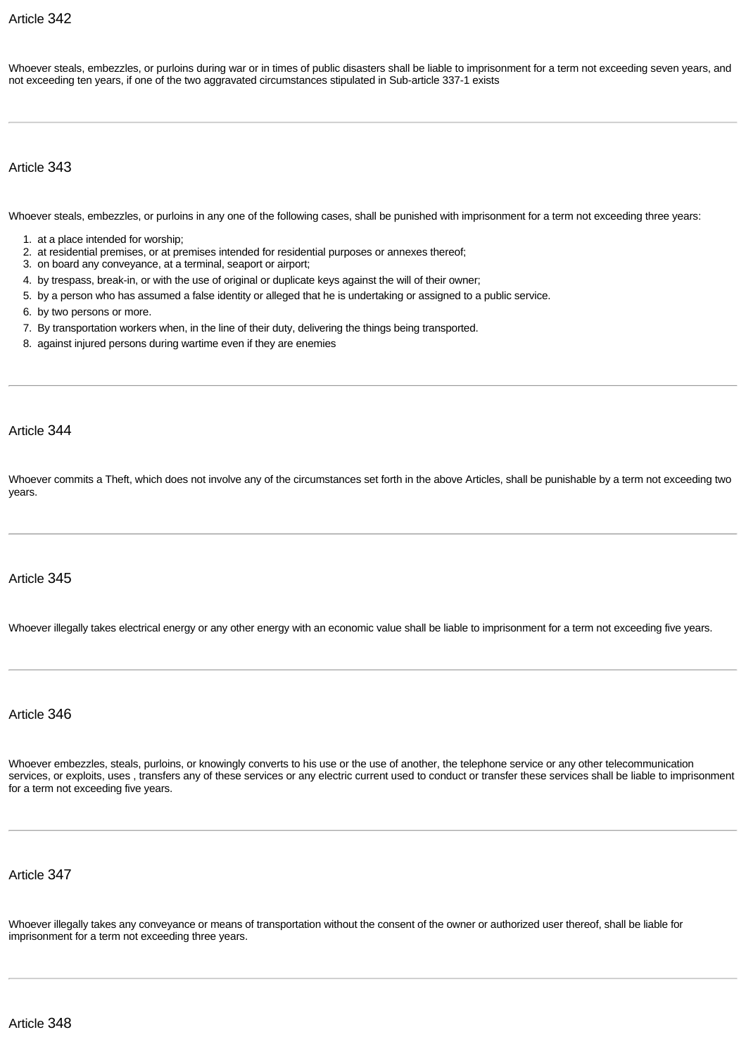Whoever steals, embezzles, or purloins during war or in times of public disasters shall be liable to imprisonment for a term not exceeding seven years, and not exceeding ten years, if one of the two aggravated circumstances stipulated in Sub-article 337-1 exists

Article 343

Whoever steals, embezzles, or purloins in any one of the following cases, shall be punished with imprisonment for a term not exceeding three years:

- 1. at a place intended for worship;
- 2. at residential premises, or at premises intended for residential purposes or annexes thereof;
- 3. on board any conveyance, at a terminal, seaport or airport;
- 4. by trespass, break-in, or with the use of original or duplicate keys against the will of their owner;
- 5. by a person who has assumed a false identity or alleged that he is undertaking or assigned to a public service.
- 6. by two persons or more.
- 7. By transportation workers when, in the line of their duty, delivering the things being transported.
- 8. against injured persons during wartime even if they are enemies

# Article 344

Whoever commits a Theft, which does not involve any of the circumstances set forth in the above Articles, shall be punishable by a term not exceeding two years.

# Article 345

Whoever illegally takes electrical energy or any other energy with an economic value shall be liable to imprisonment for a term not exceeding five years.

Article 346

Whoever embezzles, steals, purloins, or knowingly converts to his use or the use of another, the telephone service or any other telecommunication services, or exploits, uses , transfers any of these services or any electric current used to conduct or transfer these services shall be liable to imprisonment for a term not exceeding five years.

# Article 347

Whoever illegally takes any conveyance or means of transportation without the consent of the owner or authorized user thereof, shall be liable for imprisonment for a term not exceeding three years.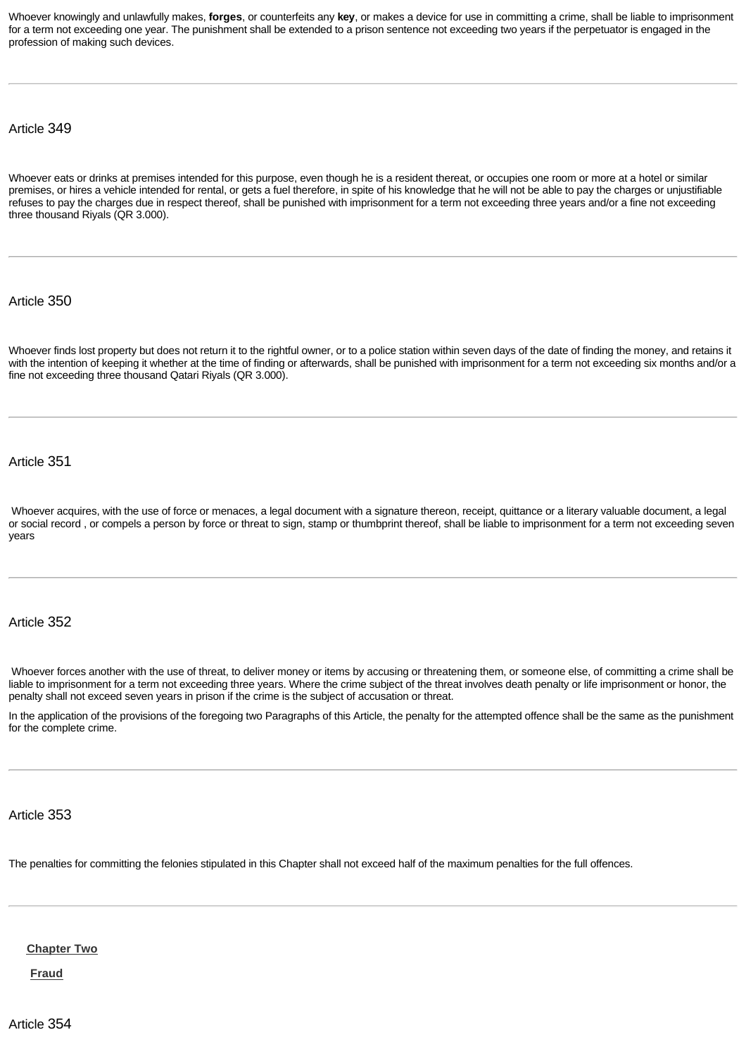Whoever knowingly and unlawfully makes, **forges**, or counterfeits any **key**, or makes a device for use in committing a crime, shall be liable to imprisonment for a term not exceeding one year. The punishment shall be extended to a prison sentence not exceeding two years if the perpetuator is engaged in the profession of making such devices.

Article 349

Whoever eats or drinks at premises intended for this purpose, even though he is a resident thereat, or occupies one room or more at a hotel or similar premises, or hires a vehicle intended for rental, or gets a fuel therefore, in spite of his knowledge that he will not be able to pay the charges or unjustifiable refuses to pay the charges due in respect thereof, shall be punished with imprisonment for a term not exceeding three years and/or a fine not exceeding three thousand Riyals (QR 3.000).

Article 350

Whoever finds lost property but does not return it to the rightful owner, or to a police station within seven days of the date of finding the money, and retains it with the intention of keeping it whether at the time of finding or afterwards, shall be punished with imprisonment for a term not exceeding six months and/or a fine not exceeding three thousand Qatari Riyals (QR 3.000).

Article 351

Whoever acquires, with the use of force or menaces, a legal document with a signature thereon, receipt, quittance or a literary valuable document, a legal or social record , or compels a person by force or threat to sign, stamp or thumbprint thereof, shall be liable to imprisonment for a term not exceeding seven years

Article 352

Whoever forces another with the use of threat, to deliver money or items by accusing or threatening them, or someone else, of committing a crime shall be liable to imprisonment for a term not exceeding three years. Where the crime subject of the threat involves death penalty or life imprisonment or honor, the penalty shall not exceed seven years in prison if the crime is the subject of accusation or threat.

In the application of the provisions of the foregoing two Paragraphs of this Article, the penalty for the attempted offence shall be the same as the punishment for the complete crime.

Article 353

Th[e penalties for co](http://www.almeezan.qa/DownloadPage.aspx?Target=All&type=2&lawID=26&language=en#)mmitting the felonies stipulated in this Chapter shall not exceed half of the maximum penalties for the full offences.

**Chapter Two**

**Fraud**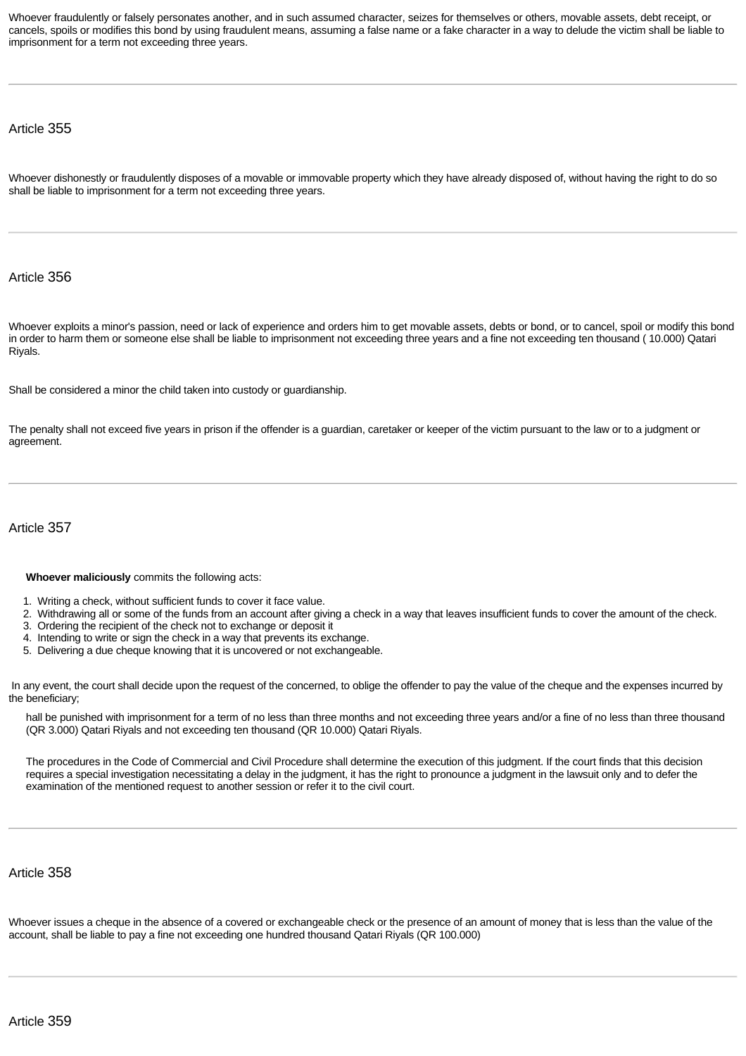Whoever fraudulently or falsely personates another, and in such assumed character, seizes for themselves or others, movable assets, debt receipt, or cancels, spoils or modifies this bond by using fraudulent means, assuming a false name or a fake character in a way to delude the victim shall be liable to imprisonment for a term not exceeding three years.

#### Article 355

Whoever dishonestly or fraudulently disposes of a movable or immovable property which they have already disposed of, without having the right to do so shall be liable to imprisonment for a term not exceeding three years.

## Article 356

Whoever exploits a minor's passion, need or lack of experience and orders him to get movable assets, debts or bond, or to cancel, spoil or modify this bond in order to harm them or someone else shall be liable to imprisonment not exceeding three years and a fine not exceeding ten thousand ( 10.000) Qatari Riyals.

Shall be considered a minor the child taken into custody or guardianship.

The penalty shall not exceed five years in prison if the offender is a guardian, caretaker or keeper of the victim pursuant to the law or to a judgment or agreement.

# Article 357

#### **Whoever maliciously** commits the following acts:

- 1. Writing a check, without sufficient funds to cover it face value.
- 2. Withdrawing all or some of the funds from an account after giving a check in a way that leaves insufficient funds to cover the amount of the check.
- 3. Ordering the recipient of the check not to exchange or deposit it
- 4. Intending to write or sign the check in a way that prevents its exchange.
- 5. Delivering a due cheque knowing that it is uncovered or not exchangeable.

In any event, the court shall decide upon the request of the concerned, to oblige the offender to pay the value of the cheque and the expenses incurred by the beneficiary;

hall be punished with imprisonment for a term of no less than three months and not exceeding three years and/or a fine of no less than three thousand (QR 3.000) Qatari Riyals and not exceeding ten thousand (QR 10.000) Qatari Riyals.

The procedures in the Code of Commercial and Civil Procedure shall determine the execution of this judgment. If the court finds that this decision requires a special investigation necessitating a delay in the judgment, it has the right to pronounce a judgment in the lawsuit only and to defer the examination of the mentioned request to another session or refer it to the civil court.

# Article 358

Whoever issues a cheque in the absence of a covered or exchangeable check or the presence of an amount of money that is less than the value of the account, shall be liable to pay a fine not exceeding one hundred thousand Qatari Riyals (QR 100.000)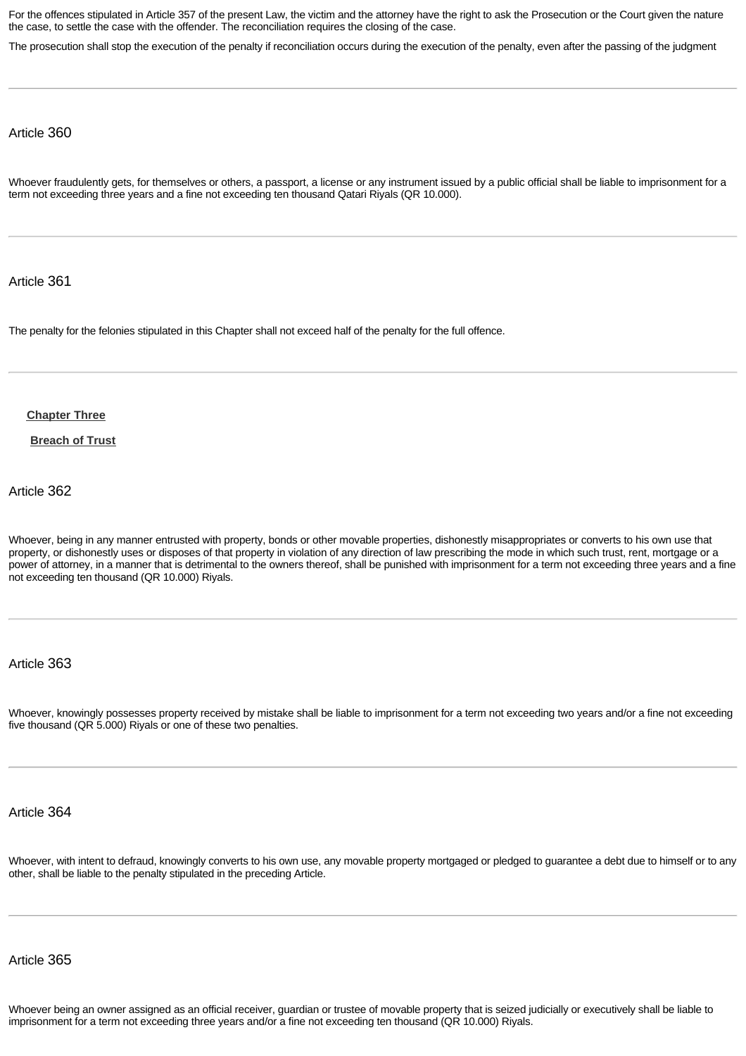For the offences stipulated in Article 357 of the present Law, the victim and the attorney have the right to ask the Prosecution or the Court given the nature the case, to settle the case with the offender. The reconciliation requires the closing of the case.

The prosecution shall stop the execution of the penalty if reconciliation occurs during the execution of the penalty, even after the passing of the judgment

Article 360

Whoever fraudulently gets, for themselves or others, a passport, a license or any instrument issued by a public official shall be liable to imprisonment for a term not exceeding three years and a fine not exceeding ten thousand Qatari Riyals (QR 10.000).

Article 361

Th[e penalty for the fe](http://www.almeezan.qa/DownloadPage.aspx?Target=All&type=2&lawID=26&language=en#)lonies stipulated in this Chapter shall not exceed half of the penalty for the full offence.

**Chapter Three**

**Breach of Trust**

Article 362

Whoever, being in any manner entrusted with property, bonds or other movable properties, dishonestly misappropriates or converts to his own use that property, or dishonestly uses or disposes of that property in violation of any direction of law prescribing the mode in which such trust, rent, mortgage or a power of attorney, in a manner that is detrimental to the owners thereof, shall be punished with imprisonment for a term not exceeding three years and a fine not exceeding ten thousand (QR 10.000) Riyals.

Article 363

Whoever, knowingly possesses property received by mistake shall be liable to imprisonment for a term not exceeding two years and/or a fine not exceeding five thousand (QR 5.000) Riyals or one of these two penalties.

Article 364

Whoever, with intent to defraud, knowingly converts to his own use, any movable property mortgaged or pledged to guarantee a debt due to himself or to any other, shall be liable to the penalty stipulated in the preceding Article.

Article 365

Whoever being an owner assigned as an official receiver, guardian or trustee of movable property that is seized judicially or executively shall be liable to imprisonment for a term not exceeding three years and/or a fine not exceeding ten thousand (QR 10.000) Riyals.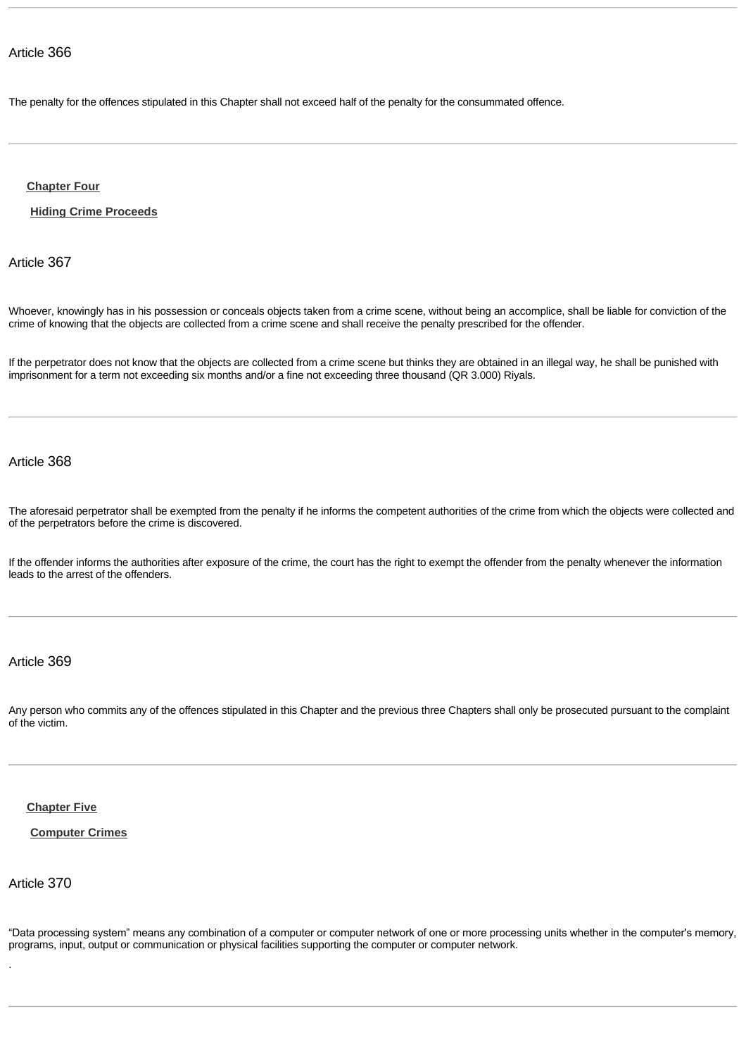Th[e penalty for the o](http://www.almeezan.qa/DownloadPage.aspx?Target=All&type=2&lawID=26&language=en#)ffences stipulated in this Chapter shall not exceed half of the penalty for the consummated offence.

**Chapter Four**

**Hiding Crime Proceeds**

Article 367

Whoever, knowingly has in his possession or conceals objects taken from a crime scene, without being an accomplice, shall be liable for conviction of the crime of knowing that the objects are collected from a crime scene and shall receive the penalty prescribed for the offender.

If the perpetrator does not know that the objects are collected from a crime scene but thinks they are obtained in an illegal way, he shall be punished with imprisonment for a term not exceeding six months and/or a fine not exceeding three thousand (QR 3.000) Riyals.

# Article 368

The aforesaid perpetrator shall be exempted from the penalty if he informs the competent authorities of the crime from which the objects were collected and of the perpetrators before the crime is discovered.

If the offender informs the authorities after exposure of the crime, the court has the right to exempt the offender from the penalty whenever the information leads to the arrest of the offenders.

# Article 369

Any person who commits any of the offences stipulated in this Chapter and the previous three Chapters shall only be prosecuted pursuant to the complaint of t[he victim.](http://www.almeezan.qa/DownloadPage.aspx?Target=All&type=2&lawID=26&language=en#)

# **Chapter Five**

## **Computer Crimes**

Article 370

.

"Data processing system" means any combination of a computer or computer network of one or more processing units whether in the computer's memory, programs, input, output or communication or physical facilities supporting the computer or computer network.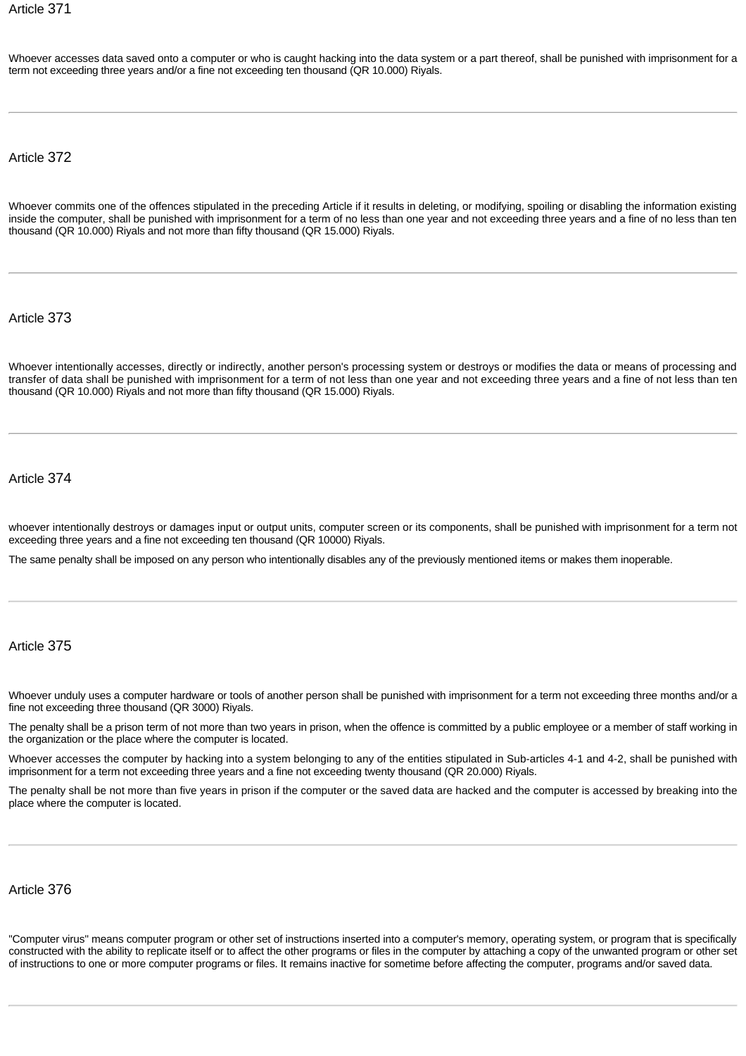Whoever accesses data saved onto a computer or who is caught hacking into the data system or a part thereof, shall be punished with imprisonment for a term not exceeding three years and/or a fine not exceeding ten thousand (QR 10.000) Riyals.

Article 372

Whoever commits one of the offences stipulated in the preceding Article if it results in deleting, or modifying, spoiling or disabling the information existing inside the computer, shall be punished with imprisonment for a term of no less than one year and not exceeding three years and a fine of no less than ten thousand (QR 10.000) Riyals and not more than fifty thousand (QR 15.000) Riyals.

Article 373

Whoever intentionally accesses, directly or indirectly, another person's processing system or destroys or modifies the data or means of processing and transfer of data shall be punished with imprisonment for a term of not less than one year and not exceeding three years and a fine of not less than ten thousand (QR 10.000) Riyals and not more than fifty thousand (QR 15.000) Riyals.

Article 374

whoever intentionally destroys or damages input or output units, computer screen or its components, shall be punished with imprisonment for a term not exceeding three years and a fine not exceeding ten thousand (QR 10000) Riyals.

The same penalty shall be imposed on any person who intentionally disables any of the previously mentioned items or makes them inoperable.

## Article 375

Whoever unduly uses a computer hardware or tools of another person shall be punished with imprisonment for a term not exceeding three months and/or a fine not exceeding three thousand (QR 3000) Riyals.

The penalty shall be a prison term of not more than two years in prison, when the offence is committed by a public employee or a member of staff working in the organization or the place where the computer is located.

Whoever accesses the computer by hacking into a system belonging to any of the entities stipulated in Sub-articles 4-1 and 4-2, shall be punished with imprisonment for a term not exceeding three years and a fine not exceeding twenty thousand (QR 20.000) Riyals.

The penalty shall be not more than five years in prison if the computer or the saved data are hacked and the computer is accessed by breaking into the place where the computer is located.

Article 376

"Computer virus" means computer program or other set of instructions inserted into a computer's memory, operating system, or program that is specifically constructed with the ability to replicate itself or to affect the other programs or files in the computer by attaching a copy of the unwanted program or other set of instructions to one or more computer programs or files. It remains inactive for sometime before affecting the computer, programs and/or saved data.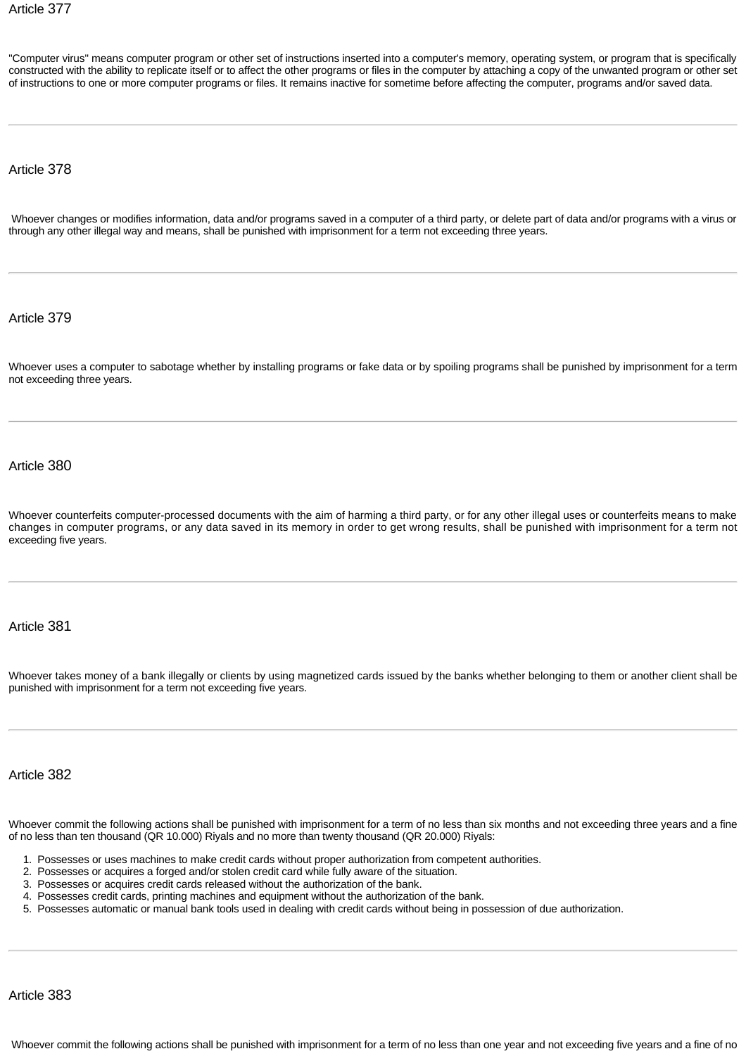"Computer virus" means computer program or other set of instructions inserted into a computer's memory, operating system, or program that is specifically constructed with the ability to replicate itself or to affect the other programs or files in the computer by attaching a copy of the unwanted program or other set of instructions to one or more computer programs or files. It remains inactive for sometime before affecting the computer, programs and/or saved data.

Article 378

 Whoever changes or modifies information, data and/or programs saved in a computer of a third party, or delete part of data and/or programs with a virus or through any other illegal way and means, shall be punished with imprisonment for a term not exceeding three years.

Article 379

Whoever uses a computer to sabotage whether by installing programs or fake data or by spoiling programs shall be punished by imprisonment for a term not exceeding three years.

Article 380

Whoever counterfeits computer-processed documents with the aim of harming a third party, or for any other illegal uses or counterfeits means to make changes in computer programs, or any data saved in its memory in order to get wrong results, shall be punished with imprisonment for a term not exceeding five years.

Article 381

Whoever takes money of a bank illegally or clients by using magnetized cards issued by the banks whether belonging to them or another client shall be punished with imprisonment for a term not exceeding five years.

Article 382

Whoever commit the following actions shall be punished with imprisonment for a term of no less than six months and not exceeding three years and a fine of no less than ten thousand (QR 10.000) Riyals and no more than twenty thousand (QR 20.000) Riyals:

- 1. Possesses or uses machines to make credit cards without proper authorization from competent authorities.
- 2. Possesses or acquires a forged and/or stolen credit card while fully aware of the situation.
- 3. Possesses or acquires credit cards released without the authorization of the bank.
- 4. Possesses credit cards, printing machines and equipment without the authorization of the bank.
- 5. Possesses automatic or manual bank tools used in dealing with credit cards without being in possession of due authorization.

Article 383

Whoever commit the following actions shall be punished with imprisonment for a term of no less than one year and not exceeding five years and a fine of no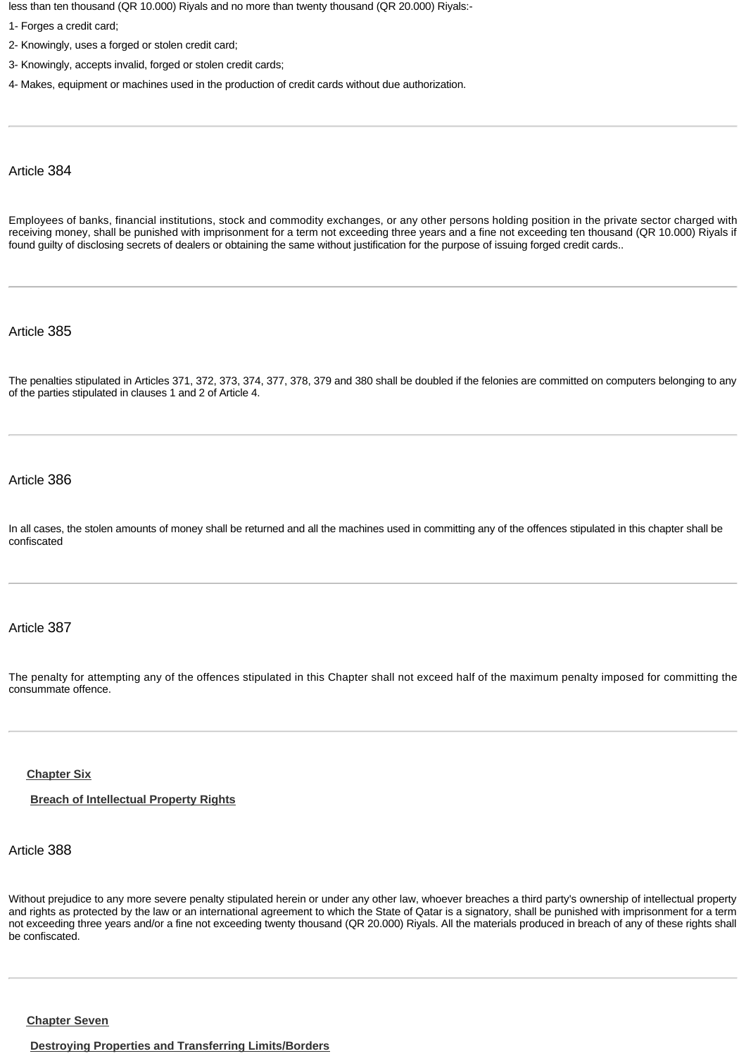less than ten thousand (QR 10.000) Riyals and no more than twenty thousand (QR 20.000) Riyals:-

- 1- Forges a credit card;
- 2- Knowingly, uses a forged or stolen credit card;
- 3- Knowingly, accepts invalid, forged or stolen credit cards;
- 4- Makes, equipment or machines used in the production of credit cards without due authorization.

#### Article 384

Employees of banks, financial institutions, stock and commodity exchanges, or any other persons holding position in the private sector charged with receiving money, shall be punished with imprisonment for a term not exceeding three years and a fine not exceeding ten thousand (QR 10.000) Riyals if found guilty of disclosing secrets of dealers or obtaining the same without justification for the purpose of issuing forged credit cards..

Article 385

The penalties stipulated in Articles 371, 372, 373, 374, 377, 378, 379 and 380 shall be doubled if the felonies are committed on computers belonging to any of the parties stipulated in clauses 1 and 2 of Article 4.

### Article 386

In all cases, the stolen amounts of money shall be returned and all the machines used in committing any of the offences stipulated in this chapter shall be confiscated

## Article 387

The penalty for attempting any of the offences stipulated in this Chapter shall not exceed half of the maximum penalty imposed for committing the con[summate offen](http://www.almeezan.qa/DownloadPage.aspx?Target=All&type=2&lawID=26&language=en#)ce.

### **Chapter Six**

**Breach of Intellectual Property Rights**

# Article 388

Without prejudice to any more severe penalty stipulated herein or under any other law, whoever breaches a third party's ownership of intellectual property and rights as protected by the law or an international agreement to which the State of Qatar is a signatory, shall be punished with imprisonment for a term not exceeding three years and/or a fine not exceeding twenty thousand (QR 20.000) Riyals. All the materials produced in breach of any of these rights shall be [confiscated.](http://www.almeezan.qa/DownloadPage.aspx?Target=All&type=2&lawID=26&language=en#)

**Chapter Seven**

**Destroying Properties and Transferring Limits/Borders**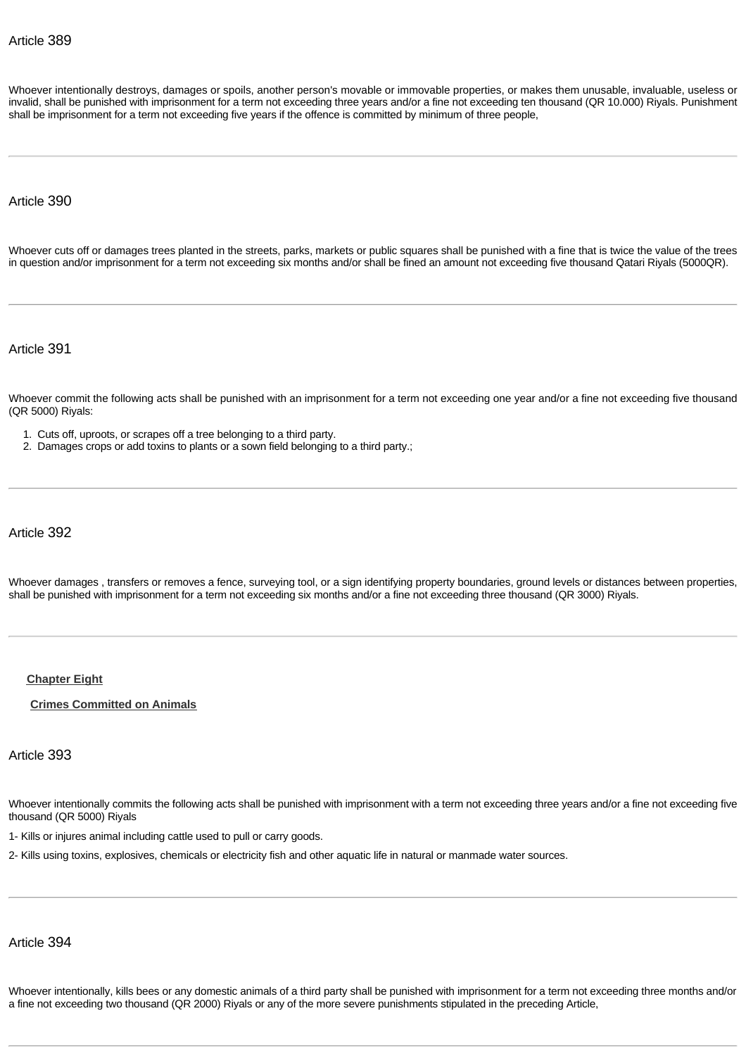Whoever intentionally destroys, damages or spoils, another person's movable or immovable properties, or makes them unusable, invaluable, useless or invalid, shall be punished with imprisonment for a term not exceeding three years and/or a fine not exceeding ten thousand (QR 10.000) Riyals. Punishment shall be imprisonment for a term not exceeding five years if the offence is committed by minimum of three people,

Article 390

Whoever cuts off or damages trees planted in the streets, parks, markets or public squares shall be punished with a fine that is twice the value of the trees in question and/or imprisonment for a term not exceeding six months and/or shall be fined an amount not exceeding five thousand Qatari Riyals (5000QR).

Article 391

Whoever commit the following acts shall be punished with an imprisonment for a term not exceeding one year and/or a fine not exceeding five thousand (QR 5000) Riyals:

- 1. Cuts off, uproots, or scrapes off a tree belonging to a third party.
- 2. Damages crops or add toxins to plants or a sown field belonging to a third party.;

Article 392

Whoever damages , transfers or removes a fence, surveying tool, or a sign identifying property boundaries, ground levels or distances between properties, sha[ll be punished wi](http://www.almeezan.qa/DownloadPage.aspx?Target=All&type=2&lawID=26&language=en#)th imprisonment for a term not exceeding six months and/or a fine not exceeding three thousand (QR 3000) Riyals.

#### **Chapter Eight**

#### **Crimes Committed on Animals**

## Article 393

Whoever intentionally commits the following acts shall be punished with imprisonment with a term not exceeding three years and/or a fine not exceeding five thousand (QR 5000) Riyals

1- Kills or injures animal including cattle used to pull or carry goods.

2- Kills using toxins, explosives, chemicals or electricity fish and other aquatic life in natural or manmade water sources.

## Article 394

Whoever intentionally, kills bees or any domestic animals of a third party shall be punished with imprisonment for a term not exceeding three months and/or a fine not exceeding two thousand (QR 2000) Riyals or any of the more severe punishments stipulated in the preceding Article,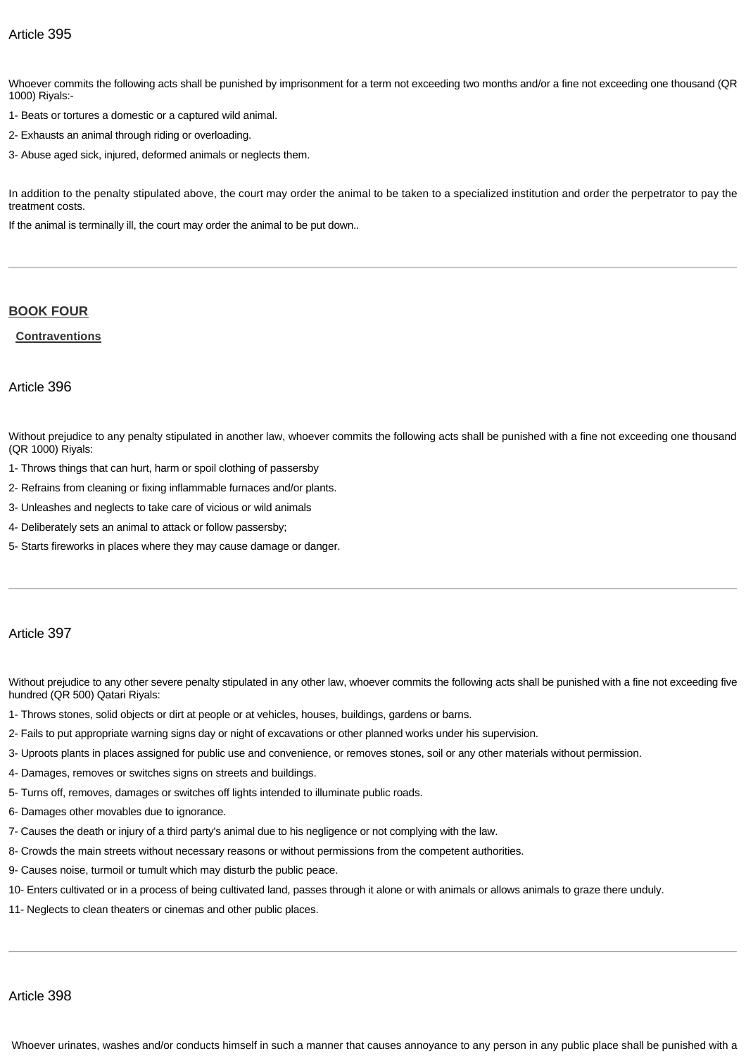Whoever commits the following acts shall be punished by imprisonment for a term not exceeding two months and/or a fine not exceeding one thousand (QR 1000) Riyals:-

1- Beats or tortures a domestic or a captured wild animal.

- 2- Exhausts an animal through riding or overloading.
- 3- Abuse aged sick, injured, deformed animals or neglects them.

In addition to the penalty stipulated above, the court may order the animal to be taken to a specialized institution and order the perpetrator to pay the treatment costs.

[If the animal is ter](http://www.almeezan.qa/DownloadPage.aspx?Target=All&type=2&lawID=26&language=en#)minally ill, the court may order the animal to be put down..

## **BOOK FOUR**

## **Contraventions**

#### Article 396

Without prejudice to any penalty stipulated in another law, whoever commits the following acts shall be punished with a fine not exceeding one thousand (QR 1000) Riyals:

- 1- Throws things that can hurt, harm or spoil clothing of passersby
- 2- Refrains from cleaning or fixing inflammable furnaces and/or plants.
- 3- Unleashes and neglects to take care of vicious or wild animals
- 4- Deliberately sets an animal to attack or follow passersby;
- 5- Starts fireworks in places where they may cause damage or danger.

## Article 397

Without prejudice to any other severe penalty stipulated in any other law, whoever commits the following acts shall be punished with a fine not exceeding five hundred (QR 500) Qatari Riyals:

- 1- Throws stones, solid objects or dirt at people or at vehicles, houses, buildings, gardens or barns.
- 2- Fails to put appropriate warning signs day or night of excavations or other planned works under his supervision.
- 3- Uproots plants in places assigned for public use and convenience, or removes stones, soil or any other materials without permission.
- 4- Damages, removes or switches signs on streets and buildings.
- 5- Turns off, removes, damages or switches off lights intended to illuminate public roads.
- 6- Damages other movables due to ignorance.
- 7- Causes the death or injury of a third party's animal due to his negligence or not complying with the law.
- 8- Crowds the main streets without necessary reasons or without permissions from the competent authorities.
- 9- Causes noise, turmoil or tumult which may disturb the public peace.
- 10- Enters cultivated or in a process of being cultivated land, passes through it alone or with animals or allows animals to graze there unduly.
- 11- Neglects to clean theaters or cinemas and other public places.

## Article 398

Whoever urinates, washes and/or conducts himself in such a manner that causes annoyance to any person in any public place shall be punished with a